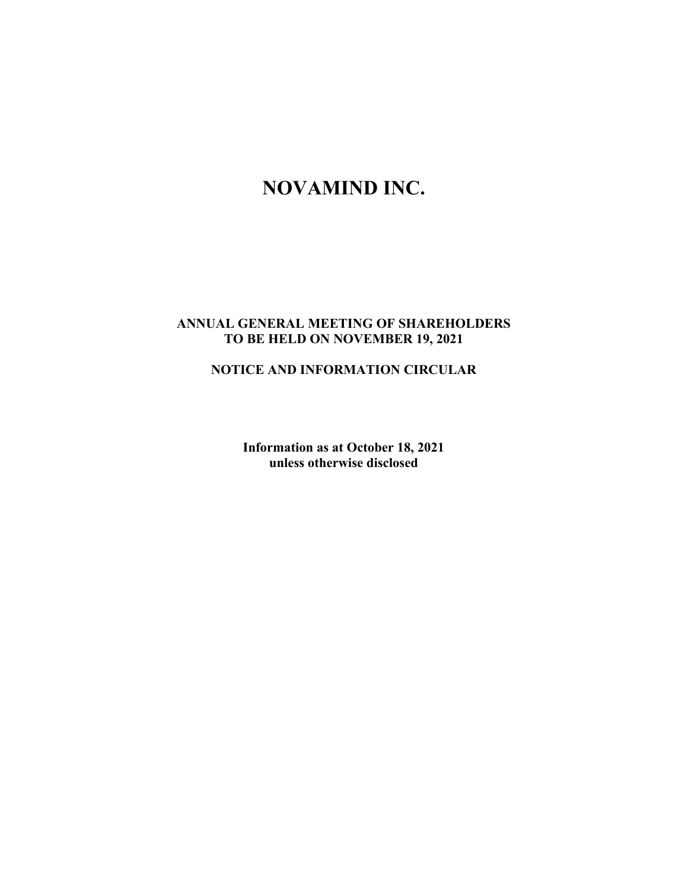# **NOVAMIND INC.**

## **ANNUAL GENERAL MEETING OF SHAREHOLDERS TO BE HELD ON NOVEMBER 19, 2021**

# **NOTICE AND INFORMATION CIRCULAR**

**Information as at October 18, 2021 unless otherwise disclosed**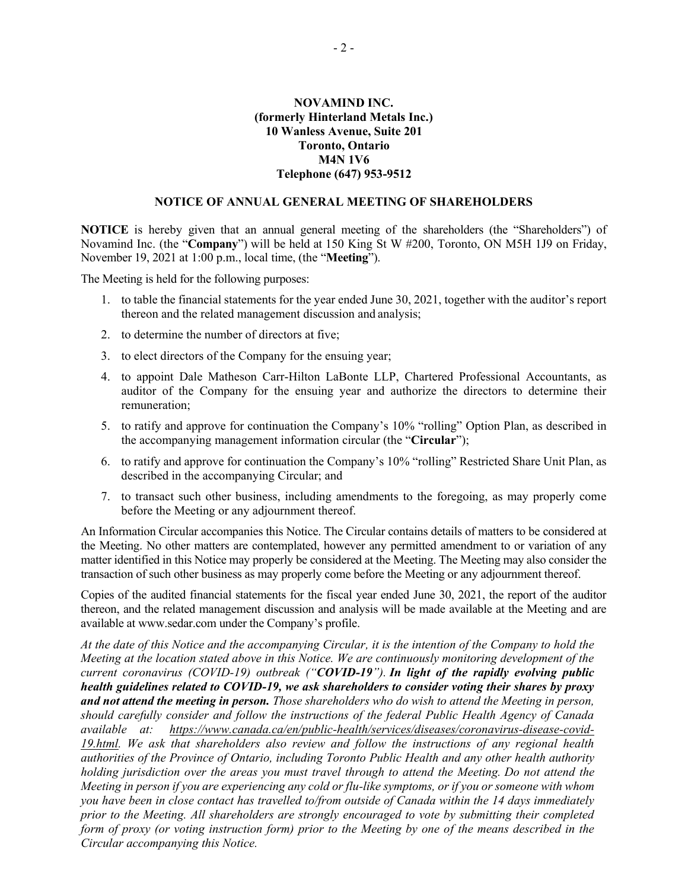## **NOVAMIND INC. (formerly Hinterland Metals Inc.) 10 Wanless Avenue, Suite 201 Toronto, Ontario M4N 1V6 Telephone (647) 953-9512**

#### **NOTICE OF ANNUAL GENERAL MEETING OF SHAREHOLDERS**

**NOTICE** is hereby given that an annual general meeting of the shareholders (the "Shareholders") of Novamind Inc. (the "**Company**") will be held at 150 King St W #200, Toronto, ON M5H 1J9 on Friday, November 19, 2021 at 1:00 p.m., local time, (the "**Meeting**").

The Meeting is held for the following purposes:

- 1. to table the financial statements for the year ended June 30, 2021, together with the auditor's report thereon and the related management discussion and analysis;
- 2. to determine the number of directors at five;
- 3. to elect directors of the Company for the ensuing year;
- 4. to appoint Dale Matheson Carr-Hilton LaBonte LLP, Chartered Professional Accountants, as auditor of the Company for the ensuing year and authorize the directors to determine their remuneration;
- 5. to ratify and approve for continuation the Company's 10% "rolling" Option Plan, as described in the accompanying management information circular (the "**Circular**");
- 6. to ratify and approve for continuation the Company's 10% "rolling" Restricted Share Unit Plan, as described in the accompanying Circular; and
- 7. to transact such other business, including amendments to the foregoing, as may properly come before the Meeting or any adjournment thereof.

An Information Circular accompanies this Notice. The Circular contains details of matters to be considered at the Meeting. No other matters are contemplated, however any permitted amendment to or variation of any matter identified in this Notice may properly be considered at the Meeting. The Meeting may also consider the transaction of such other business as may properly come before the Meeting or any adjournment thereof.

Copies of the audited financial statements for the fiscal year ended June 30, 2021, the report of the auditor thereon, and the related management discussion and analysis will be made available at the Meeting and are available at www.sedar.com under the Company's profile.

*At the date of this Notice and the accompanying Circular, it is the intention of the Company to hold the Meeting at the location stated above in this Notice. We are continuously monitoring development of the current coronavirus (COVID-19) outbreak ("COVID-19"). In light of the rapidly evolving public health guidelines related to COVID-19, we ask shareholders to consider voting their shares by proxy and not attend the meeting in person. Those shareholders who do wish to attend the Meeting in person, should carefully consider and follow the instructions of the federal Public Health Agency of Canada available at: https://www.canada.ca/en/public-health/services/diseases/coronavirus-disease-covid-19.html. We ask that shareholders also review and follow the instructions of any regional health authorities of the Province of Ontario, including Toronto Public Health and any other health authority holding jurisdiction over the areas you must travel through to attend the Meeting. Do not attend the Meeting in person if you are experiencing any cold or flu-like symptoms, or if you or someone with whom you have been in close contact has travelled to/from outside of Canada within the 14 days immediately prior to the Meeting. All shareholders are strongly encouraged to vote by submitting their completed form of proxy (or voting instruction form) prior to the Meeting by one of the means described in the Circular accompanying this Notice.*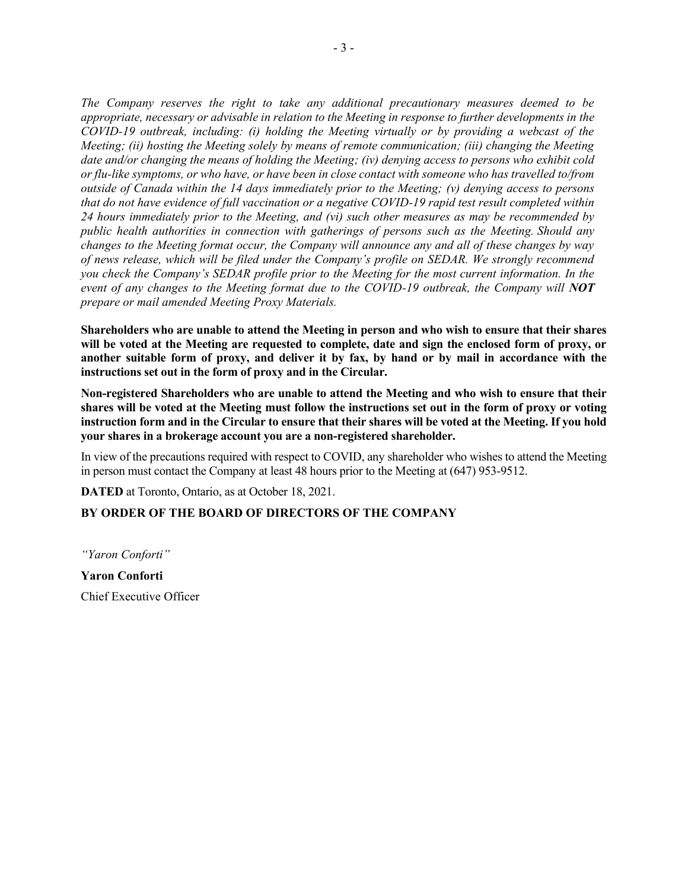*The Company reserves the right to take any additional precautionary measures deemed to be appropriate, necessary or advisable in relation to the Meeting in response to further developments in the COVID-19 outbreak, including: (i) holding the Meeting virtually or by providing a webcast of the Meeting; (ii) hosting the Meeting solely by means of remote communication; (iii) changing the Meeting date and/or changing the means of holding the Meeting; (iv) denying access to persons who exhibit cold or flu-like symptoms, or who have, or have been in close contact with someone who has travelled to/from outside of Canada within the 14 days immediately prior to the Meeting; (v) denying access to persons that do not have evidence of full vaccination or a negative COVID-19 rapid test result completed within 24 hours immediately prior to the Meeting, and (vi) such other measures as may be recommended by public health authorities in connection with gatherings of persons such as the Meeting. Should any changes to the Meeting format occur, the Company will announce any and all of these changes by way of news release, which will be filed under the Company's profile on SEDAR. We strongly recommend you check the Company's SEDAR profile prior to the Meeting for the most current information. In the event of any changes to the Meeting format due to the COVID-19 outbreak, the Company will NOT prepare or mail amended Meeting Proxy Materials.*

**Shareholders who are unable to attend the Meeting in person and who wish to ensure that their shares will be voted at the Meeting are requested to complete, date and sign the enclosed form of proxy, or another suitable form of proxy, and deliver it by fax, by hand or by mail in accordance with the instructions set out in the form of proxy and in the Circular.**

**Non-registered Shareholders who are unable to attend the Meeting and who wish to ensure that their shares will be voted at the Meeting must follow the instructions set out in the form of proxy or voting instruction form and in the Circular to ensure that their shares will be voted at the Meeting. If you hold your shares in a brokerage account you are a non-registered shareholder.**

In view of the precautions required with respect to COVID, any shareholder who wishes to attend the Meeting in person must contact the Company at least 48 hours prior to the Meeting at (647) 953-9512.

**DATED** at Toronto, Ontario, as at October 18, 2021.

## **BY ORDER OF THE BOARD OF DIRECTORS OF THE COMPANY**

*"Yaron Conforti"*

**Yaron Conforti** Chief Executive Officer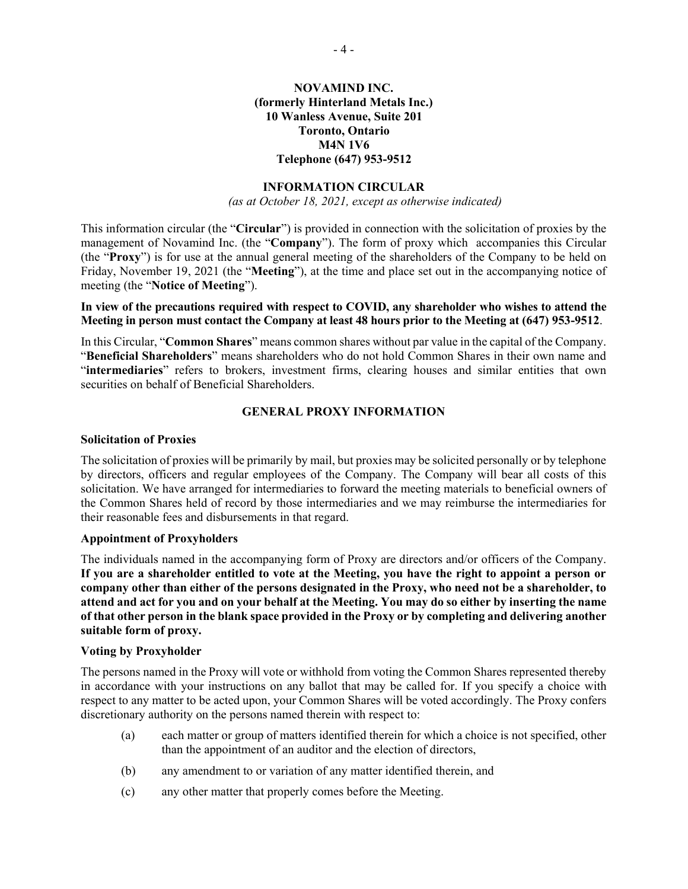## **NOVAMIND INC. (formerly Hinterland Metals Inc.) 10 Wanless Avenue, Suite 201 Toronto, Ontario M4N 1V6 Telephone (647) 953-9512**

#### **INFORMATION CIRCULAR**

*(as at October 18, 2021, except as otherwise indicated)*

This information circular (the "**Circular**") is provided in connection with the solicitation of proxies by the management of Novamind Inc. (the "**Company**"). The form of proxy which accompanies this Circular (the "**Proxy**") is for use at the annual general meeting of the shareholders of the Company to be held on Friday, November 19, 2021 (the "**Meeting**"), at the time and place set out in the accompanying notice of meeting (the "**Notice of Meeting**").

#### **In view of the precautions required with respect to COVID, any shareholder who wishes to attend the Meeting in person must contact the Company at least 48 hours prior to the Meeting at (647) 953-9512**.

In this Circular, "**Common Shares**" means common shares without par value in the capital of the Company. "**Beneficial Shareholders**" means shareholders who do not hold Common Shares in their own name and "**intermediaries**" refers to brokers, investment firms, clearing houses and similar entities that own securities on behalf of Beneficial Shareholders.

#### **GENERAL PROXY INFORMATION**

#### **Solicitation of Proxies**

The solicitation of proxies will be primarily by mail, but proxies may be solicited personally or by telephone by directors, officers and regular employees of the Company. The Company will bear all costs of this solicitation. We have arranged for intermediaries to forward the meeting materials to beneficial owners of the Common Shares held of record by those intermediaries and we may reimburse the intermediaries for their reasonable fees and disbursements in that regard.

#### **Appointment of Proxyholders**

The individuals named in the accompanying form of Proxy are directors and/or officers of the Company. **If you are a shareholder entitled to vote at the Meeting, you have the right to appoint a person or company other than either of the persons designated in the Proxy, who need not be a shareholder, to attend and act for you and on your behalf at the Meeting. You may do so either by inserting the name of that other person in the blank space provided in the Proxy or by completing and delivering another suitable form of proxy.**

#### **Voting by Proxyholder**

The persons named in the Proxy will vote or withhold from voting the Common Shares represented thereby in accordance with your instructions on any ballot that may be called for. If you specify a choice with respect to any matter to be acted upon, your Common Shares will be voted accordingly. The Proxy confers discretionary authority on the persons named therein with respect to:

- (a) each matter or group of matters identified therein for which a choice is not specified, other than the appointment of an auditor and the election of directors,
- (b) any amendment to or variation of any matter identified therein, and
- (c) any other matter that properly comes before the Meeting.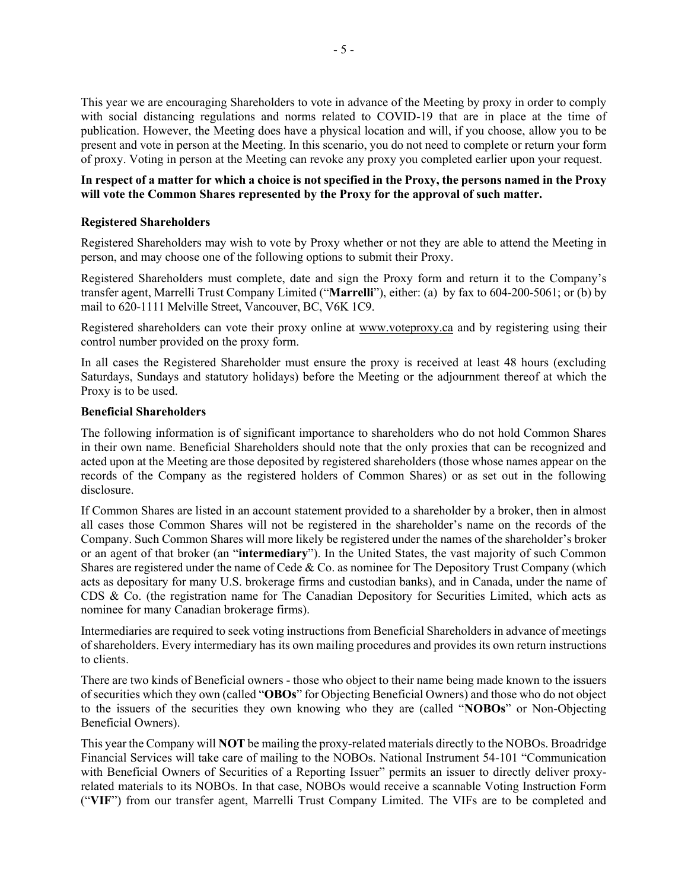This year we are encouraging Shareholders to vote in advance of the Meeting by proxy in order to comply with social distancing regulations and norms related to COVID-19 that are in place at the time of publication. However, the Meeting does have a physical location and will, if you choose, allow you to be present and vote in person at the Meeting. In this scenario, you do not need to complete or return your form of proxy. Voting in person at the Meeting can revoke any proxy you completed earlier upon your request.

## **In respect of a matter for which a choice is not specified in the Proxy, the persons named in the Proxy will vote the Common Shares represented by the Proxy for the approval of such matter.**

### **Registered Shareholders**

Registered Shareholders may wish to vote by Proxy whether or not they are able to attend the Meeting in person, and may choose one of the following options to submit their Proxy.

Registered Shareholders must complete, date and sign the Proxy form and return it to the Company's transfer agent, Marrelli Trust Company Limited ("**Marrelli**"), either: (a) by fax to 604-200-5061; or (b) by mail to 620-1111 Melville Street, Vancouver, BC, V6K 1C9.

Registered shareholders can vote their proxy online at www.voteproxy.ca and by registering using their control number provided on the proxy form.

In all cases the Registered Shareholder must ensure the proxy is received at least 48 hours (excluding Saturdays, Sundays and statutory holidays) before the Meeting or the adjournment thereof at which the Proxy is to be used.

#### **Beneficial Shareholders**

The following information is of significant importance to shareholders who do not hold Common Shares in their own name. Beneficial Shareholders should note that the only proxies that can be recognized and acted upon at the Meeting are those deposited by registered shareholders (those whose names appear on the records of the Company as the registered holders of Common Shares) or as set out in the following disclosure.

If Common Shares are listed in an account statement provided to a shareholder by a broker, then in almost all cases those Common Shares will not be registered in the shareholder's name on the records of the Company. Such Common Shares will more likely be registered under the names of the shareholder's broker or an agent of that broker (an "**intermediary**"). In the United States, the vast majority of such Common Shares are registered under the name of Cede & Co. as nominee for The Depository Trust Company (which acts as depositary for many U.S. brokerage firms and custodian banks), and in Canada, under the name of CDS & Co. (the registration name for The Canadian Depository for Securities Limited, which acts as nominee for many Canadian brokerage firms).

Intermediaries are required to seek voting instructions from Beneficial Shareholders in advance of meetings of shareholders. Every intermediary has its own mailing procedures and provides its own return instructions to clients.

There are two kinds of Beneficial owners - those who object to their name being made known to the issuers of securities which they own (called "**OBOs**" for Objecting Beneficial Owners) and those who do not object to the issuers of the securities they own knowing who they are (called "**NOBOs**" or Non-Objecting Beneficial Owners).

This year the Company will **NOT** be mailing the proxy-related materials directly to the NOBOs. Broadridge Financial Services will take care of mailing to the NOBOs. National Instrument 54-101 "Communication with Beneficial Owners of Securities of a Reporting Issuer" permits an issuer to directly deliver proxyrelated materials to its NOBOs. In that case, NOBOs would receive a scannable Voting Instruction Form ("**VIF**") from our transfer agent, Marrelli Trust Company Limited. The VIFs are to be completed and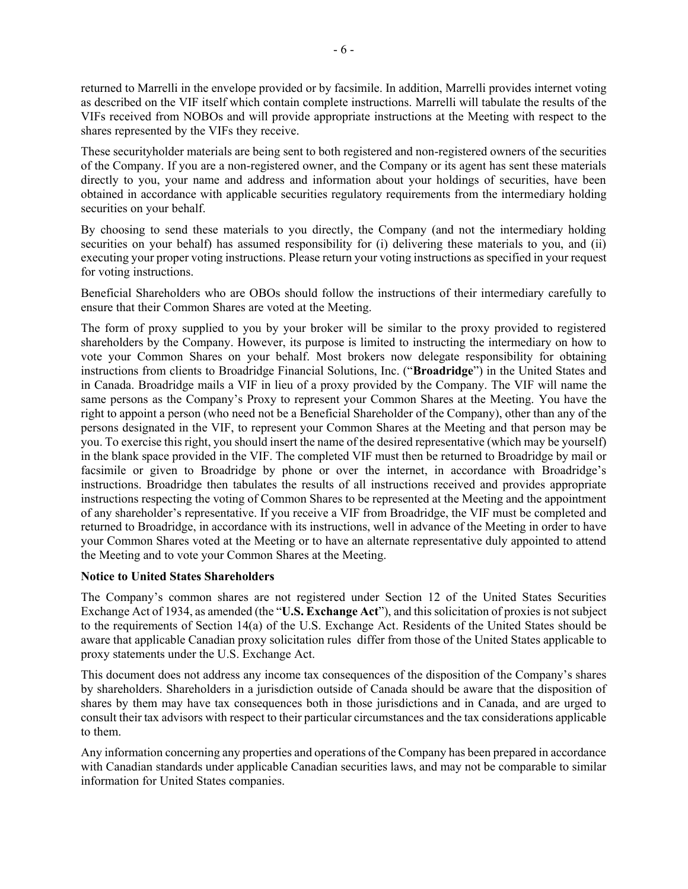returned to Marrelli in the envelope provided or by facsimile. In addition, Marrelli provides internet voting as described on the VIF itself which contain complete instructions. Marrelli will tabulate the results of the VIFs received from NOBOs and will provide appropriate instructions at the Meeting with respect to the shares represented by the VIFs they receive.

These securityholder materials are being sent to both registered and non-registered owners of the securities of the Company. If you are a non-registered owner, and the Company or its agent has sent these materials directly to you, your name and address and information about your holdings of securities, have been obtained in accordance with applicable securities regulatory requirements from the intermediary holding securities on your behalf.

By choosing to send these materials to you directly, the Company (and not the intermediary holding securities on your behalf) has assumed responsibility for (i) delivering these materials to you, and (ii) executing your proper voting instructions. Please return your voting instructions as specified in your request for voting instructions.

Beneficial Shareholders who are OBOs should follow the instructions of their intermediary carefully to ensure that their Common Shares are voted at the Meeting.

The form of proxy supplied to you by your broker will be similar to the proxy provided to registered shareholders by the Company. However, its purpose is limited to instructing the intermediary on how to vote your Common Shares on your behalf. Most brokers now delegate responsibility for obtaining instructions from clients to Broadridge Financial Solutions, Inc. ("**Broadridge**") in the United States and in Canada. Broadridge mails a VIF in lieu of a proxy provided by the Company. The VIF will name the same persons as the Company's Proxy to represent your Common Shares at the Meeting. You have the right to appoint a person (who need not be a Beneficial Shareholder of the Company), other than any of the persons designated in the VIF, to represent your Common Shares at the Meeting and that person may be you. To exercise this right, you should insert the name of the desired representative (which may be yourself) in the blank space provided in the VIF. The completed VIF must then be returned to Broadridge by mail or facsimile or given to Broadridge by phone or over the internet, in accordance with Broadridge's instructions. Broadridge then tabulates the results of all instructions received and provides appropriate instructions respecting the voting of Common Shares to be represented at the Meeting and the appointment of any shareholder's representative. If you receive a VIF from Broadridge, the VIF must be completed and returned to Broadridge, in accordance with its instructions, well in advance of the Meeting in order to have your Common Shares voted at the Meeting or to have an alternate representative duly appointed to attend the Meeting and to vote your Common Shares at the Meeting.

#### **Notice to United States Shareholders**

The Company's common shares are not registered under Section 12 of the United States Securities Exchange Act of 1934, as amended (the "**U.S. Exchange Act**"), and this solicitation of proxies is not subject to the requirements of Section 14(a) of the U.S. Exchange Act. Residents of the United States should be aware that applicable Canadian proxy solicitation rules differ from those of the United States applicable to proxy statements under the U.S. Exchange Act.

This document does not address any income tax consequences of the disposition of the Company's shares by shareholders. Shareholders in a jurisdiction outside of Canada should be aware that the disposition of shares by them may have tax consequences both in those jurisdictions and in Canada, and are urged to consult their tax advisors with respect to their particular circumstances and the tax considerations applicable to them.

Any information concerning any properties and operations of the Company has been prepared in accordance with Canadian standards under applicable Canadian securities laws, and may not be comparable to similar information for United States companies.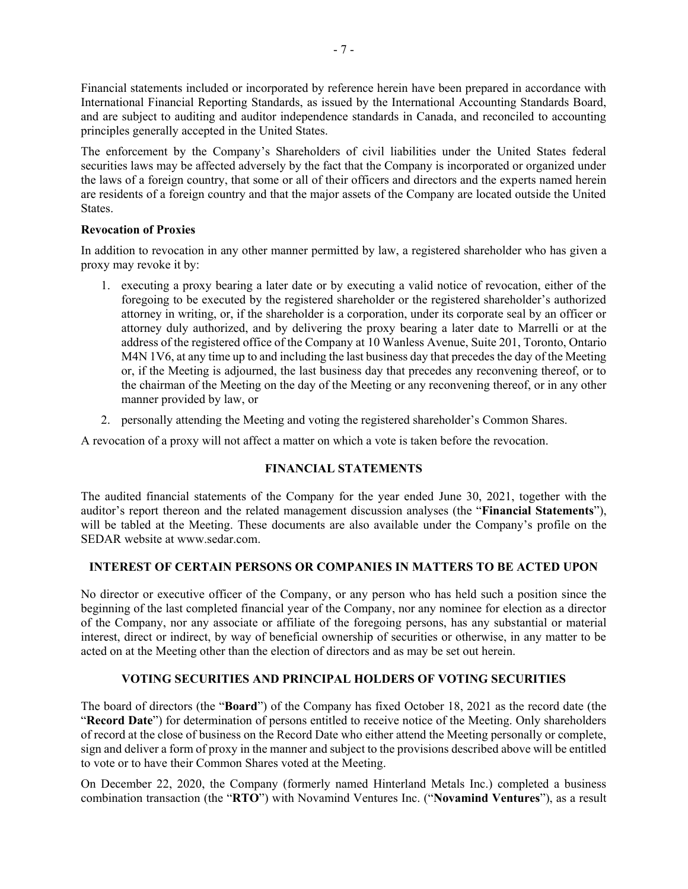Financial statements included or incorporated by reference herein have been prepared in accordance with International Financial Reporting Standards, as issued by the International Accounting Standards Board, and are subject to auditing and auditor independence standards in Canada, and reconciled to accounting principles generally accepted in the United States.

The enforcement by the Company's Shareholders of civil liabilities under the United States federal securities laws may be affected adversely by the fact that the Company is incorporated or organized under the laws of a foreign country, that some or all of their officers and directors and the experts named herein are residents of a foreign country and that the major assets of the Company are located outside the United States.

## **Revocation of Proxies**

In addition to revocation in any other manner permitted by law, a registered shareholder who has given a proxy may revoke it by:

- 1. executing a proxy bearing a later date or by executing a valid notice of revocation, either of the foregoing to be executed by the registered shareholder or the registered shareholder's authorized attorney in writing, or, if the shareholder is a corporation, under its corporate seal by an officer or attorney duly authorized, and by delivering the proxy bearing a later date to Marrelli or at the address of the registered office of the Company at 10 Wanless Avenue, Suite 201, Toronto, Ontario M4N 1V6, at any time up to and including the last business day that precedes the day of the Meeting or, if the Meeting is adjourned, the last business day that precedes any reconvening thereof, or to the chairman of the Meeting on the day of the Meeting or any reconvening thereof, or in any other manner provided by law, or
- 2. personally attending the Meeting and voting the registered shareholder's Common Shares.

A revocation of a proxy will not affect a matter on which a vote is taken before the revocation.

## **FINANCIAL STATEMENTS**

The audited financial statements of the Company for the year ended June 30, 2021, together with the auditor's report thereon and the related management discussion analyses (the "**Financial Statements**"), will be tabled at the Meeting. These documents are also available under the Company's profile on the SEDAR website at www.sedar.com.

## **INTEREST OF CERTAIN PERSONS OR COMPANIES IN MATTERS TO BE ACTED UPON**

No director or executive officer of the Company, or any person who has held such a position since the beginning of the last completed financial year of the Company, nor any nominee for election as a director of the Company, nor any associate or affiliate of the foregoing persons, has any substantial or material interest, direct or indirect, by way of beneficial ownership of securities or otherwise, in any matter to be acted on at the Meeting other than the election of directors and as may be set out herein.

## **VOTING SECURITIES AND PRINCIPAL HOLDERS OF VOTING SECURITIES**

The board of directors (the "**Board**") of the Company has fixed October 18, 2021 as the record date (the "**Record Date**") for determination of persons entitled to receive notice of the Meeting. Only shareholders of record at the close of business on the Record Date who either attend the Meeting personally or complete, sign and deliver a form of proxy in the manner and subject to the provisions described above will be entitled to vote or to have their Common Shares voted at the Meeting.

On December 22, 2020, the Company (formerly named Hinterland Metals Inc.) completed a business combination transaction (the "**RTO**") with Novamind Ventures Inc. ("**Novamind Ventures**"), as a result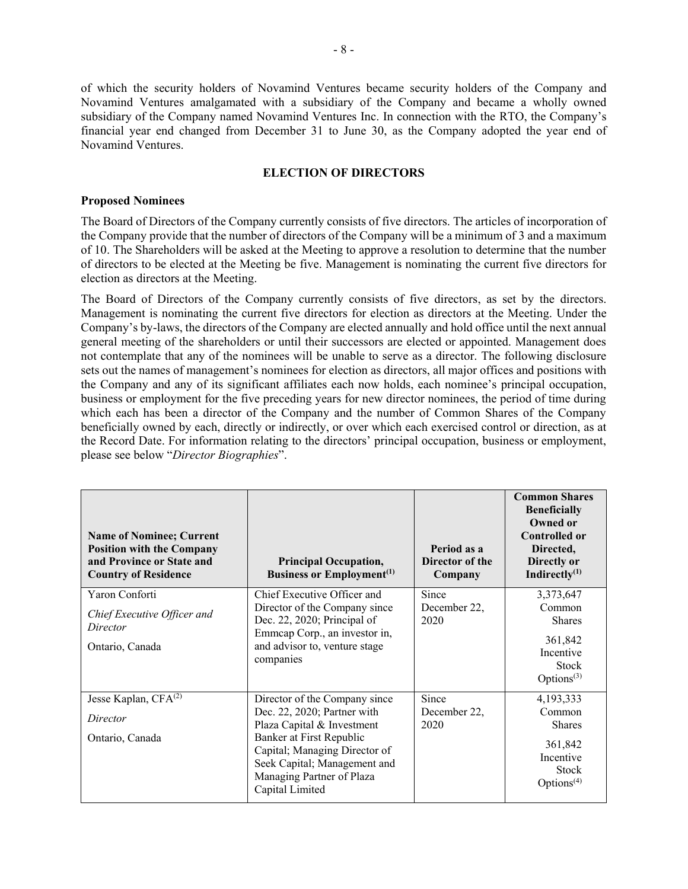of which the security holders of Novamind Ventures became security holders of the Company and Novamind Ventures amalgamated with a subsidiary of the Company and became a wholly owned subsidiary of the Company named Novamind Ventures Inc. In connection with the RTO, the Company's financial year end changed from December 31 to June 30, as the Company adopted the year end of Novamind Ventures.

### **ELECTION OF DIRECTORS**

#### **Proposed Nominees**

The Board of Directors of the Company currently consists of five directors. The articles of incorporation of the Company provide that the number of directors of the Company will be a minimum of 3 and a maximum of 10. The Shareholders will be asked at the Meeting to approve a resolution to determine that the number of directors to be elected at the Meeting be five. Management is nominating the current five directors for election as directors at the Meeting.

The Board of Directors of the Company currently consists of five directors, as set by the directors. Management is nominating the current five directors for election as directors at the Meeting. Under the Company's by-laws, the directors of the Company are elected annually and hold office until the next annual general meeting of the shareholders or until their successors are elected or appointed. Management does not contemplate that any of the nominees will be unable to serve as a director. The following disclosure sets out the names of management's nominees for election as directors, all major offices and positions with the Company and any of its significant affiliates each now holds, each nominee's principal occupation, business or employment for the five preceding years for new director nominees, the period of time during which each has been a director of the Company and the number of Common Shares of the Company beneficially owned by each, directly or indirectly, or over which each exercised control or direction, as at the Record Date. For information relating to the directors' principal occupation, business or employment, please see below "*Director Biographies*".

| <b>Name of Nominee; Current</b><br><b>Position with the Company</b><br>and Province or State and<br><b>Country of Residence</b> | <b>Principal Occupation,</b><br><b>Business or Employment</b> <sup>(1)</sup>                                                                                                                                                            | Period as a<br>Director of the<br>Company | <b>Common Shares</b><br><b>Beneficially</b><br><b>Owned or</b><br><b>Controlled or</b><br>Directed,<br>Directly or<br>Indirectly $^{(1)}$ |
|---------------------------------------------------------------------------------------------------------------------------------|-----------------------------------------------------------------------------------------------------------------------------------------------------------------------------------------------------------------------------------------|-------------------------------------------|-------------------------------------------------------------------------------------------------------------------------------------------|
| Yaron Conforti<br>Chief Executive Officer and<br>Director<br>Ontario, Canada                                                    | Chief Executive Officer and<br>Director of the Company since<br>Dec. 22, 2020; Principal of<br>Emmcap Corp., an investor in,<br>and advisor to, venture stage<br>companies                                                              | Since<br>December 22,<br>2020             | 3,373,647<br>Common<br><b>Shares</b><br>361,842<br>Incentive<br><b>Stock</b><br>Options $(3)$                                             |
| Jesse Kaplan, CFA <sup>(2)</sup><br>Director<br>Ontario, Canada                                                                 | Director of the Company since<br>Dec. 22, 2020; Partner with<br>Plaza Capital & Investment<br>Banker at First Republic<br>Capital; Managing Director of<br>Seek Capital; Management and<br>Managing Partner of Plaza<br>Capital Limited | Since<br>December 22,<br>2020             | 4,193,333<br>Common<br><b>Shares</b><br>361,842<br>Incentive<br><b>Stock</b><br>Options $(4)$                                             |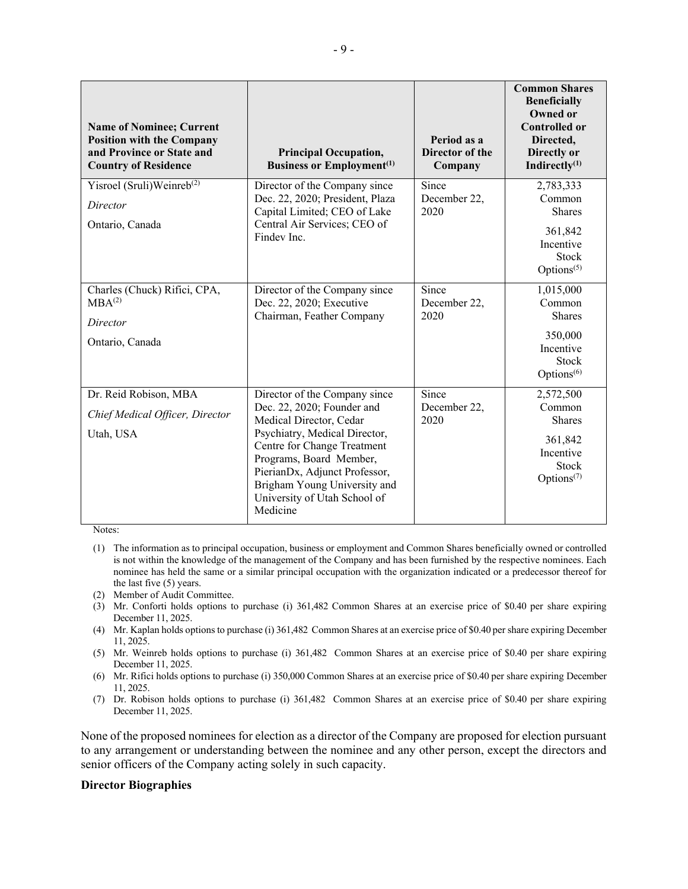| <b>Name of Nominee; Current</b><br><b>Position with the Company</b><br>and Province or State and<br><b>Country of Residence</b> | <b>Principal Occupation,</b><br><b>Business or Employment</b> <sup>(1)</sup>                                                                                                                         | Period as a<br><b>Director of the</b><br>Company | <b>Common Shares</b><br><b>Beneficially</b><br><b>Owned or</b><br><b>Controlled or</b><br>Directed,<br>Directly or<br>Indirectly $(1)$ |
|---------------------------------------------------------------------------------------------------------------------------------|------------------------------------------------------------------------------------------------------------------------------------------------------------------------------------------------------|--------------------------------------------------|----------------------------------------------------------------------------------------------------------------------------------------|
| Yisroel (Sruli)Weinreb <sup>(2)</sup>                                                                                           | Director of the Company since<br>Dec. 22, 2020; President, Plaza                                                                                                                                     | Since<br>December 22,                            | 2,783,333<br>Common                                                                                                                    |
| Director                                                                                                                        | Capital Limited; CEO of Lake                                                                                                                                                                         | 2020                                             | <b>Shares</b>                                                                                                                          |
| Ontario, Canada                                                                                                                 | Central Air Services; CEO of<br>Findey Inc.                                                                                                                                                          |                                                  | 361,842<br>Incentive<br><b>Stock</b><br>Options $(5)$                                                                                  |
| Charles (Chuck) Rifici, CPA,<br>MBA <sup>(2)</sup>                                                                              | Director of the Company since<br>Dec. 22, 2020; Executive                                                                                                                                            | Since<br>December 22,                            | 1,015,000<br>Common                                                                                                                    |
| Director                                                                                                                        | Chairman, Feather Company                                                                                                                                                                            | 2020                                             | <b>Shares</b>                                                                                                                          |
| Ontario, Canada                                                                                                                 |                                                                                                                                                                                                      |                                                  | 350,000<br>Incentive<br><b>Stock</b><br>Options <sup>(6)</sup>                                                                         |
| Dr. Reid Robison, MBA                                                                                                           | Director of the Company since                                                                                                                                                                        | Since                                            | 2,572,500                                                                                                                              |
| Chief Medical Officer, Director                                                                                                 | Dec. 22, 2020; Founder and<br>Medical Director, Cedar                                                                                                                                                | December 22,<br>2020                             | Common<br><b>Shares</b>                                                                                                                |
| Utah, USA                                                                                                                       | Psychiatry, Medical Director,<br>Centre for Change Treatment<br>Programs, Board Member,<br>PierianDx, Adjunct Professor,<br>Brigham Young University and<br>University of Utah School of<br>Medicine |                                                  | 361,842<br>Incentive<br><b>Stock</b><br>Options <sup><math>(7)</math></sup>                                                            |

Notes:

- (1) The information as to principal occupation, business or employment and Common Shares beneficially owned or controlled is not within the knowledge of the management of the Company and has been furnished by the respective nominees. Each nominee has held the same or a similar principal occupation with the organization indicated or a predecessor thereof for the last five (5) years.
- (2) Member of Audit Committee.
- (3) Mr. Conforti holds options to purchase (i) 361,482 Common Shares at an exercise price of \$0.40 per share expiring December 11, 2025.
- (4) Mr. Kaplan holds options to purchase (i) 361,482 Common Shares at an exercise price of \$0.40 per share expiring December 11, 2025.
- (5) Mr. Weinreb holds options to purchase (i) 361,482 Common Shares at an exercise price of \$0.40 per share expiring December 11, 2025.
- (6) Mr. Rifici holds options to purchase (i) 350,000 Common Shares at an exercise price of \$0.40 per share expiring December 11, 2025.
- (7) Dr. Robison holds options to purchase (i) 361,482 Common Shares at an exercise price of \$0.40 per share expiring December 11, 2025.

None of the proposed nominees for election as a director of the Company are proposed for election pursuant to any arrangement or understanding between the nominee and any other person, except the directors and senior officers of the Company acting solely in such capacity.

#### **Director Biographies**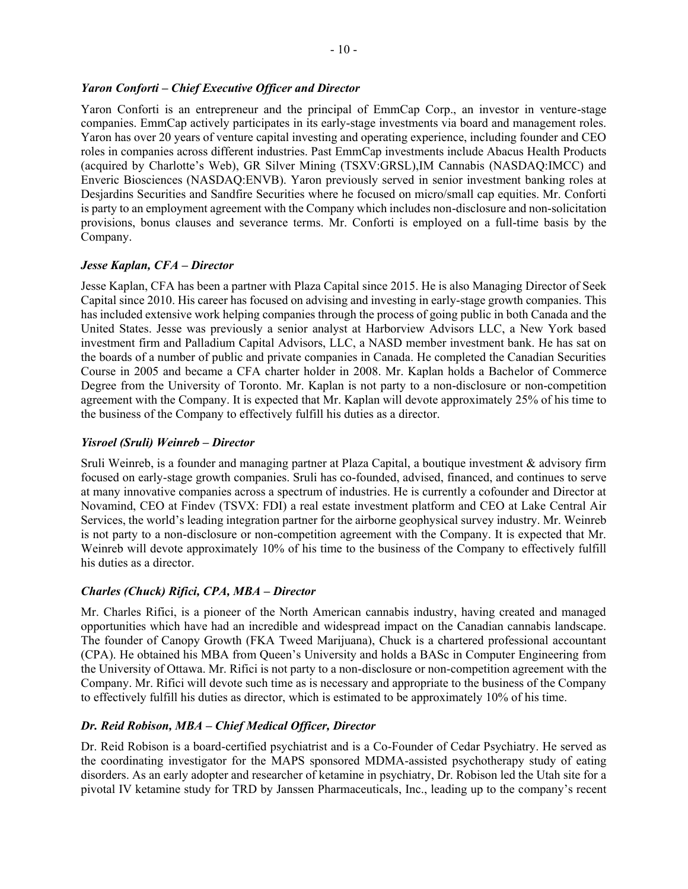## *Yaron Conforti – Chief Executive Officer and Director*

Yaron Conforti is an entrepreneur and the principal of EmmCap Corp., an investor in venture-stage companies. EmmCap actively participates in its early-stage investments via board and management roles. Yaron has over 20 years of venture capital investing and operating experience, including founder and CEO roles in companies across different industries. Past EmmCap investments include Abacus Health Products (acquired by Charlotte's Web), GR Silver Mining (TSXV:GRSL),IM Cannabis (NASDAQ:IMCC) and Enveric Biosciences (NASDAQ:ENVB). Yaron previously served in senior investment banking roles at Desjardins Securities and Sandfire Securities where he focused on micro/small cap equities. Mr. Conforti is party to an employment agreement with the Company which includes non-disclosure and non-solicitation provisions, bonus clauses and severance terms. Mr. Conforti is employed on a full-time basis by the Company.

## *Jesse Kaplan, CFA – Director*

Jesse Kaplan, CFA has been a partner with Plaza Capital since 2015. He is also Managing Director of Seek Capital since 2010. His career has focused on advising and investing in early-stage growth companies. This has included extensive work helping companies through the process of going public in both Canada and the United States. Jesse was previously a senior analyst at Harborview Advisors LLC, a New York based investment firm and Palladium Capital Advisors, LLC, a NASD member investment bank. He has sat on the boards of a number of public and private companies in Canada. He completed the Canadian Securities Course in 2005 and became a CFA charter holder in 2008. Mr. Kaplan holds a Bachelor of Commerce Degree from the University of Toronto. Mr. Kaplan is not party to a non-disclosure or non-competition agreement with the Company. It is expected that Mr. Kaplan will devote approximately 25% of his time to the business of the Company to effectively fulfill his duties as a director.

## *Yisroel (Sruli) Weinreb – Director*

Sruli Weinreb, is a founder and managing partner at Plaza Capital, a boutique investment & advisory firm focused on early-stage growth companies. Sruli has co-founded, advised, financed, and continues to serve at many innovative companies across a spectrum of industries. He is currently a cofounder and Director at Novamind, CEO at Findev (TSVX: FDI) a real estate investment platform and CEO at Lake Central Air Services, the world's leading integration partner for the airborne geophysical survey industry. Mr. Weinreb is not party to a non-disclosure or non-competition agreement with the Company. It is expected that Mr. Weinreb will devote approximately 10% of his time to the business of the Company to effectively fulfill his duties as a director.

## *Charles (Chuck) Rifici, CPA, MBA – Director*

Mr. Charles Rifici, is a pioneer of the North American cannabis industry, having created and managed opportunities which have had an incredible and widespread impact on the Canadian cannabis landscape. The founder of Canopy Growth (FKA Tweed Marijuana), Chuck is a chartered professional accountant (CPA). He obtained his MBA from Queen's University and holds a BASc in Computer Engineering from the University of Ottawa. Mr. Rifici is not party to a non-disclosure or non-competition agreement with the Company. Mr. Rifici will devote such time as is necessary and appropriate to the business of the Company to effectively fulfill his duties as director, which is estimated to be approximately 10% of his time.

## *Dr. Reid Robison, MBA – Chief Medical Officer, Director*

Dr. Reid Robison is a board-certified psychiatrist and is a Co-Founder of Cedar Psychiatry. He served as the coordinating investigator for the MAPS sponsored MDMA-assisted psychotherapy study of eating disorders. As an early adopter and researcher of ketamine in psychiatry, Dr. Robison led the Utah site for a pivotal IV ketamine study for TRD by Janssen Pharmaceuticals, Inc., leading up to the company's recent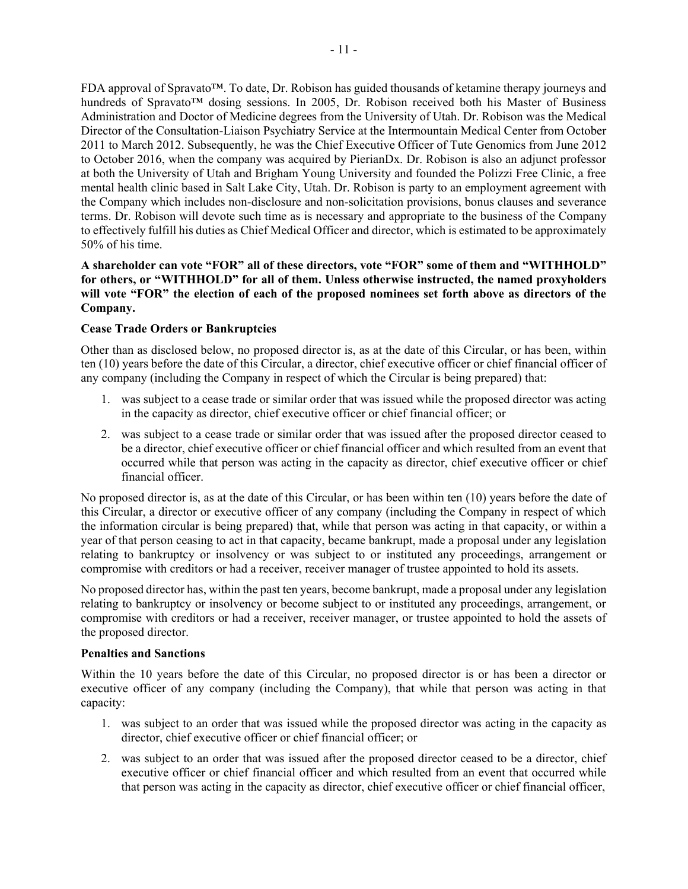FDA approval of Spravato™. To date, Dr. Robison has guided thousands of ketamine therapy journeys and hundreds of Spravato<sup>™</sup> dosing sessions. In 2005, Dr. Robison received both his Master of Business Administration and Doctor of Medicine degrees from the University of Utah. Dr. Robison was the Medical Director of the Consultation-Liaison Psychiatry Service at the Intermountain Medical Center from October 2011 to March 2012. Subsequently, he was the Chief Executive Officer of Tute Genomics from June 2012 to October 2016, when the company was acquired by PierianDx. Dr. Robison is also an adjunct professor at both the University of Utah and Brigham Young University and founded the Polizzi Free Clinic, a free mental health clinic based in Salt Lake City, Utah. Dr. Robison is party to an employment agreement with the Company which includes non-disclosure and non-solicitation provisions, bonus clauses and severance terms. Dr. Robison will devote such time as is necessary and appropriate to the business of the Company to effectively fulfill his duties as Chief Medical Officer and director, which is estimated to be approximately 50% of his time.

## **A shareholder can vote "FOR" all of these directors, vote "FOR" some of them and "WITHHOLD" for others, or "WITHHOLD" for all of them. Unless otherwise instructed, the named proxyholders will vote "FOR" the election of each of the proposed nominees set forth above as directors of the Company.**

## **Cease Trade Orders or Bankruptcies**

Other than as disclosed below, no proposed director is, as at the date of this Circular, or has been, within ten (10) years before the date of this Circular, a director, chief executive officer or chief financial officer of any company (including the Company in respect of which the Circular is being prepared) that:

- 1. was subject to a cease trade or similar order that was issued while the proposed director was acting in the capacity as director, chief executive officer or chief financial officer; or
- 2. was subject to a cease trade or similar order that was issued after the proposed director ceased to be a director, chief executive officer or chief financial officer and which resulted from an event that occurred while that person was acting in the capacity as director, chief executive officer or chief financial officer.

No proposed director is, as at the date of this Circular, or has been within ten (10) years before the date of this Circular, a director or executive officer of any company (including the Company in respect of which the information circular is being prepared) that, while that person was acting in that capacity, or within a year of that person ceasing to act in that capacity, became bankrupt, made a proposal under any legislation relating to bankruptcy or insolvency or was subject to or instituted any proceedings, arrangement or compromise with creditors or had a receiver, receiver manager of trustee appointed to hold its assets.

No proposed director has, within the past ten years, become bankrupt, made a proposal under any legislation relating to bankruptcy or insolvency or become subject to or instituted any proceedings, arrangement, or compromise with creditors or had a receiver, receiver manager, or trustee appointed to hold the assets of the proposed director.

## **Penalties and Sanctions**

Within the 10 years before the date of this Circular, no proposed director is or has been a director or executive officer of any company (including the Company), that while that person was acting in that capacity:

- 1. was subject to an order that was issued while the proposed director was acting in the capacity as director, chief executive officer or chief financial officer; or
- 2. was subject to an order that was issued after the proposed director ceased to be a director, chief executive officer or chief financial officer and which resulted from an event that occurred while that person was acting in the capacity as director, chief executive officer or chief financial officer,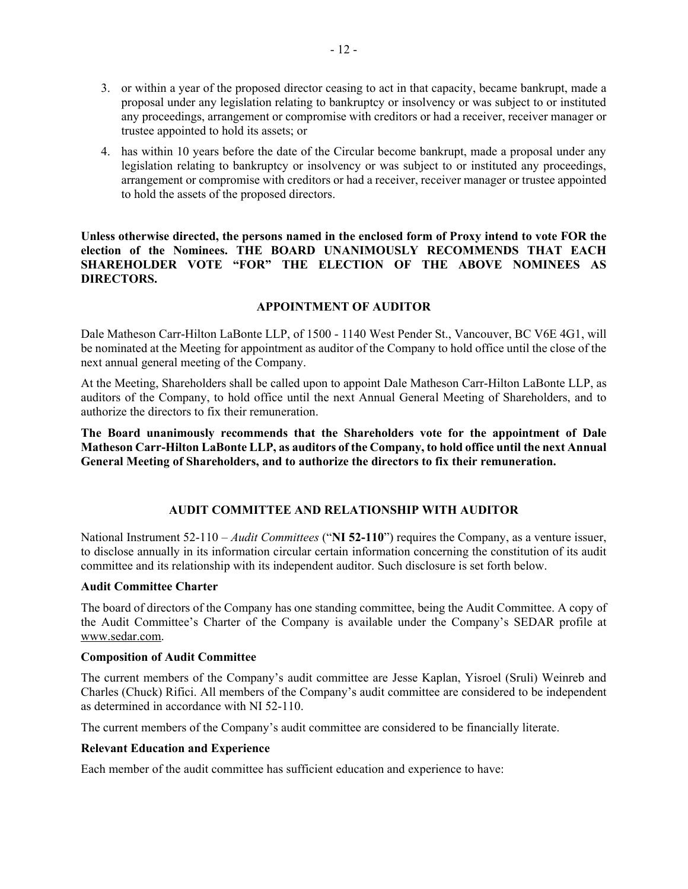- 3. or within a year of the proposed director ceasing to act in that capacity, became bankrupt, made a proposal under any legislation relating to bankruptcy or insolvency or was subject to or instituted any proceedings, arrangement or compromise with creditors or had a receiver, receiver manager or trustee appointed to hold its assets; or
- 4. has within 10 years before the date of the Circular become bankrupt, made a proposal under any legislation relating to bankruptcy or insolvency or was subject to or instituted any proceedings, arrangement or compromise with creditors or had a receiver, receiver manager or trustee appointed to hold the assets of the proposed directors.

**Unless otherwise directed, the persons named in the enclosed form of Proxy intend to vote FOR the election of the Nominees. THE BOARD UNANIMOUSLY RECOMMENDS THAT EACH SHAREHOLDER VOTE "FOR" THE ELECTION OF THE ABOVE NOMINEES AS DIRECTORS.**

## **APPOINTMENT OF AUDITOR**

Dale Matheson Carr-Hilton LaBonte LLP, of 1500 - 1140 West Pender St., Vancouver, BC V6E 4G1, will be nominated at the Meeting for appointment as auditor of the Company to hold office until the close of the next annual general meeting of the Company.

At the Meeting, Shareholders shall be called upon to appoint Dale Matheson Carr-Hilton LaBonte LLP, as auditors of the Company, to hold office until the next Annual General Meeting of Shareholders, and to authorize the directors to fix their remuneration.

**The Board unanimously recommends that the Shareholders vote for the appointment of Dale Matheson Carr-Hilton LaBonte LLP, as auditors of the Company, to hold office until the next Annual General Meeting of Shareholders, and to authorize the directors to fix their remuneration.** 

## **AUDIT COMMITTEE AND RELATIONSHIP WITH AUDITOR**

National Instrument 52-110 – *Audit Committees* ("**NI 52-110**") requires the Company, as a venture issuer, to disclose annually in its information circular certain information concerning the constitution of its audit committee and its relationship with its independent auditor. Such disclosure is set forth below.

#### **Audit Committee Charter**

The board of directors of the Company has one standing committee, being the Audit Committee. A copy of the Audit Committee's Charter of the Company is available under the Company's SEDAR profile at www.sedar.com.

#### **Composition of Audit Committee**

The current members of the Company's audit committee are Jesse Kaplan, Yisroel (Sruli) Weinreb and Charles (Chuck) Rifici. All members of the Company's audit committee are considered to be independent as determined in accordance with NI 52-110.

The current members of the Company's audit committee are considered to be financially literate.

#### **Relevant Education and Experience**

Each member of the audit committee has sufficient education and experience to have: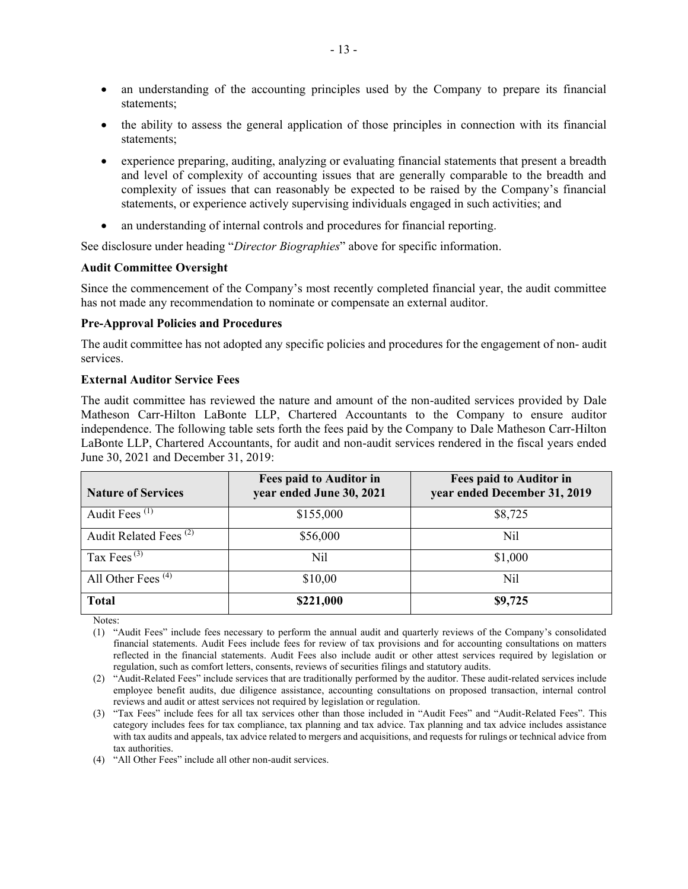- an understanding of the accounting principles used by the Company to prepare its financial statements;
- the ability to assess the general application of those principles in connection with its financial statements;
- experience preparing, auditing, analyzing or evaluating financial statements that present a breadth and level of complexity of accounting issues that are generally comparable to the breadth and complexity of issues that can reasonably be expected to be raised by the Company's financial statements, or experience actively supervising individuals engaged in such activities; and
- an understanding of internal controls and procedures for financial reporting.

See disclosure under heading "*Director Biographies*" above for specific information.

#### **Audit Committee Oversight**

Since the commencement of the Company's most recently completed financial year, the audit committee has not made any recommendation to nominate or compensate an external auditor.

#### **Pre-Approval Policies and Procedures**

The audit committee has not adopted any specific policies and procedures for the engagement of non- audit services.

#### **External Auditor Service Fees**

The audit committee has reviewed the nature and amount of the non-audited services provided by Dale Matheson Carr-Hilton LaBonte LLP, Chartered Accountants to the Company to ensure auditor independence. The following table sets forth the fees paid by the Company to Dale Matheson Carr-Hilton LaBonte LLP, Chartered Accountants, for audit and non-audit services rendered in the fiscal years ended June 30, 2021 and December 31, 2019:

| <b>Nature of Services</b>         | Fees paid to Auditor in<br>year ended June 30, 2021 | Fees paid to Auditor in<br>year ended December 31, 2019 |
|-----------------------------------|-----------------------------------------------------|---------------------------------------------------------|
| Audit Fees <sup>(1)</sup>         | \$155,000                                           | \$8,725                                                 |
| Audit Related Fees <sup>(2)</sup> | \$56,000                                            | Nil                                                     |
| Tax Fees $^{(3)}$                 | Nil                                                 | \$1,000                                                 |
| All Other Fees $(4)$              | \$10,00                                             | Nil                                                     |
| <b>Total</b>                      | \$221,000                                           | \$9,725                                                 |

Notes:

(1) "Audit Fees" include fees necessary to perform the annual audit and quarterly reviews of the Company's consolidated financial statements. Audit Fees include fees for review of tax provisions and for accounting consultations on matters reflected in the financial statements. Audit Fees also include audit or other attest services required by legislation or regulation, such as comfort letters, consents, reviews of securities filings and statutory audits.

(2) "Audit-Related Fees" include services that are traditionally performed by the auditor. These audit-related services include employee benefit audits, due diligence assistance, accounting consultations on proposed transaction, internal control reviews and audit or attest services not required by legislation or regulation.

(3) "Tax Fees" include fees for all tax services other than those included in "Audit Fees" and "Audit-Related Fees". This category includes fees for tax compliance, tax planning and tax advice. Tax planning and tax advice includes assistance with tax audits and appeals, tax advice related to mergers and acquisitions, and requests for rulings or technical advice from tax authorities.

(4) "All Other Fees" include all other non-audit services.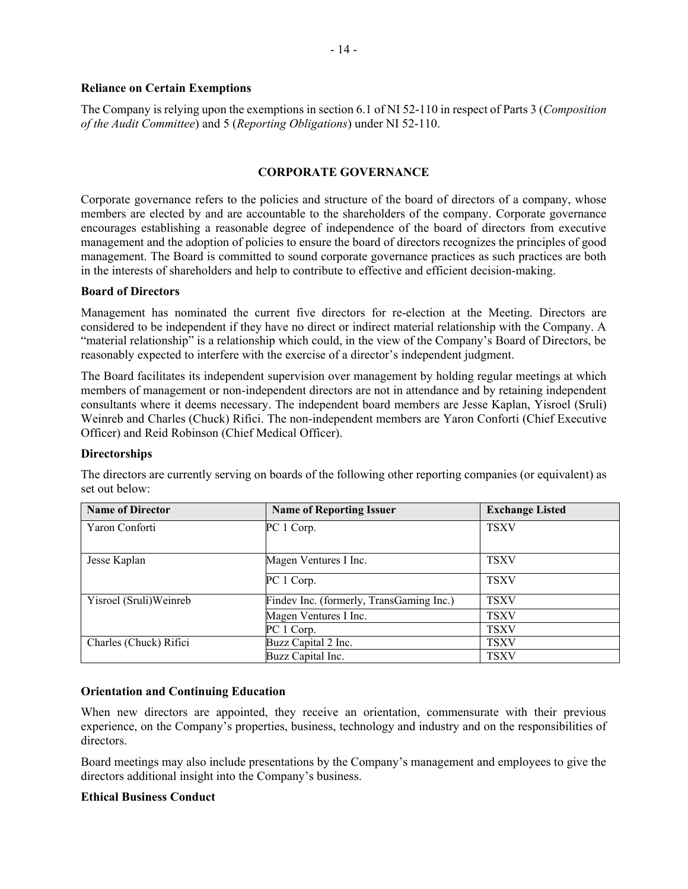#### **Reliance on Certain Exemptions**

The Company is relying upon the exemptions in section 6.1 of NI 52-110 in respect of Parts 3 (*Composition of the Audit Committee*) and 5 (*Reporting Obligations*) under NI 52-110.

### **CORPORATE GOVERNANCE**

Corporate governance refers to the policies and structure of the board of directors of a company, whose members are elected by and are accountable to the shareholders of the company. Corporate governance encourages establishing a reasonable degree of independence of the board of directors from executive management and the adoption of policies to ensure the board of directors recognizes the principles of good management. The Board is committed to sound corporate governance practices as such practices are both in the interests of shareholders and help to contribute to effective and efficient decision-making.

## **Board of Directors**

Management has nominated the current five directors for re-election at the Meeting. Directors are considered to be independent if they have no direct or indirect material relationship with the Company. A "material relationship" is a relationship which could, in the view of the Company's Board of Directors, be reasonably expected to interfere with the exercise of a director's independent judgment.

The Board facilitates its independent supervision over management by holding regular meetings at which members of management or non-independent directors are not in attendance and by retaining independent consultants where it deems necessary. The independent board members are Jesse Kaplan, Yisroel (Sruli) Weinreb and Charles (Chuck) Rifici. The non-independent members are Yaron Conforti (Chief Executive Officer) and Reid Robinson (Chief Medical Officer).

## **Directorships**

| <b>Name of Director</b> | <b>Name of Reporting Issuer</b>          | <b>Exchange Listed</b> |
|-------------------------|------------------------------------------|------------------------|
| Yaron Conforti          | PC 1 Corp.                               | <b>TSXV</b>            |
| Jesse Kaplan            | Magen Ventures I Inc.                    | <b>TSXV</b>            |
|                         | PC 1 Corp.                               | <b>TSXV</b>            |
| Yisroel (Sruli)Weinreb  | Findev Inc. (formerly, TransGaming Inc.) | <b>TSXV</b>            |
|                         | Magen Ventures I Inc.                    | <b>TSXV</b>            |
|                         | PC 1 Corp.                               | <b>TSXV</b>            |
| Charles (Chuck) Rifici  | Buzz Capital 2 Inc.                      | <b>TSXV</b>            |
|                         | Buzz Capital Inc.                        | <b>TSXV</b>            |

The directors are currently serving on boards of the following other reporting companies (or equivalent) as set out below:

## **Orientation and Continuing Education**

When new directors are appointed, they receive an orientation, commensurate with their previous experience, on the Company's properties, business, technology and industry and on the responsibilities of directors.

Board meetings may also include presentations by the Company's management and employees to give the directors additional insight into the Company's business.

#### **Ethical Business Conduct**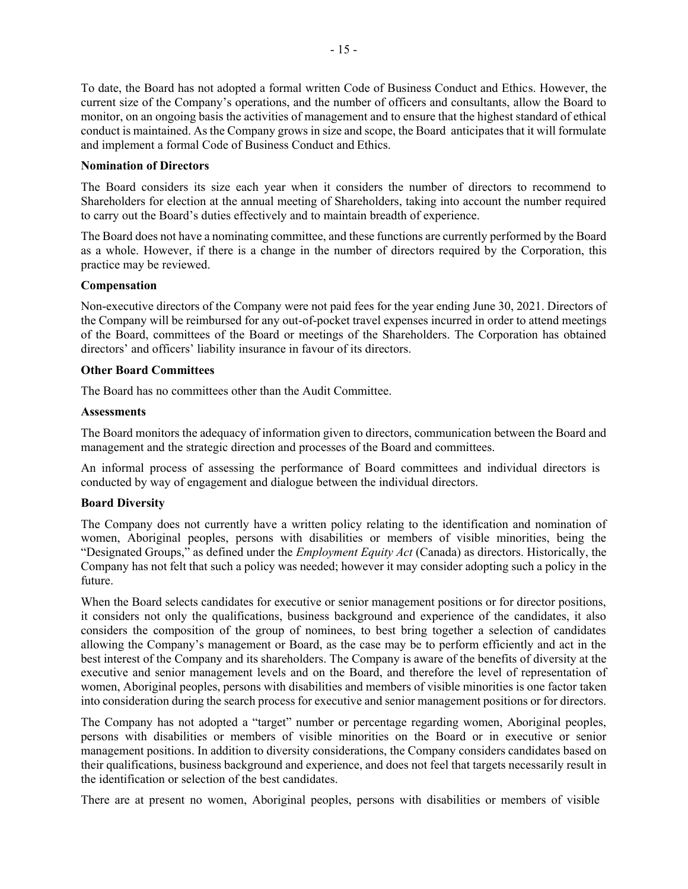To date, the Board has not adopted a formal written Code of Business Conduct and Ethics. However, the current size of the Company's operations, and the number of officers and consultants, allow the Board to monitor, on an ongoing basis the activities of management and to ensure that the highest standard of ethical conduct is maintained. As the Company grows in size and scope, the Board anticipates that it will formulate and implement a formal Code of Business Conduct and Ethics.

### **Nomination of Directors**

The Board considers its size each year when it considers the number of directors to recommend to Shareholders for election at the annual meeting of Shareholders, taking into account the number required to carry out the Board's duties effectively and to maintain breadth of experience.

The Board does not have a nominating committee, and these functions are currently performed by the Board as a whole. However, if there is a change in the number of directors required by the Corporation, this practice may be reviewed.

## **Compensation**

Non-executive directors of the Company were not paid fees for the year ending June 30, 2021. Directors of the Company will be reimbursed for any out-of-pocket travel expenses incurred in order to attend meetings of the Board, committees of the Board or meetings of the Shareholders. The Corporation has obtained directors' and officers' liability insurance in favour of its directors.

## **Other Board Committees**

The Board has no committees other than the Audit Committee.

#### **Assessments**

The Board monitors the adequacy of information given to directors, communication between the Board and management and the strategic direction and processes of the Board and committees.

An informal process of assessing the performance of Board committees and individual directors is conducted by way of engagement and dialogue between the individual directors.

## **Board Diversity**

The Company does not currently have a written policy relating to the identification and nomination of women, Aboriginal peoples, persons with disabilities or members of visible minorities, being the "Designated Groups," as defined under the *Employment Equity Act* (Canada) as directors. Historically, the Company has not felt that such a policy was needed; however it may consider adopting such a policy in the future.

When the Board selects candidates for executive or senior management positions or for director positions, it considers not only the qualifications, business background and experience of the candidates, it also considers the composition of the group of nominees, to best bring together a selection of candidates allowing the Company's management or Board, as the case may be to perform efficiently and act in the best interest of the Company and its shareholders. The Company is aware of the benefits of diversity at the executive and senior management levels and on the Board, and therefore the level of representation of women, Aboriginal peoples, persons with disabilities and members of visible minorities is one factor taken into consideration during the search process for executive and senior management positions or for directors.

The Company has not adopted a "target" number or percentage regarding women, Aboriginal peoples, persons with disabilities or members of visible minorities on the Board or in executive or senior management positions. In addition to diversity considerations, the Company considers candidates based on their qualifications, business background and experience, and does not feel that targets necessarily result in the identification or selection of the best candidates.

There are at present no women, Aboriginal peoples, persons with disabilities or members of visible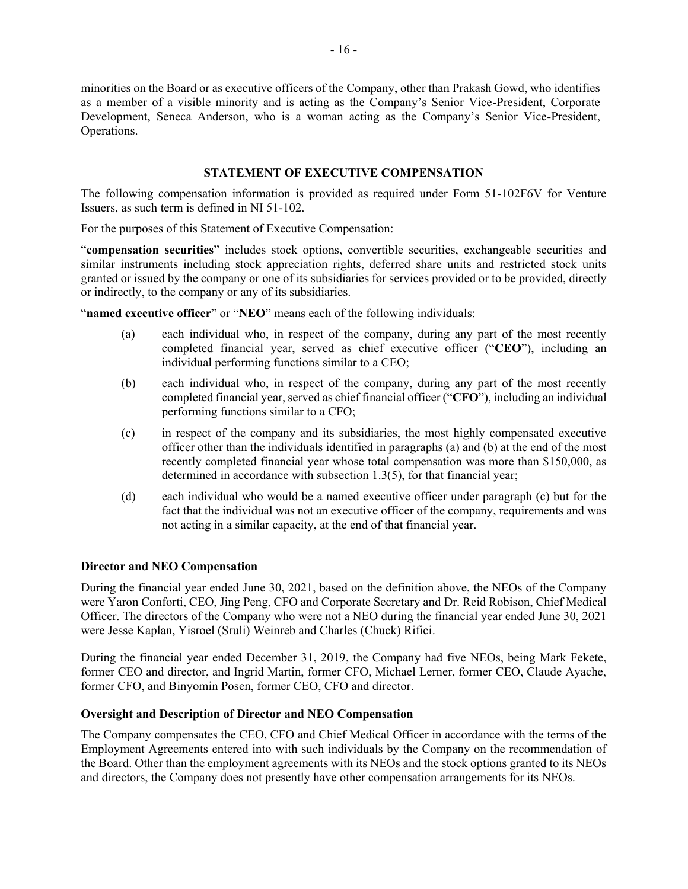minorities on the Board or as executive officers of the Company, other than Prakash Gowd, who identifies as a member of a visible minority and is acting as the Company's Senior Vice-President, Corporate Development, Seneca Anderson, who is a woman acting as the Company's Senior Vice-President, Operations.

## **STATEMENT OF EXECUTIVE COMPENSATION**

The following compensation information is provided as required under Form 51-102F6V for Venture Issuers, as such term is defined in NI 51-102.

For the purposes of this Statement of Executive Compensation:

"**compensation securities**" includes stock options, convertible securities, exchangeable securities and similar instruments including stock appreciation rights, deferred share units and restricted stock units granted or issued by the company or one of its subsidiaries for services provided or to be provided, directly or indirectly, to the company or any of its subsidiaries.

"**named executive officer**" or "**NEO**" means each of the following individuals:

- (a) each individual who, in respect of the company, during any part of the most recently completed financial year, served as chief executive officer ("**CEO**"), including an individual performing functions similar to a CEO;
- (b) each individual who, in respect of the company, during any part of the most recently completed financial year, served as chief financial officer ("**CFO**"), including an individual performing functions similar to a CFO;
- (c) in respect of the company and its subsidiaries, the most highly compensated executive officer other than the individuals identified in paragraphs (a) and (b) at the end of the most recently completed financial year whose total compensation was more than \$150,000, as determined in accordance with subsection 1.3(5), for that financial year;
- (d) each individual who would be a named executive officer under paragraph (c) but for the fact that the individual was not an executive officer of the company, requirements and was not acting in a similar capacity, at the end of that financial year.

## **Director and NEO Compensation**

During the financial year ended June 30, 2021, based on the definition above, the NEOs of the Company were Yaron Conforti, CEO, Jing Peng, CFO and Corporate Secretary and Dr. Reid Robison, Chief Medical Officer. The directors of the Company who were not a NEO during the financial year ended June 30, 2021 were Jesse Kaplan, Yisroel (Sruli) Weinreb and Charles (Chuck) Rifici.

During the financial year ended December 31, 2019, the Company had five NEOs, being Mark Fekete, former CEO and director, and Ingrid Martin, former CFO, Michael Lerner, former CEO, Claude Ayache, former CFO, and Binyomin Posen, former CEO, CFO and director.

## **Oversight and Description of Director and NEO Compensation**

The Company compensates the CEO, CFO and Chief Medical Officer in accordance with the terms of the Employment Agreements entered into with such individuals by the Company on the recommendation of the Board. Other than the employment agreements with its NEOs and the stock options granted to its NEOs and directors, the Company does not presently have other compensation arrangements for its NEOs.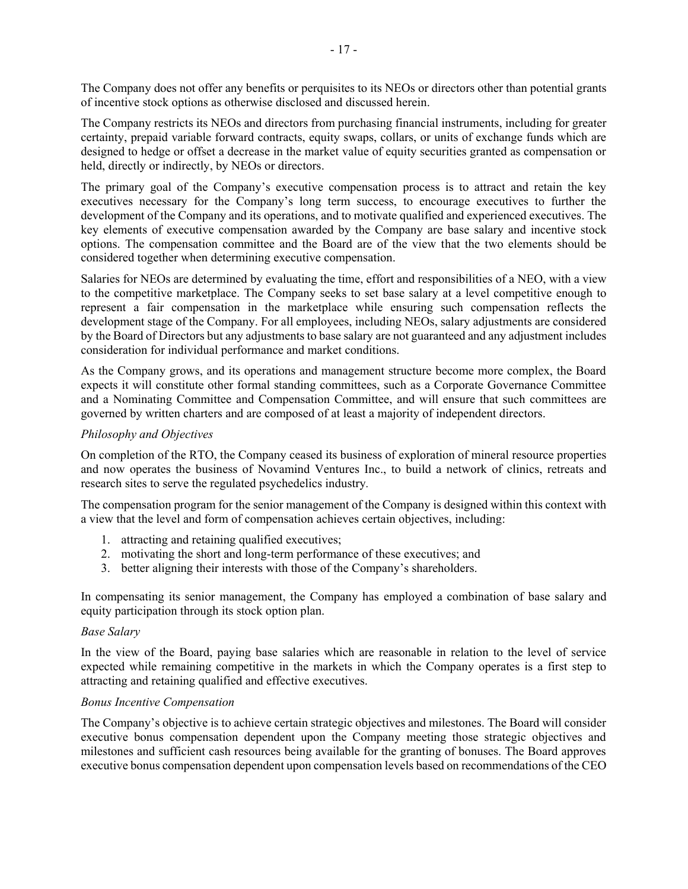The Company does not offer any benefits or perquisites to its NEOs or directors other than potential grants of incentive stock options as otherwise disclosed and discussed herein.

The Company restricts its NEOs and directors from purchasing financial instruments, including for greater certainty, prepaid variable forward contracts, equity swaps, collars, or units of exchange funds which are designed to hedge or offset a decrease in the market value of equity securities granted as compensation or held, directly or indirectly, by NEOs or directors.

The primary goal of the Company's executive compensation process is to attract and retain the key executives necessary for the Company's long term success, to encourage executives to further the development of the Company and its operations, and to motivate qualified and experienced executives. The key elements of executive compensation awarded by the Company are base salary and incentive stock options. The compensation committee and the Board are of the view that the two elements should be considered together when determining executive compensation.

Salaries for NEOs are determined by evaluating the time, effort and responsibilities of a NEO, with a view to the competitive marketplace. The Company seeks to set base salary at a level competitive enough to represent a fair compensation in the marketplace while ensuring such compensation reflects the development stage of the Company. For all employees, including NEOs, salary adjustments are considered by the Board of Directors but any adjustments to base salary are not guaranteed and any adjustment includes consideration for individual performance and market conditions.

As the Company grows, and its operations and management structure become more complex, the Board expects it will constitute other formal standing committees, such as a Corporate Governance Committee and a Nominating Committee and Compensation Committee, and will ensure that such committees are governed by written charters and are composed of at least a majority of independent directors.

## *Philosophy and Objectives*

On completion of the RTO, the Company ceased its business of exploration of mineral resource properties and now operates the business of Novamind Ventures Inc., to build a network of clinics, retreats and research sites to serve the regulated psychedelics industry*.*

The compensation program for the senior management of the Company is designed within this context with a view that the level and form of compensation achieves certain objectives, including:

- 1. attracting and retaining qualified executives;
- 2. motivating the short and long-term performance of these executives; and
- 3. better aligning their interests with those of the Company's shareholders.

In compensating its senior management, the Company has employed a combination of base salary and equity participation through its stock option plan.

## *Base Salary*

In the view of the Board, paying base salaries which are reasonable in relation to the level of service expected while remaining competitive in the markets in which the Company operates is a first step to attracting and retaining qualified and effective executives.

## *Bonus Incentive Compensation*

The Company's objective is to achieve certain strategic objectives and milestones. The Board will consider executive bonus compensation dependent upon the Company meeting those strategic objectives and milestones and sufficient cash resources being available for the granting of bonuses. The Board approves executive bonus compensation dependent upon compensation levels based on recommendations of the CEO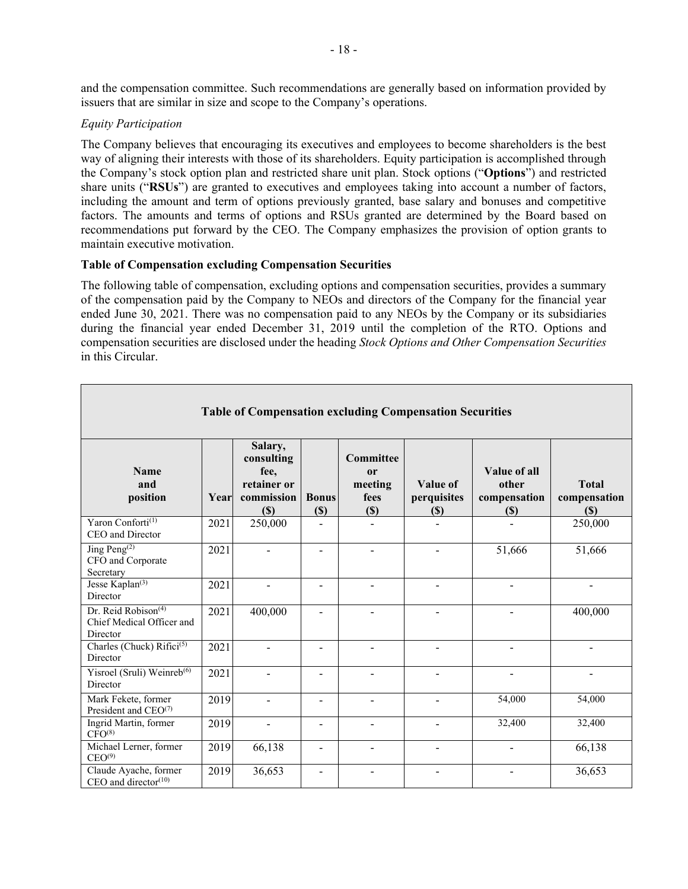and the compensation committee. Such recommendations are generally based on information provided by issuers that are similar in size and scope to the Company's operations.

## *Equity Participation*

The Company believes that encouraging its executives and employees to become shareholders is the best way of aligning their interests with those of its shareholders. Equity participation is accomplished through the Company's stock option plan and restricted share unit plan. Stock options ("**Options**") and restricted share units ("**RSUs**") are granted to executives and employees taking into account a number of factors, including the amount and term of options previously granted, base salary and bonuses and competitive factors. The amounts and terms of options and RSUs granted are determined by the Board based on recommendations put forward by the CEO. The Company emphasizes the provision of option grants to maintain executive motivation.

## **Table of Compensation excluding Compensation Securities**

The following table of compensation, excluding options and compensation securities, provides a summary of the compensation paid by the Company to NEOs and directors of the Company for the financial year ended June 30, 2021. There was no compensation paid to any NEOs by the Company or its subsidiaries during the financial year ended December 31, 2019 until the completion of the RTO. Options and compensation securities are disclosed under the heading *Stock Options and Other Compensation Securities* in this Circular.

|                                                                          |      |                                                                   |                          |                                                         | <b>Table of Compensation excluding Compensation Securities</b> |                                                 |                                     |
|--------------------------------------------------------------------------|------|-------------------------------------------------------------------|--------------------------|---------------------------------------------------------|----------------------------------------------------------------|-------------------------------------------------|-------------------------------------|
| <b>Name</b><br>and<br>position                                           | Year | Salary,<br>consulting<br>fee,<br>retainer or<br>commission<br>(S) | <b>Bonus</b><br>$(\$)$   | Committee<br><sub>or</sub><br>meeting<br>fees<br>$(\$)$ | Value of<br>perquisites<br>$(\$)$                              | Value of all<br>other<br>compensation<br>$(\$)$ | <b>Total</b><br>compensation<br>(S) |
| Yaron Conforti <sup>(1)</sup><br>CEO and Director                        | 2021 | 250,000                                                           | $\overline{a}$           |                                                         |                                                                |                                                 | 250,000                             |
| Jing Peng $^{(2)}$<br>CFO and Corporate<br>Secretary                     | 2021 | $\blacksquare$                                                    | $\overline{\phantom{a}}$ | $\blacksquare$                                          | $\blacksquare$                                                 | 51,666                                          | 51,666                              |
| Jesse Kaplan <sup>(3)</sup><br>Director                                  | 2021 |                                                                   | $\blacksquare$           | $\overline{a}$                                          | $\blacksquare$                                                 | $\overline{\phantom{0}}$                        | $\blacksquare$                      |
| Dr. Reid Robison <sup>(4)</sup><br>Chief Medical Officer and<br>Director | 2021 | 400,000                                                           |                          |                                                         |                                                                |                                                 | 400,000                             |
| Charles (Chuck) Rifici <sup>(5)</sup><br>Director                        | 2021 | $\blacksquare$                                                    | $\blacksquare$           | $\blacksquare$                                          | $\overline{\phantom{a}}$                                       | $\overline{\phantom{a}}$                        | $\overline{\phantom{a}}$            |
| Yisroel (Sruli) Weinreb <sup>(6)</sup><br>Director                       | 2021 | $\sim$                                                            | $\overline{\phantom{a}}$ | $\blacksquare$                                          |                                                                | $\overline{\phantom{0}}$                        |                                     |
| Mark Fekete, former<br>President and $CEO(7)$                            | 2019 | $\blacksquare$                                                    | $\blacksquare$           | $\blacksquare$                                          | $\overline{\phantom{a}}$                                       | 54,000                                          | 54,000                              |
| Ingrid Martin, former<br>CFO <sup>(8)</sup>                              | 2019 | $\blacksquare$                                                    | $\overline{\phantom{a}}$ | $\blacksquare$                                          | $\overline{a}$                                                 | 32,400                                          | 32,400                              |
| Michael Lerner, former<br>CEO <sup>(9)</sup>                             | 2019 | 66,138                                                            | $\overline{\phantom{a}}$ | $\overline{\phantom{a}}$                                |                                                                |                                                 | 66,138                              |
| Claude Ayache, former<br>CEO and director $(10)$                         | 2019 | 36,653                                                            | -                        | ÷                                                       |                                                                |                                                 | 36,653                              |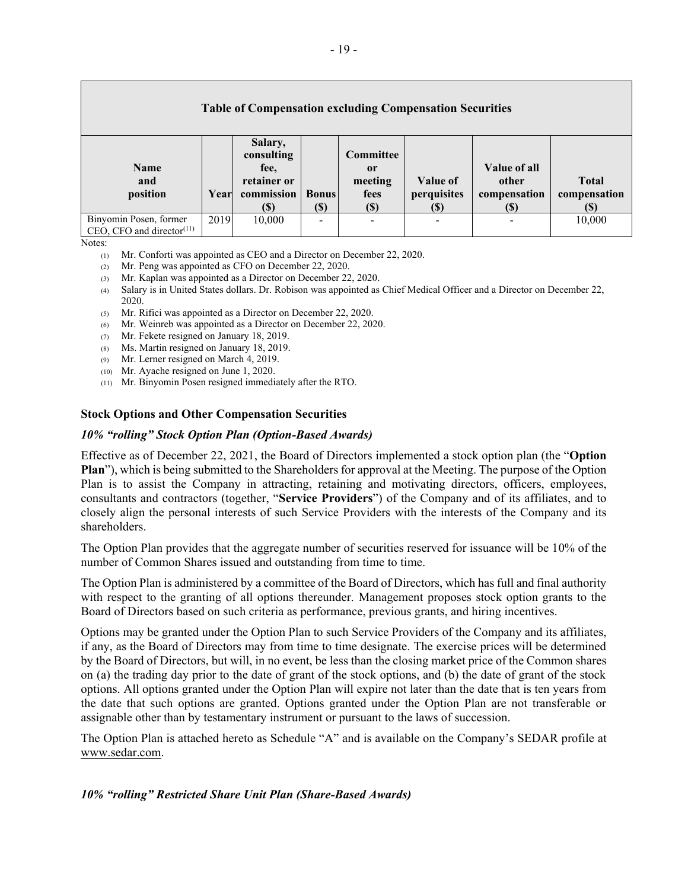| <b>Table of Compensation excluding Compensation Securities</b>                  |      |                                                                   |                          |                                                   |                                |                                              |                                      |
|---------------------------------------------------------------------------------|------|-------------------------------------------------------------------|--------------------------|---------------------------------------------------|--------------------------------|----------------------------------------------|--------------------------------------|
| <b>Name</b><br>and<br>position                                                  | Year | Salary,<br>consulting<br>fee,<br>retainer or<br>commission<br>(S) | <b>Bonus</b><br>$(\$\)$  | <b>Committee</b><br>or<br>meeting<br>fees<br>(\$) | Value of<br>perquisites<br>(S) | Value of all<br>other<br>compensation<br>(S) | <b>Total</b><br>compensation<br>(\$) |
| Binyomin Posen, former<br>$CEO$ , CFO and director <sup><math>(11)</math></sup> | 2019 | 10,000                                                            | $\overline{\phantom{a}}$ | -                                                 |                                |                                              | 10,000                               |

Notes:

- (1) Mr. Conforti was appointed as CEO and a Director on December 22, 2020.
- (2) Mr. Peng was appointed as CFO on December 22, 2020.
- (3) Mr. Kaplan was appointed as a Director on December 22, 2020.
- (4) Salary is in United States dollars. Dr. Robison was appointed as Chief Medical Officer and a Director on December 22, 2020.
- (5) Mr. Rifici was appointed as a Director on December 22, 2020.
- (6) Mr. Weinreb was appointed as a Director on December 22, 2020.
- (7) Mr. Fekete resigned on January 18, 2019.
- (8) Ms. Martin resigned on January 18, 2019.
- (9) Mr. Lerner resigned on March 4, 2019.
- (10) Mr. Ayache resigned on June 1, 2020.
- (11) Mr. Binyomin Posen resigned immediately after the RTO.

#### **Stock Options and Other Compensation Securities**

#### *10% "rolling" Stock Option Plan (Option-Based Awards)*

Effective as of December 22, 2021, the Board of Directors implemented a stock option plan (the "**Option Plan**"), which is being submitted to the Shareholders for approval at the Meeting. The purpose of the Option Plan is to assist the Company in attracting, retaining and motivating directors, officers, employees, consultants and contractors (together, "**Service Providers**") of the Company and of its affiliates, and to closely align the personal interests of such Service Providers with the interests of the Company and its shareholders.

The Option Plan provides that the aggregate number of securities reserved for issuance will be 10% of the number of Common Shares issued and outstanding from time to time.

The Option Plan is administered by a committee of the Board of Directors, which has full and final authority with respect to the granting of all options thereunder. Management proposes stock option grants to the Board of Directors based on such criteria as performance, previous grants, and hiring incentives.

Options may be granted under the Option Plan to such Service Providers of the Company and its affiliates, if any, as the Board of Directors may from time to time designate. The exercise prices will be determined by the Board of Directors, but will, in no event, be less than the closing market price of the Common shares on (a) the trading day prior to the date of grant of the stock options, and (b) the date of grant of the stock options. All options granted under the Option Plan will expire not later than the date that is ten years from the date that such options are granted. Options granted under the Option Plan are not transferable or assignable other than by testamentary instrument or pursuant to the laws of succession.

The Option Plan is attached hereto as Schedule "A" and is available on the Company's SEDAR profile at www.sedar.com.

#### *10% "rolling" Restricted Share Unit Plan (Share-Based Awards)*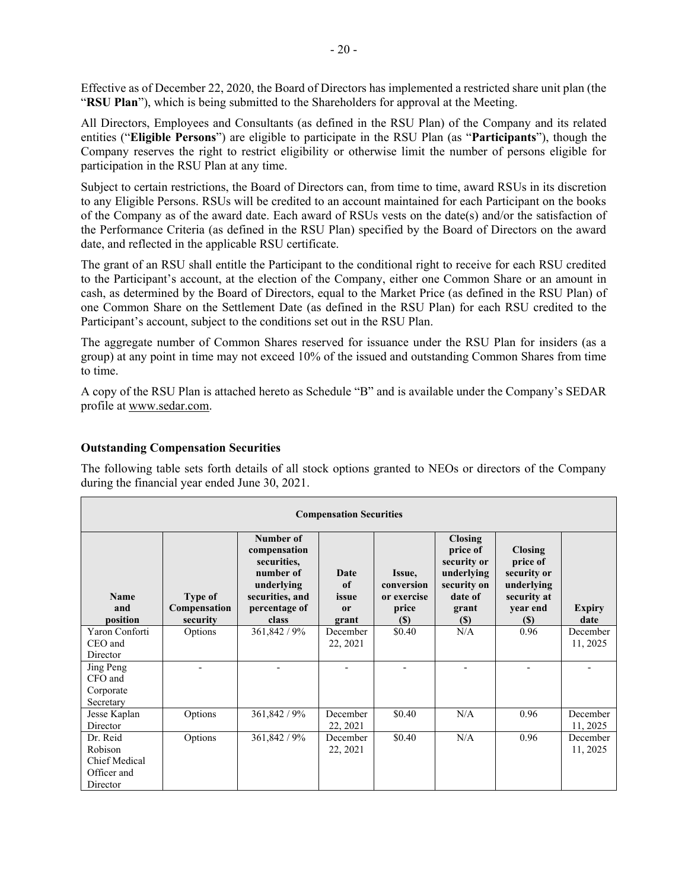Effective as of December 22, 2020, the Board of Directors has implemented a restricted share unit plan (the "**RSU Plan**"), which is being submitted to the Shareholders for approval at the Meeting.

All Directors, Employees and Consultants (as defined in the RSU Plan) of the Company and its related entities ("**Eligible Persons**") are eligible to participate in the RSU Plan (as "**Participants**"), though the Company reserves the right to restrict eligibility or otherwise limit the number of persons eligible for participation in the RSU Plan at any time.

Subject to certain restrictions, the Board of Directors can, from time to time, award RSUs in its discretion to any Eligible Persons. RSUs will be credited to an account maintained for each Participant on the books of the Company as of the award date. Each award of RSUs vests on the date(s) and/or the satisfaction of the Performance Criteria (as defined in the RSU Plan) specified by the Board of Directors on the award date, and reflected in the applicable RSU certificate.

The grant of an RSU shall entitle the Participant to the conditional right to receive for each RSU credited to the Participant's account, at the election of the Company, either one Common Share or an amount in cash, as determined by the Board of Directors, equal to the Market Price (as defined in the RSU Plan) of one Common Share on the Settlement Date (as defined in the RSU Plan) for each RSU credited to the Participant's account, subject to the conditions set out in the RSU Plan.

The aggregate number of Common Shares reserved for issuance under the RSU Plan for insiders (as a group) at any point in time may not exceed 10% of the issued and outstanding Common Shares from time to time.

A copy of the RSU Plan is attached hereto as Schedule "B" and is available under the Company's SEDAR profile at www.sedar.com.

## **Outstanding Compensation Securities**

The following table sets forth details of all stock options granted to NEOs or directors of the Company during the financial year ended June 30, 2021.

| <b>Compensation Securities</b>                                         |                                     |                                                                                                                  |                                    |                                                                            |                                                                                                      |                                                                                           |                       |
|------------------------------------------------------------------------|-------------------------------------|------------------------------------------------------------------------------------------------------------------|------------------------------------|----------------------------------------------------------------------------|------------------------------------------------------------------------------------------------------|-------------------------------------------------------------------------------------------|-----------------------|
| Name<br>and<br>position                                                | Type of<br>Compensation<br>security | Number of<br>compensation<br>securities,<br>number of<br>underlying<br>securities, and<br>percentage of<br>class | Date<br>of<br>issue<br>0r<br>grant | Issue,<br>conversion<br>or exercise<br>price<br>$\left( \mathbb{S}\right)$ | <b>Closing</b><br>price of<br>security or<br>underlying<br>security on<br>date of<br>grant<br>$(\$)$ | <b>Closing</b><br>price of<br>security or<br>underlying<br>security at<br>year end<br>(S) | <b>Expiry</b><br>date |
| Yaron Conforti                                                         | Options                             | 361,842 / 9%                                                                                                     | December                           | \$0.40                                                                     | N/A                                                                                                  | 0.96                                                                                      | December              |
| CEO and<br>Director                                                    |                                     |                                                                                                                  | 22, 2021                           |                                                                            |                                                                                                      |                                                                                           | 11, 2025              |
| Jing Peng<br>CFO and<br>Corporate<br>Secretary                         |                                     |                                                                                                                  |                                    |                                                                            |                                                                                                      |                                                                                           |                       |
| Jesse Kaplan<br>Director                                               | Options                             | 361,842 / 9%                                                                                                     | December<br>22, 2021               | \$0.40                                                                     | N/A                                                                                                  | 0.96                                                                                      | December<br>11, 2025  |
| Dr. Reid<br>Robison<br><b>Chief Medical</b><br>Officer and<br>Director | Options                             | 361,842 / 9%                                                                                                     | December<br>22, 2021               | \$0.40                                                                     | N/A                                                                                                  | 0.96                                                                                      | December<br>11, 2025  |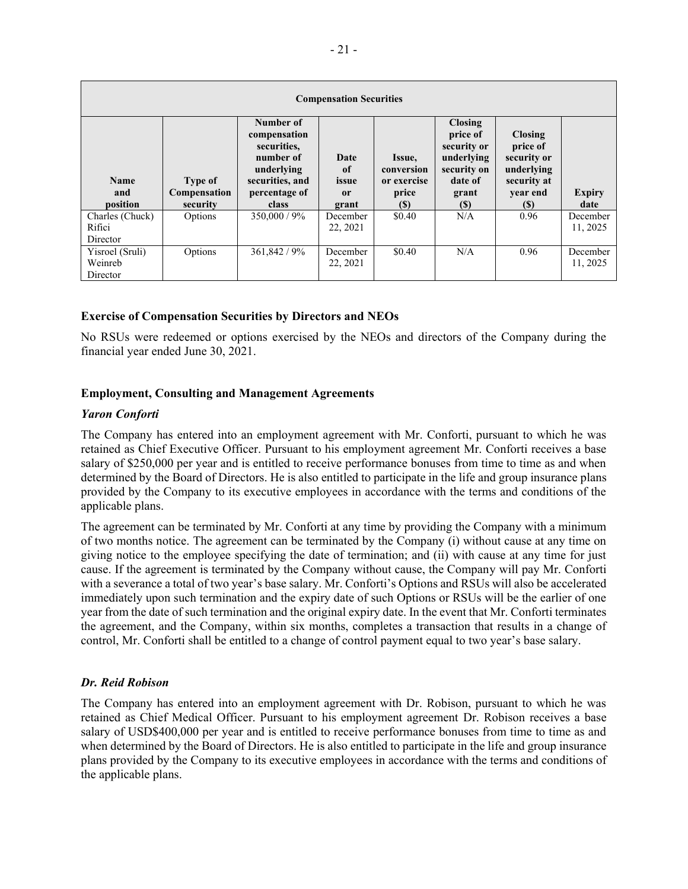| <b>Compensation Securities</b>         |                                     |                                                                                                                  |                                               |                                                     |                                                                                                   |                                                                                           |                       |
|----------------------------------------|-------------------------------------|------------------------------------------------------------------------------------------------------------------|-----------------------------------------------|-----------------------------------------------------|---------------------------------------------------------------------------------------------------|-------------------------------------------------------------------------------------------|-----------------------|
| <b>Name</b><br>and<br>position         | Type of<br>Compensation<br>security | Number of<br>compensation<br>securities.<br>number of<br>underlying<br>securities, and<br>percentage of<br>class | Date<br><sub>of</sub><br>issue<br>0r<br>grant | Issue,<br>conversion<br>or exercise<br>price<br>(S) | <b>Closing</b><br>price of<br>security or<br>underlying<br>security on<br>date of<br>grant<br>(S) | <b>Closing</b><br>price of<br>security or<br>underlying<br>security at<br>year end<br>(S) | <b>Expiry</b><br>date |
| Charles (Chuck)<br>Rifici<br>Director  | Options                             | 350,000 / 9%                                                                                                     | December<br>22, 2021                          | \$0.40                                              | N/A                                                                                               | 0.96                                                                                      | December<br>11, 2025  |
| Yisroel (Sruli)<br>Weinreb<br>Director | Options                             | 361,842 / 9%                                                                                                     | December<br>22, 2021                          | \$0.40                                              | N/A                                                                                               | 0.96                                                                                      | December<br>11, 2025  |

#### **Exercise of Compensation Securities by Directors and NEOs**

No RSUs were redeemed or options exercised by the NEOs and directors of the Company during the financial year ended June 30, 2021.

#### **Employment, Consulting and Management Agreements**

#### *Yaron Conforti*

The Company has entered into an employment agreement with Mr. Conforti, pursuant to which he was retained as Chief Executive Officer. Pursuant to his employment agreement Mr. Conforti receives a base salary of \$250,000 per year and is entitled to receive performance bonuses from time to time as and when determined by the Board of Directors. He is also entitled to participate in the life and group insurance plans provided by the Company to its executive employees in accordance with the terms and conditions of the applicable plans.

The agreement can be terminated by Mr. Conforti at any time by providing the Company with a minimum of two months notice. The agreement can be terminated by the Company (i) without cause at any time on giving notice to the employee specifying the date of termination; and (ii) with cause at any time for just cause. If the agreement is terminated by the Company without cause, the Company will pay Mr. Conforti with a severance a total of two year's base salary. Mr. Conforti's Options and RSUs will also be accelerated immediately upon such termination and the expiry date of such Options or RSUs will be the earlier of one year from the date of such termination and the original expiry date. In the event that Mr. Conforti terminates the agreement, and the Company, within six months, completes a transaction that results in a change of control, Mr. Conforti shall be entitled to a change of control payment equal to two year's base salary.

#### *Dr. Reid Robison*

The Company has entered into an employment agreement with Dr. Robison, pursuant to which he was retained as Chief Medical Officer. Pursuant to his employment agreement Dr. Robison receives a base salary of USD\$400,000 per year and is entitled to receive performance bonuses from time to time as and when determined by the Board of Directors. He is also entitled to participate in the life and group insurance plans provided by the Company to its executive employees in accordance with the terms and conditions of the applicable plans.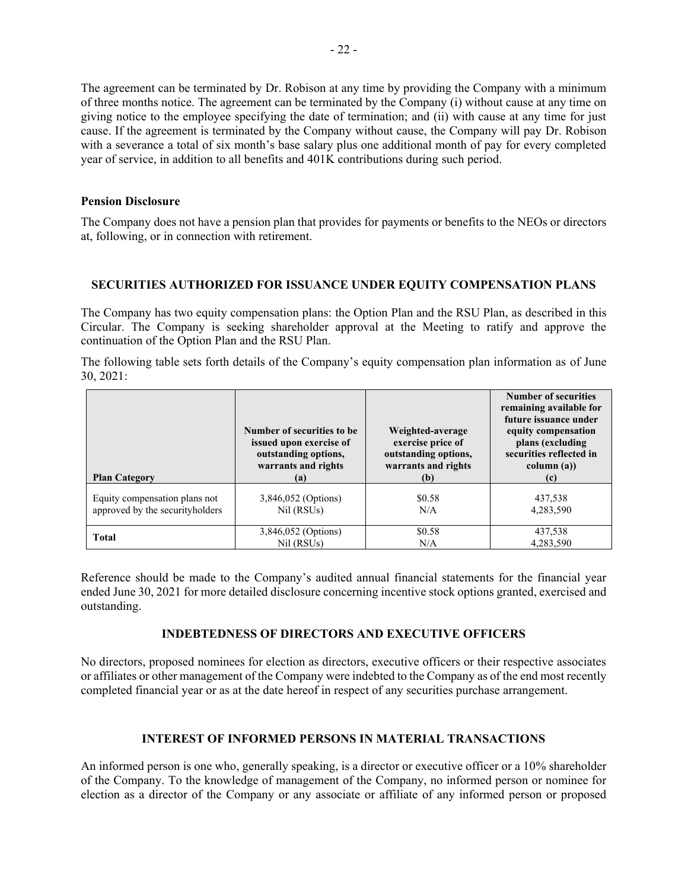The agreement can be terminated by Dr. Robison at any time by providing the Company with a minimum of three months notice. The agreement can be terminated by the Company (i) without cause at any time on giving notice to the employee specifying the date of termination; and (ii) with cause at any time for just cause. If the agreement is terminated by the Company without cause, the Company will pay Dr. Robison with a severance a total of six month's base salary plus one additional month of pay for every completed year of service, in addition to all benefits and 401K contributions during such period.

#### **Pension Disclosure**

The Company does not have a pension plan that provides for payments or benefits to the NEOs or directors at, following, or in connection with retirement.

## **SECURITIES AUTHORIZED FOR ISSUANCE UNDER EQUITY COMPENSATION PLANS**

The Company has two equity compensation plans: the Option Plan and the RSU Plan, as described in this Circular. The Company is seeking shareholder approval at the Meeting to ratify and approve the continuation of the Option Plan and the RSU Plan.

The following table sets forth details of the Company's equity compensation plan information as of June 30, 2021:

| <b>Plan Category</b>            | Number of securities to be<br>issued upon exercise of<br>outstanding options,<br>warrants and rights<br>(a) | Weighted-average<br>exercise price of<br>outstanding options,<br>warrants and rights<br>(b) | <b>Number of securities</b><br>remaining available for<br>future issuance under<br>equity compensation<br>plans (excluding<br>securities reflected in<br>column (a))<br>(c) |
|---------------------------------|-------------------------------------------------------------------------------------------------------------|---------------------------------------------------------------------------------------------|-----------------------------------------------------------------------------------------------------------------------------------------------------------------------------|
| Equity compensation plans not   | 3,846,052 (Options)                                                                                         | \$0.58                                                                                      | 437,538                                                                                                                                                                     |
| approved by the securityholders | Nil (RSU <sub>s</sub> )                                                                                     | N/A                                                                                         | 4,283,590                                                                                                                                                                   |
| <b>Total</b>                    | 3,846,052 (Options)                                                                                         | \$0.58                                                                                      | 437,538                                                                                                                                                                     |
|                                 | Nil (RSUs)                                                                                                  | N/A                                                                                         | 4.283.590                                                                                                                                                                   |

Reference should be made to the Company's audited annual financial statements for the financial year ended June 30, 2021 for more detailed disclosure concerning incentive stock options granted, exercised and outstanding.

## **INDEBTEDNESS OF DIRECTORS AND EXECUTIVE OFFICERS**

No directors, proposed nominees for election as directors, executive officers or their respective associates or affiliates or other management of the Company were indebted to the Company as of the end most recently completed financial year or as at the date hereof in respect of any securities purchase arrangement.

## **INTEREST OF INFORMED PERSONS IN MATERIAL TRANSACTIONS**

An informed person is one who, generally speaking, is a director or executive officer or a 10% shareholder of the Company. To the knowledge of management of the Company, no informed person or nominee for election as a director of the Company or any associate or affiliate of any informed person or proposed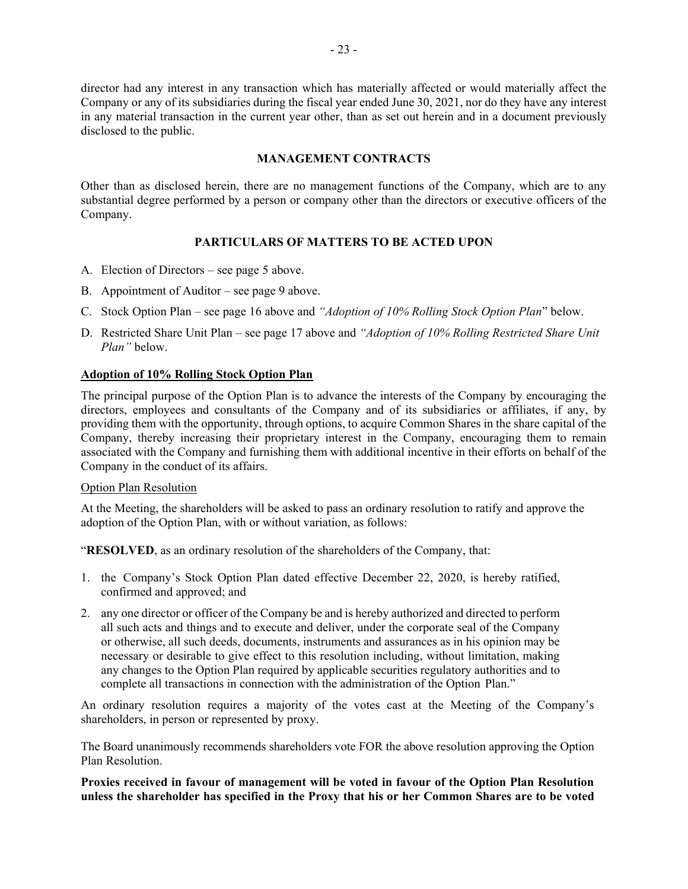director had any interest in any transaction which has materially affected or would materially affect the Company or any of its subsidiaries during the fiscal year ended June 30, 2021, nor do they have any interest in any material transaction in the current year other, than as set out herein and in a document previously disclosed to the public.

## **MANAGEMENT CONTRACTS**

Other than as disclosed herein, there are no management functions of the Company, which are to any substantial degree performed by a person or company other than the directors or executive officers of the Company.

## **PARTICULARS OF MATTERS TO BE ACTED UPON**

- A. Election of Directors see page 5 above.
- B. Appointment of Auditor see page 9 above.
- C. Stock Option Plan see page 16 above and *"Adoption of 10% Rolling Stock Option Plan*" below.
- D. Restricted Share Unit Plan see page 17 above and *"Adoption of 10% Rolling Restricted Share Unit Plan"* below.

## **Adoption of 10% Rolling Stock Option Plan**

The principal purpose of the Option Plan is to advance the interests of the Company by encouraging the directors, employees and consultants of the Company and of its subsidiaries or affiliates, if any, by providing them with the opportunity, through options, to acquire Common Shares in the share capital of the Company, thereby increasing their proprietary interest in the Company, encouraging them to remain associated with the Company and furnishing them with additional incentive in their efforts on behalf of the Company in the conduct of its affairs.

## Option Plan Resolution

At the Meeting, the shareholders will be asked to pass an ordinary resolution to ratify and approve the adoption of the Option Plan, with or without variation, as follows:

"**RESOLVED**, as an ordinary resolution of the shareholders of the Company, that:

- 1. the Company's Stock Option Plan dated effective December 22, 2020, is hereby ratified, confirmed and approved; and
- 2. any one director or officer of the Company be and is hereby authorized and directed to perform all such acts and things and to execute and deliver, under the corporate seal of the Company or otherwise, all such deeds, documents, instruments and assurances as in his opinion may be necessary or desirable to give effect to this resolution including, without limitation, making any changes to the Option Plan required by applicable securities regulatory authorities and to complete all transactions in connection with the administration of the Option Plan."

An ordinary resolution requires a majority of the votes cast at the Meeting of the Company's shareholders, in person or represented by proxy.

The Board unanimously recommends shareholders vote FOR the above resolution approving the Option Plan Resolution.

**Proxies received in favour of management will be voted in favour of the Option Plan Resolution unless the shareholder has specified in the Proxy that his or her Common Shares are to be voted**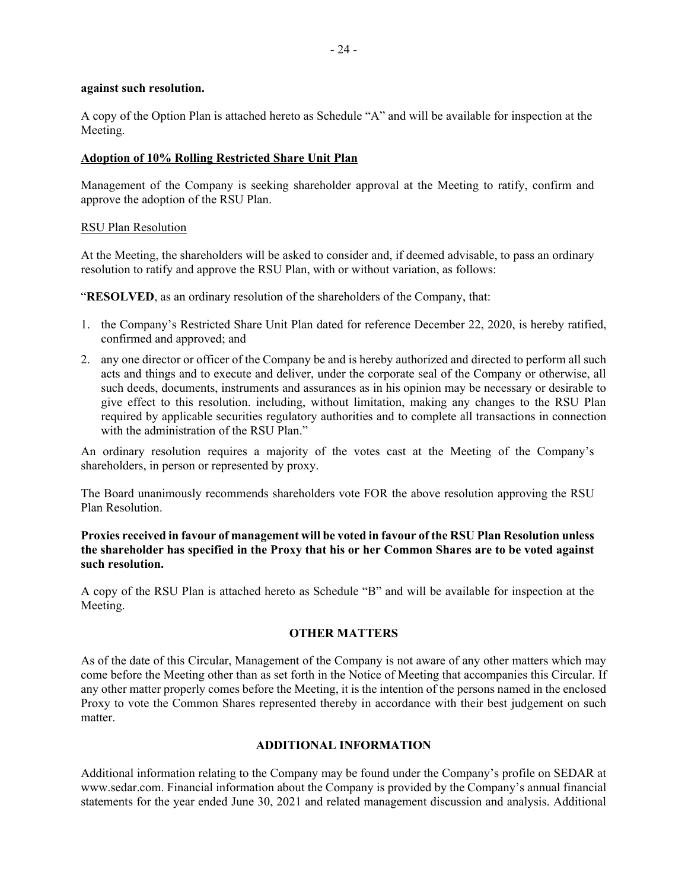#### **against such resolution.**

A copy of the Option Plan is attached hereto as Schedule "A" and will be available for inspection at the Meeting.

#### **Adoption of 10% Rolling Restricted Share Unit Plan**

Management of the Company is seeking shareholder approval at the Meeting to ratify, confirm and approve the adoption of the RSU Plan.

#### RSU Plan Resolution

At the Meeting, the shareholders will be asked to consider and, if deemed advisable, to pass an ordinary resolution to ratify and approve the RSU Plan, with or without variation, as follows:

"**RESOLVED**, as an ordinary resolution of the shareholders of the Company, that:

- 1. the Company's Restricted Share Unit Plan dated for reference December 22, 2020, is hereby ratified, confirmed and approved; and
- 2. any one director or officer of the Company be and is hereby authorized and directed to perform all such acts and things and to execute and deliver, under the corporate seal of the Company or otherwise, all such deeds, documents, instruments and assurances as in his opinion may be necessary or desirable to give effect to this resolution. including, without limitation, making any changes to the RSU Plan required by applicable securities regulatory authorities and to complete all transactions in connection with the administration of the RSU Plan."

An ordinary resolution requires a majority of the votes cast at the Meeting of the Company's shareholders, in person or represented by proxy.

The Board unanimously recommends shareholders vote FOR the above resolution approving the RSU Plan Resolution.

## **Proxies received in favour of management will be voted in favour of the RSU Plan Resolution unless the shareholder has specified in the Proxy that his or her Common Shares are to be voted against such resolution.**

A copy of the RSU Plan is attached hereto as Schedule "B" and will be available for inspection at the Meeting.

## **OTHER MATTERS**

As of the date of this Circular, Management of the Company is not aware of any other matters which may come before the Meeting other than as set forth in the Notice of Meeting that accompanies this Circular. If any other matter properly comes before the Meeting, it is the intention of the persons named in the enclosed Proxy to vote the Common Shares represented thereby in accordance with their best judgement on such matter.

#### **ADDITIONAL INFORMATION**

Additional information relating to the Company may be found under the Company's profile on SEDAR at www.sedar.com. Financial information about the Company is provided by the Company's annual financial statements for the year ended June 30, 2021 and related management discussion and analysis. Additional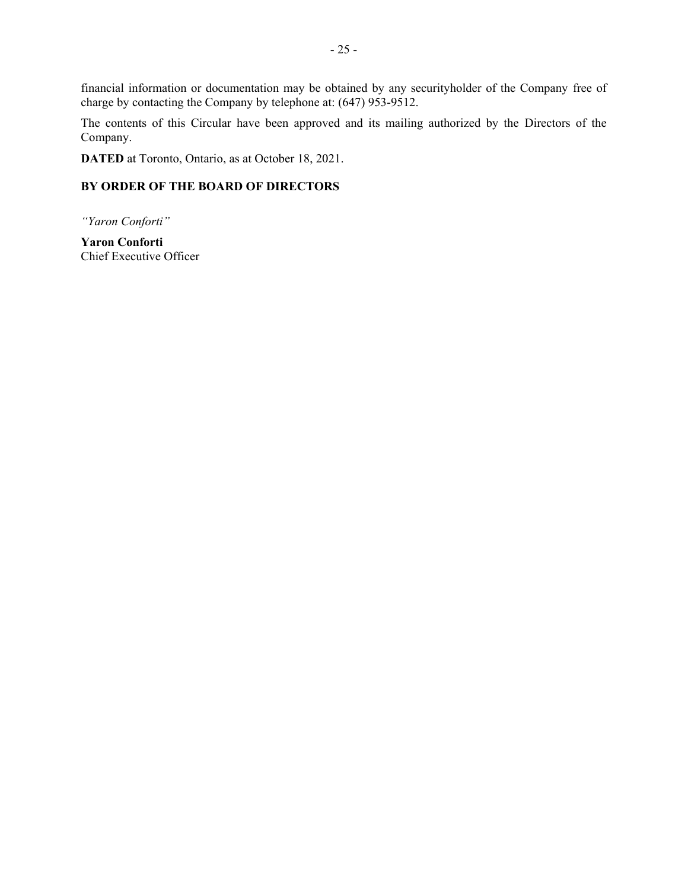financial information or documentation may be obtained by any securityholder of the Company free of charge by contacting the Company by telephone at: (647) 953-9512.

The contents of this Circular have been approved and its mailing authorized by the Directors of the Company.

**DATED** at Toronto, Ontario, as at October 18, 2021.

## **BY ORDER OF THE BOARD OF DIRECTORS**

*"Yaron Conforti"*

**Yaron Conforti** Chief Executive Officer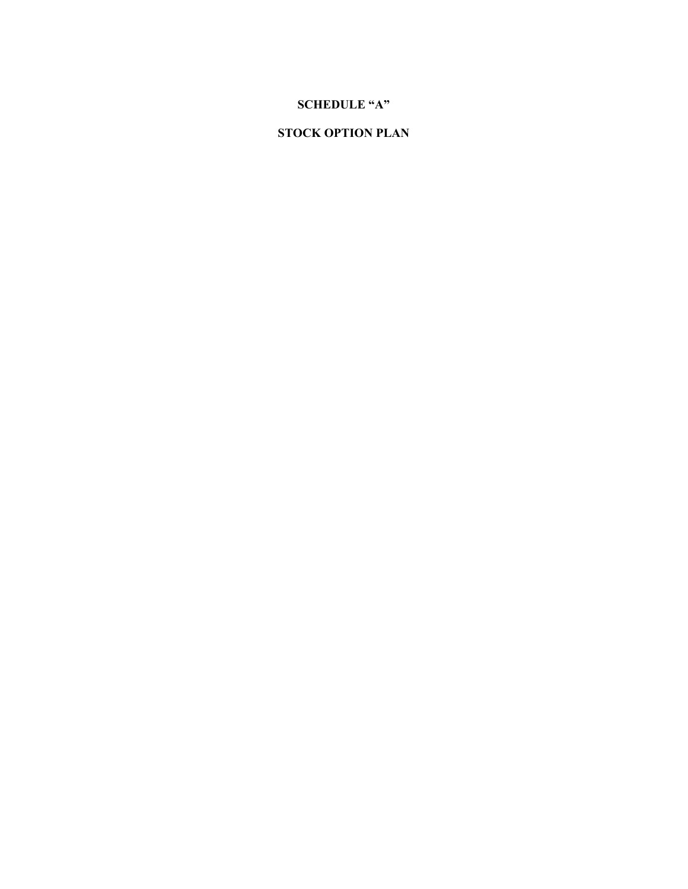## **SCHEDULE "A"**

# **STOCK OPTION PLAN**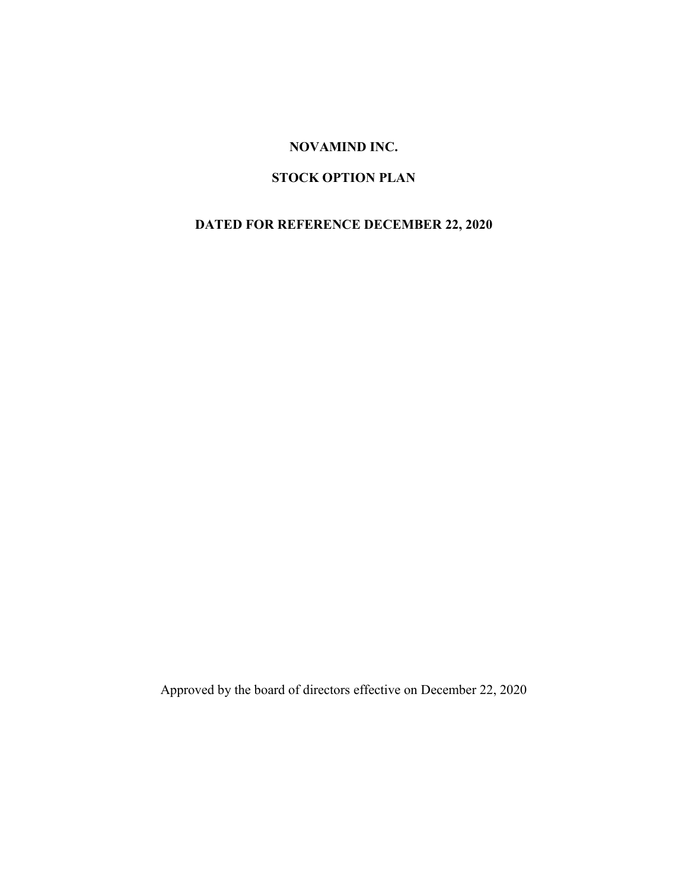# **NOVAMIND INC.**

# **STOCK OPTION PLAN**

# **DATED FOR REFERENCE DECEMBER 22, 2020**

Approved by the board of directors effective on December 22, 2020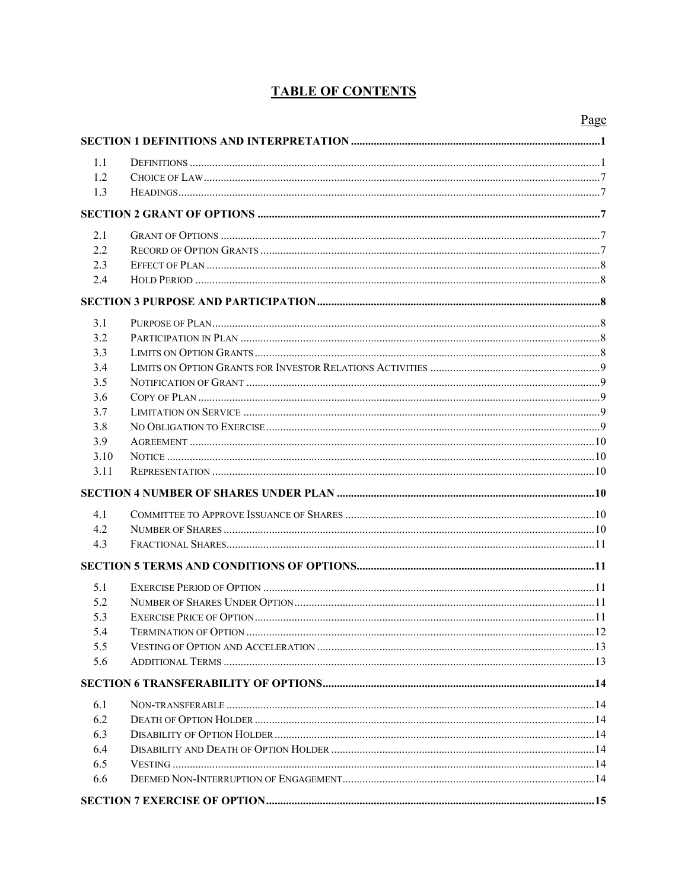# **TABLE OF CONTENTS**

|      | Page |
|------|------|
|      |      |
| 1.1  |      |
| 1.2  |      |
| 1.3  |      |
|      |      |
|      |      |
| 2.1  |      |
| 2.2  |      |
| 2.3  |      |
| 2.4  |      |
|      |      |
| 3.1  |      |
| 3.2  |      |
| 3.3  |      |
| 3.4  |      |
| 3.5  |      |
| 3.6  |      |
| 3.7  |      |
| 3.8  |      |
| 3.9  |      |
| 3.10 |      |
| 3.11 |      |
|      |      |
| 4.1  |      |
| 4.2  |      |
| 4.3  |      |
|      |      |
| 5.1  |      |
| 5.2  |      |
| 5.3  |      |
| 5.4  |      |
| 5.5  |      |
| 5.6  |      |
|      |      |
| 6.1  |      |
| 6.2  |      |
| 6.3  |      |
| 6.4  |      |
| 6.5  |      |
| 6.6  |      |
|      |      |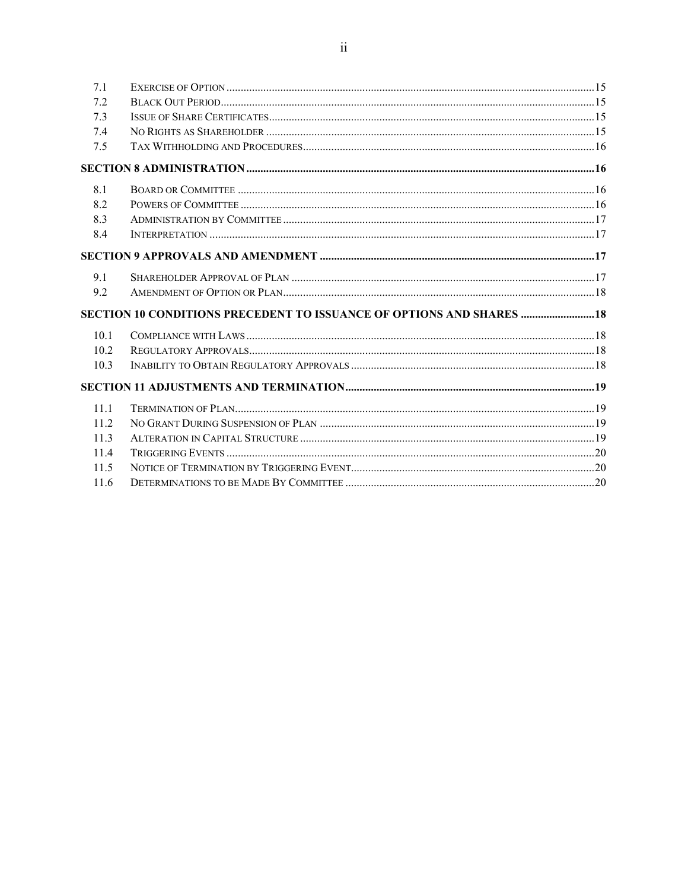| 7.1  |                                                                       |  |
|------|-----------------------------------------------------------------------|--|
| 7.2  |                                                                       |  |
| 7.3  |                                                                       |  |
| 7.4  |                                                                       |  |
| 7.5  |                                                                       |  |
|      |                                                                       |  |
| 8.1  |                                                                       |  |
| 8.2  |                                                                       |  |
| 8.3  |                                                                       |  |
| 8.4  |                                                                       |  |
|      |                                                                       |  |
| 9.1  |                                                                       |  |
| 9.2  |                                                                       |  |
|      | SECTION 10 CONDITIONS PRECEDENT TO ISSUANCE OF OPTIONS AND SHARES  18 |  |
| 10.1 |                                                                       |  |
| 10.2 |                                                                       |  |
| 10.3 |                                                                       |  |
|      |                                                                       |  |
| 11.1 |                                                                       |  |
| 11.2 |                                                                       |  |
| 113  |                                                                       |  |
| 11.4 |                                                                       |  |
| 11.5 |                                                                       |  |
| 11.6 |                                                                       |  |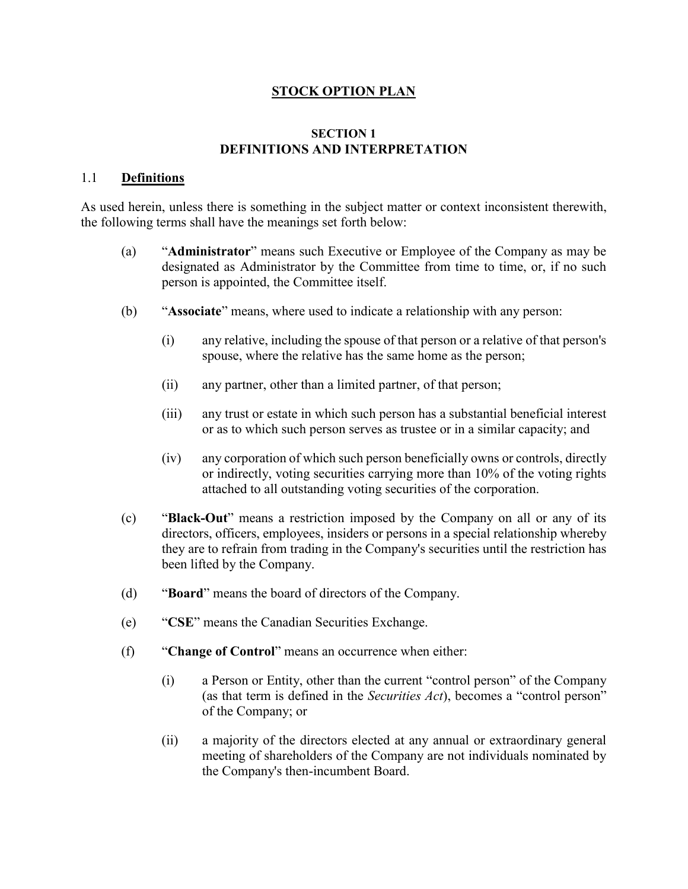## **STOCK OPTION PLAN**

## **SECTION 1 DEFINITIONS AND INTERPRETATION**

## 1.1 **Definitions**

As used herein, unless there is something in the subject matter or context inconsistent therewith, the following terms shall have the meanings set forth below:

- (a) "**Administrator**" means such Executive or Employee of the Company as may be designated as Administrator by the Committee from time to time, or, if no such person is appointed, the Committee itself.
- (b) "**Associate**" means, where used to indicate a relationship with any person:
	- (i) any relative, including the spouse of that person or a relative of that person's spouse, where the relative has the same home as the person;
	- (ii) any partner, other than a limited partner, of that person;
	- (iii) any trust or estate in which such person has a substantial beneficial interest or as to which such person serves as trustee or in a similar capacity; and
	- (iv) any corporation of which such person beneficially owns or controls, directly or indirectly, voting securities carrying more than 10% of the voting rights attached to all outstanding voting securities of the corporation.
- (c) "**Black-Out**" means a restriction imposed by the Company on all or any of its directors, officers, employees, insiders or persons in a special relationship whereby they are to refrain from trading in the Company's securities until the restriction has been lifted by the Company.
- (d) "**Board**" means the board of directors of the Company.
- (e) "**CSE**" means the Canadian Securities Exchange.
- (f) "**Change of Control**" means an occurrence when either:
	- (i) a Person or Entity, other than the current "control person" of the Company (as that term is defined in the *Securities Act*), becomes a "control person" of the Company; or
	- (ii) a majority of the directors elected at any annual or extraordinary general meeting of shareholders of the Company are not individuals nominated by the Company's then-incumbent Board.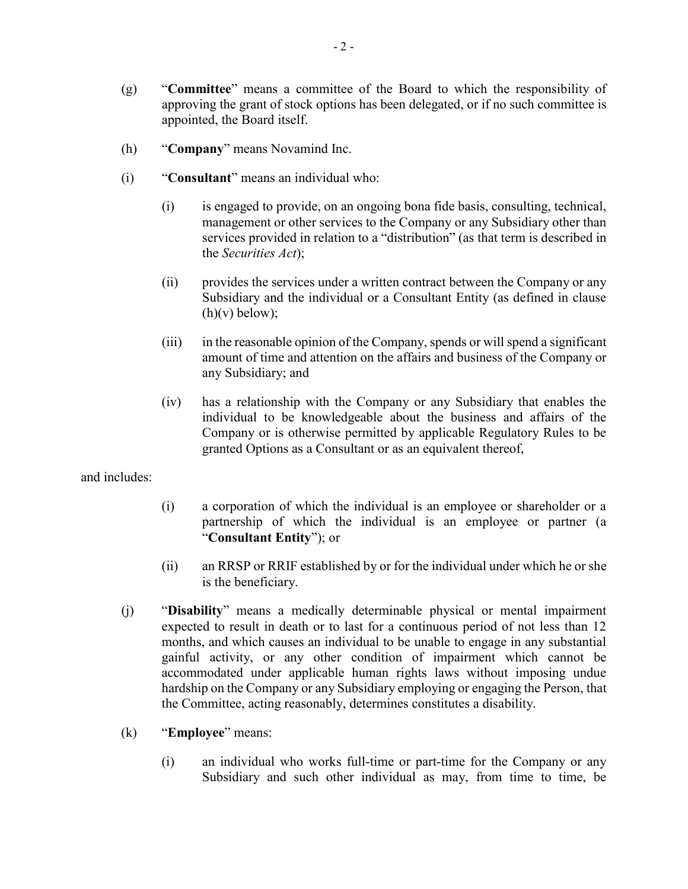- (g) "**Committee**" means a committee of the Board to which the responsibility of approving the grant of stock options has been delegated, or if no such committee is appointed, the Board itself.
- (h) "**Company**" means Novamind Inc.
- (i) "**Consultant**" means an individual who:
	- (i) is engaged to provide, on an ongoing bona fide basis, consulting, technical, management or other services to the Company or any Subsidiary other than services provided in relation to a "distribution" (as that term is described in the *Securities Act*);
	- (ii) provides the services under a written contract between the Company or any Subsidiary and the individual or a Consultant Entity (as defined in clause  $(h)(v)$  below);
	- (iii) in the reasonable opinion of the Company, spends or will spend a significant amount of time and attention on the affairs and business of the Company or any Subsidiary; and
	- (iv) has a relationship with the Company or any Subsidiary that enables the individual to be knowledgeable about the business and affairs of the Company or is otherwise permitted by applicable Regulatory Rules to be granted Options as a Consultant or as an equivalent thereof,

and includes:

- (i) a corporation of which the individual is an employee or shareholder or a partnership of which the individual is an employee or partner (a "**Consultant Entity**"); or
- (ii) an RRSP or RRIF established by or for the individual under which he or she is the beneficiary.
- (j) "**Disability**" means a medically determinable physical or mental impairment expected to result in death or to last for a continuous period of not less than 12 months, and which causes an individual to be unable to engage in any substantial gainful activity, or any other condition of impairment which cannot be accommodated under applicable human rights laws without imposing undue hardship on the Company or any Subsidiary employing or engaging the Person, that the Committee, acting reasonably, determines constitutes a disability.
- (k) "**Employee**" means:
	- (i) an individual who works full-time or part-time for the Company or any Subsidiary and such other individual as may, from time to time, be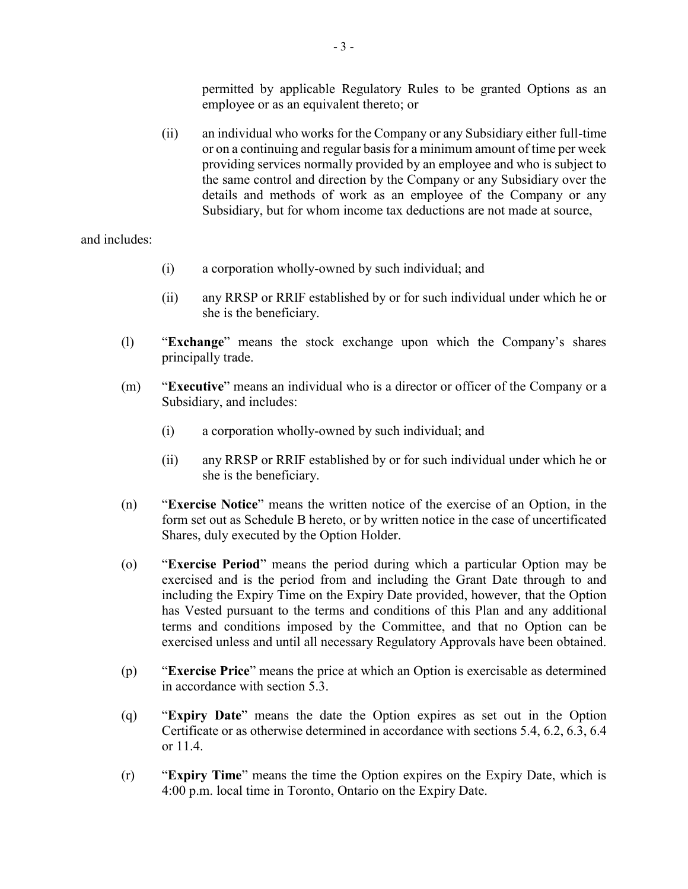permitted by applicable Regulatory Rules to be granted Options as an employee or as an equivalent thereto; or

(ii) an individual who works for the Company or any Subsidiary either full-time or on a continuing and regular basis for a minimum amount of time per week providing services normally provided by an employee and who is subject to the same control and direction by the Company or any Subsidiary over the details and methods of work as an employee of the Company or any Subsidiary, but for whom income tax deductions are not made at source,

and includes:

- (i) a corporation wholly-owned by such individual; and
- (ii) any RRSP or RRIF established by or for such individual under which he or she is the beneficiary.
- (l) "**Exchange**" means the stock exchange upon which the Company's shares principally trade.
- (m) "**Executive**" means an individual who is a director or officer of the Company or a Subsidiary, and includes:
	- (i) a corporation wholly-owned by such individual; and
	- (ii) any RRSP or RRIF established by or for such individual under which he or she is the beneficiary.
- (n) "**Exercise Notice**" means the written notice of the exercise of an Option, in the form set out as Schedule B hereto, or by written notice in the case of uncertificated Shares, duly executed by the Option Holder.
- (o) "**Exercise Period**" means the period during which a particular Option may be exercised and is the period from and including the Grant Date through to and including the Expiry Time on the Expiry Date provided, however, that the Option has Vested pursuant to the terms and conditions of this Plan and any additional terms and conditions imposed by the Committee, and that no Option can be exercised unless and until all necessary Regulatory Approvals have been obtained.
- (p) "**Exercise Price**" means the price at which an Option is exercisable as determined in accordance with section 5.3.
- (q) "**Expiry Date**" means the date the Option expires as set out in the Option Certificate or as otherwise determined in accordance with sections 5.4, 6.2, 6.3, 6.4 or 11.4.
- (r) "**Expiry Time**" means the time the Option expires on the Expiry Date, which is 4:00 p.m. local time in Toronto, Ontario on the Expiry Date.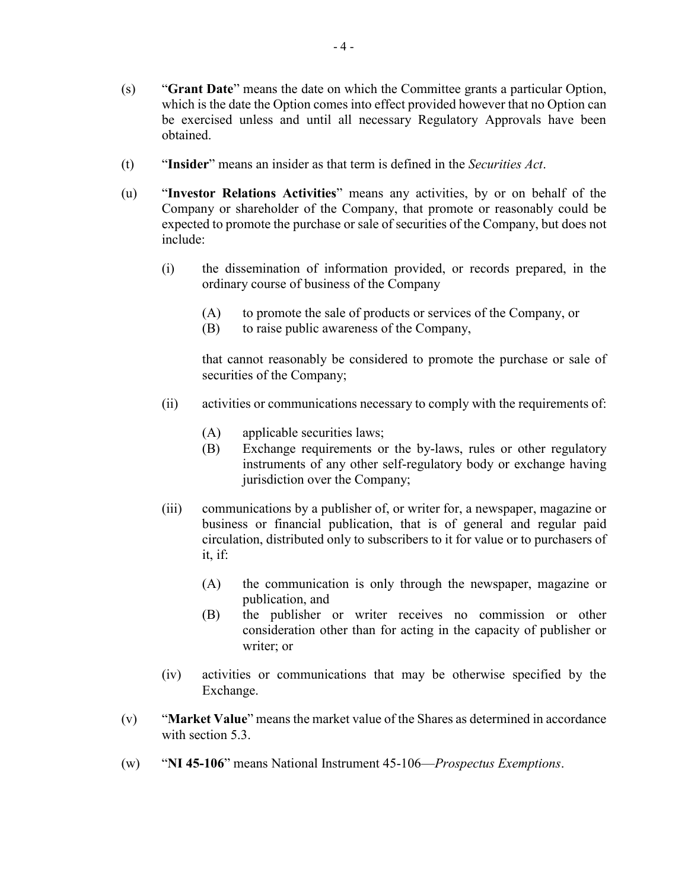- (s) "**Grant Date**" means the date on which the Committee grants a particular Option, which is the date the Option comes into effect provided however that no Option can be exercised unless and until all necessary Regulatory Approvals have been obtained.
- (t) "**Insider**" means an insider as that term is defined in the *Securities Act*.
- (u) "**Investor Relations Activities**" means any activities, by or on behalf of the Company or shareholder of the Company, that promote or reasonably could be expected to promote the purchase or sale of securities of the Company, but does not include:
	- (i) the dissemination of information provided, or records prepared, in the ordinary course of business of the Company
		- (A) to promote the sale of products or services of the Company, or
		- (B) to raise public awareness of the Company,

that cannot reasonably be considered to promote the purchase or sale of securities of the Company;

- (ii) activities or communications necessary to comply with the requirements of:
	- (A) applicable securities laws;
	- (B) Exchange requirements or the by-laws, rules or other regulatory instruments of any other self-regulatory body or exchange having jurisdiction over the Company;
- (iii) communications by a publisher of, or writer for, a newspaper, magazine or business or financial publication, that is of general and regular paid circulation, distributed only to subscribers to it for value or to purchasers of it, if:
	- (A) the communication is only through the newspaper, magazine or publication, and
	- (B) the publisher or writer receives no commission or other consideration other than for acting in the capacity of publisher or writer; or
- (iv) activities or communications that may be otherwise specified by the Exchange.
- (v) "**Market Value**" means the market value of the Shares as determined in accordance with section 5.3.
- (w) "**NI 45-106**" means National Instrument 45-106—*Prospectus Exemptions*.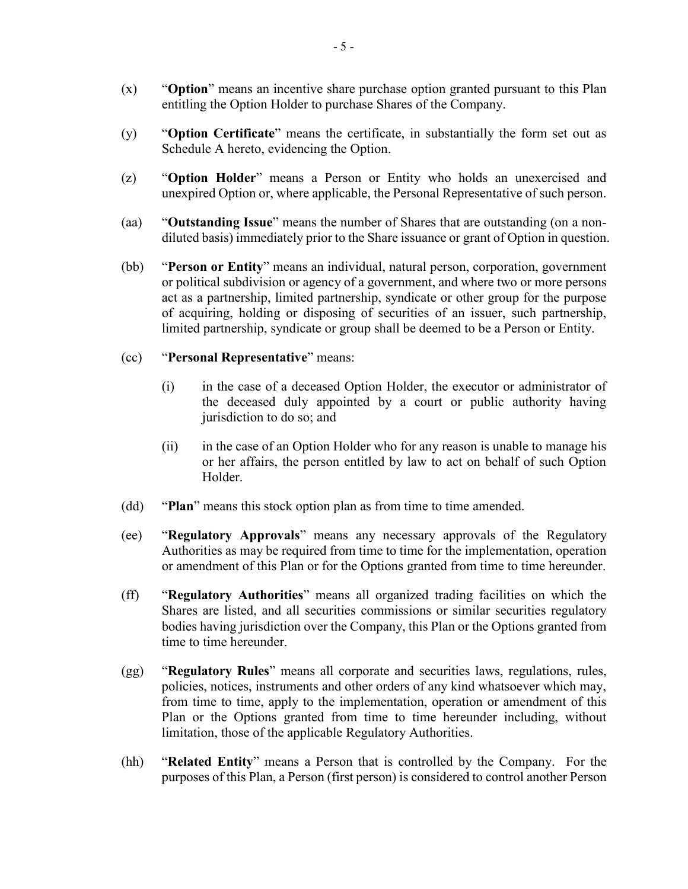- (x) "**Option**" means an incentive share purchase option granted pursuant to this Plan entitling the Option Holder to purchase Shares of the Company.
- (y) "**Option Certificate**" means the certificate, in substantially the form set out as Schedule A hereto, evidencing the Option.
- (z) "**Option Holder**" means a Person or Entity who holds an unexercised and unexpired Option or, where applicable, the Personal Representative of such person.
- (aa) "**Outstanding Issue**" means the number of Shares that are outstanding (on a nondiluted basis) immediately prior to the Share issuance or grant of Option in question.
- (bb) "**Person or Entity**" means an individual, natural person, corporation, government or political subdivision or agency of a government, and where two or more persons act as a partnership, limited partnership, syndicate or other group for the purpose of acquiring, holding or disposing of securities of an issuer, such partnership, limited partnership, syndicate or group shall be deemed to be a Person or Entity.
- (cc) "**Personal Representative**" means:
	- (i) in the case of a deceased Option Holder, the executor or administrator of the deceased duly appointed by a court or public authority having jurisdiction to do so; and
	- (ii) in the case of an Option Holder who for any reason is unable to manage his or her affairs, the person entitled by law to act on behalf of such Option Holder.
- (dd) "**Plan**" means this stock option plan as from time to time amended.
- (ee) "**Regulatory Approvals**" means any necessary approvals of the Regulatory Authorities as may be required from time to time for the implementation, operation or amendment of this Plan or for the Options granted from time to time hereunder.
- (ff) "**Regulatory Authorities**" means all organized trading facilities on which the Shares are listed, and all securities commissions or similar securities regulatory bodies having jurisdiction over the Company, this Plan or the Options granted from time to time hereunder.
- (gg) "**Regulatory Rules**" means all corporate and securities laws, regulations, rules, policies, notices, instruments and other orders of any kind whatsoever which may, from time to time, apply to the implementation, operation or amendment of this Plan or the Options granted from time to time hereunder including, without limitation, those of the applicable Regulatory Authorities.
- (hh) "**Related Entity**" means a Person that is controlled by the Company. For the purposes of this Plan, a Person (first person) is considered to control another Person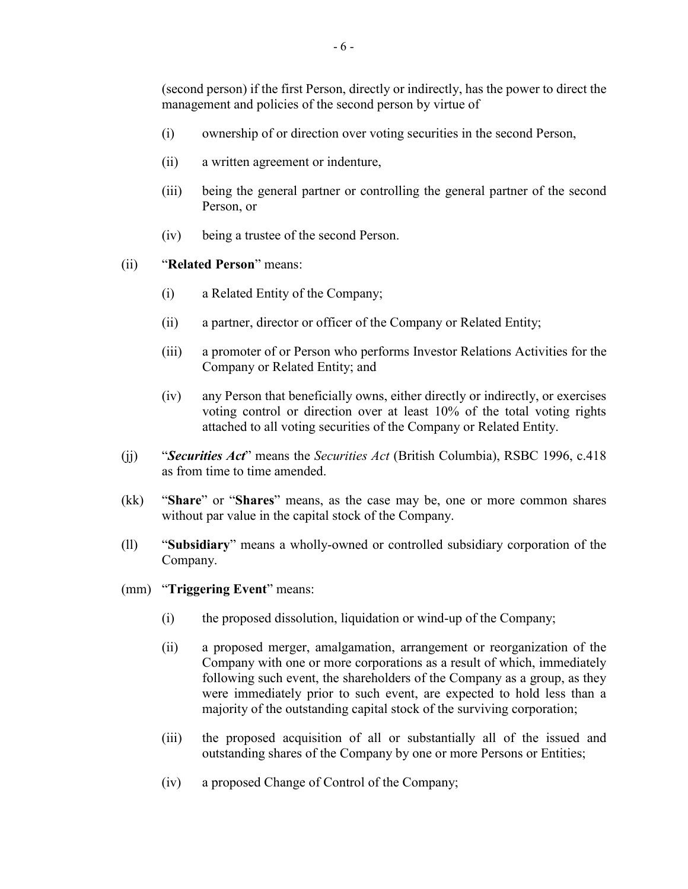(second person) if the first Person, directly or indirectly, has the power to direct the management and policies of the second person by virtue of

- (i) ownership of or direction over voting securities in the second Person,
- (ii) a written agreement or indenture,
- (iii) being the general partner or controlling the general partner of the second Person, or
- (iv) being a trustee of the second Person.
- (ii) "**Related Person**" means:
	- (i) a Related Entity of the Company;
	- (ii) a partner, director or officer of the Company or Related Entity;
	- (iii) a promoter of or Person who performs Investor Relations Activities for the Company or Related Entity; and
	- (iv) any Person that beneficially owns, either directly or indirectly, or exercises voting control or direction over at least 10% of the total voting rights attached to all voting securities of the Company or Related Entity.
- (jj) "*Securities Act*" means the *Securities Act* (British Columbia), RSBC 1996, c.418 as from time to time amended.
- (kk) "**Share**" or "**Shares**" means, as the case may be, one or more common shares without par value in the capital stock of the Company.
- (ll) "**Subsidiary**" means a wholly-owned or controlled subsidiary corporation of the Company.
- (mm) "**Triggering Event**" means:
	- (i) the proposed dissolution, liquidation or wind-up of the Company;
	- (ii) a proposed merger, amalgamation, arrangement or reorganization of the Company with one or more corporations as a result of which, immediately following such event, the shareholders of the Company as a group, as they were immediately prior to such event, are expected to hold less than a majority of the outstanding capital stock of the surviving corporation;
	- (iii) the proposed acquisition of all or substantially all of the issued and outstanding shares of the Company by one or more Persons or Entities;
	- (iv) a proposed Change of Control of the Company;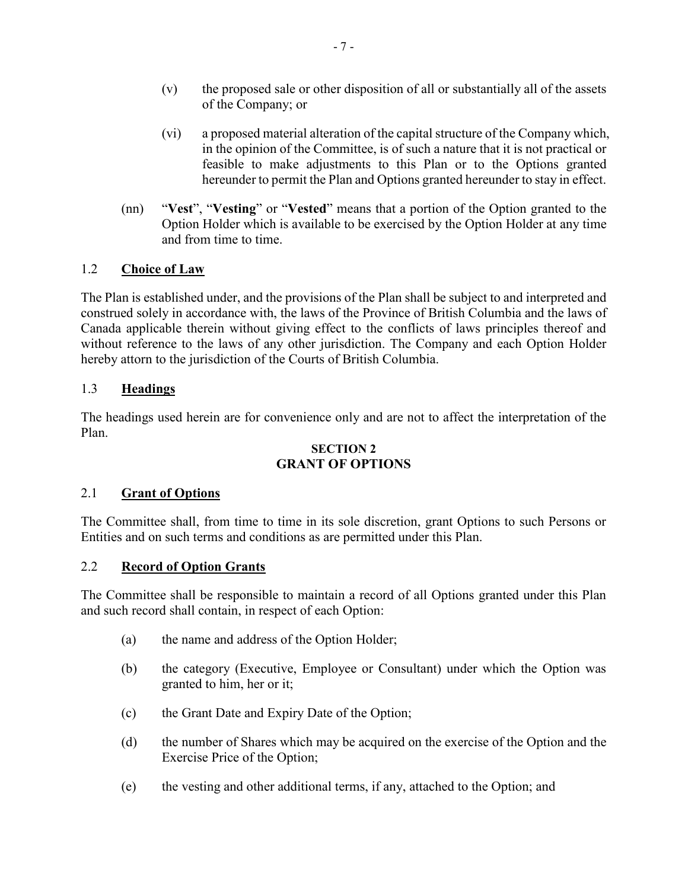- (v) the proposed sale or other disposition of all or substantially all of the assets of the Company; or
- (vi) a proposed material alteration of the capital structure of the Company which, in the opinion of the Committee, is of such a nature that it is not practical or feasible to make adjustments to this Plan or to the Options granted hereunder to permit the Plan and Options granted hereunder to stay in effect.
- (nn) "**Vest**", "**Vesting**" or "**Vested**" means that a portion of the Option granted to the Option Holder which is available to be exercised by the Option Holder at any time and from time to time.

# 1.2 **Choice of Law**

The Plan is established under, and the provisions of the Plan shall be subject to and interpreted and construed solely in accordance with, the laws of the Province of British Columbia and the laws of Canada applicable therein without giving effect to the conflicts of laws principles thereof and without reference to the laws of any other jurisdiction. The Company and each Option Holder hereby attorn to the jurisdiction of the Courts of British Columbia.

# 1.3 **Headings**

The headings used herein are for convenience only and are not to affect the interpretation of the Plan.

## **SECTION 2 GRANT OF OPTIONS**

## 2.1 **Grant of Options**

The Committee shall, from time to time in its sole discretion, grant Options to such Persons or Entities and on such terms and conditions as are permitted under this Plan.

## 2.2 **Record of Option Grants**

The Committee shall be responsible to maintain a record of all Options granted under this Plan and such record shall contain, in respect of each Option:

- (a) the name and address of the Option Holder;
- (b) the category (Executive, Employee or Consultant) under which the Option was granted to him, her or it;
- (c) the Grant Date and Expiry Date of the Option;
- (d) the number of Shares which may be acquired on the exercise of the Option and the Exercise Price of the Option;
- (e) the vesting and other additional terms, if any, attached to the Option; and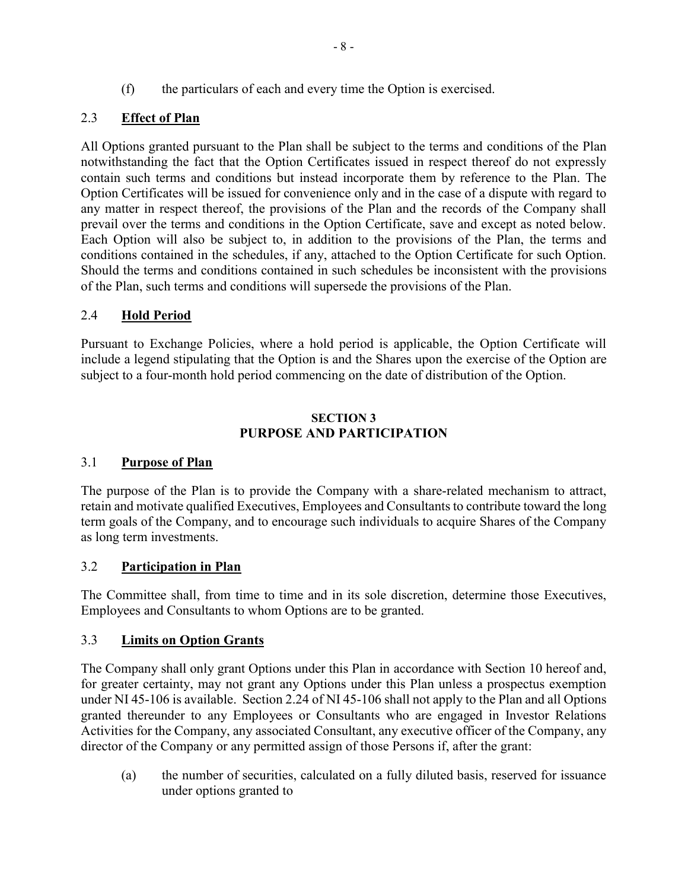# 2.3 **Effect of Plan**

All Options granted pursuant to the Plan shall be subject to the terms and conditions of the Plan notwithstanding the fact that the Option Certificates issued in respect thereof do not expressly contain such terms and conditions but instead incorporate them by reference to the Plan. The Option Certificates will be issued for convenience only and in the case of a dispute with regard to any matter in respect thereof, the provisions of the Plan and the records of the Company shall prevail over the terms and conditions in the Option Certificate, save and except as noted below. Each Option will also be subject to, in addition to the provisions of the Plan, the terms and conditions contained in the schedules, if any, attached to the Option Certificate for such Option. Should the terms and conditions contained in such schedules be inconsistent with the provisions of the Plan, such terms and conditions will supersede the provisions of the Plan.

# 2.4 **Hold Period**

Pursuant to Exchange Policies, where a hold period is applicable, the Option Certificate will include a legend stipulating that the Option is and the Shares upon the exercise of the Option are subject to a four-month hold period commencing on the date of distribution of the Option.

## **SECTION 3 PURPOSE AND PARTICIPATION**

## 3.1 **Purpose of Plan**

The purpose of the Plan is to provide the Company with a share-related mechanism to attract, retain and motivate qualified Executives, Employees and Consultants to contribute toward the long term goals of the Company, and to encourage such individuals to acquire Shares of the Company as long term investments.

## 3.2 **Participation in Plan**

The Committee shall, from time to time and in its sole discretion, determine those Executives, Employees and Consultants to whom Options are to be granted.

## 3.3 **Limits on Option Grants**

The Company shall only grant Options under this Plan in accordance with Section 10 hereof and, for greater certainty, may not grant any Options under this Plan unless a prospectus exemption under NI 45-106 is available. Section 2.24 of NI 45-106 shall not apply to the Plan and all Options granted thereunder to any Employees or Consultants who are engaged in Investor Relations Activities for the Company, any associated Consultant, any executive officer of the Company, any director of the Company or any permitted assign of those Persons if, after the grant:

(a) the number of securities, calculated on a fully diluted basis, reserved for issuance under options granted to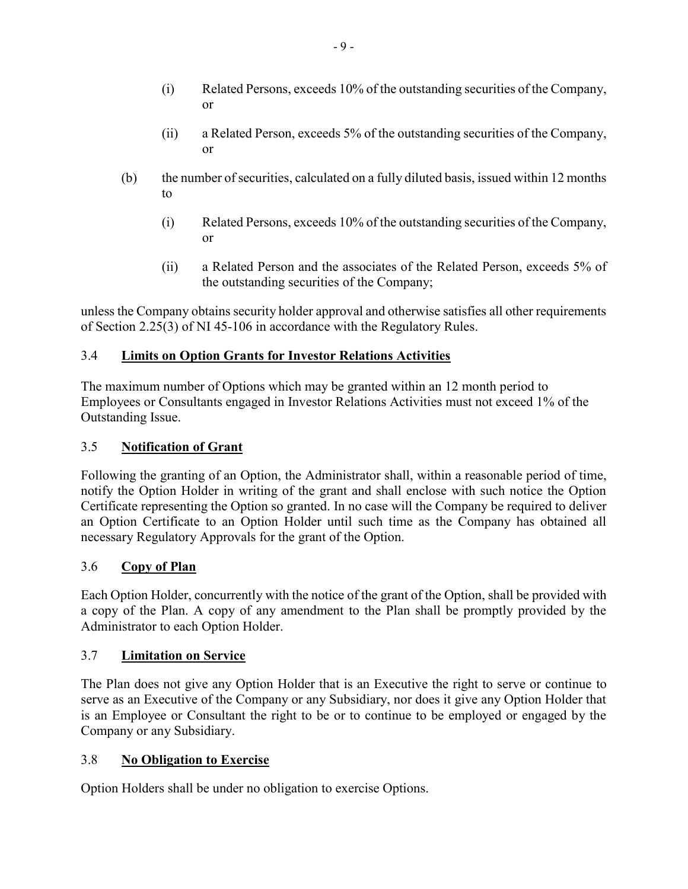- (i) Related Persons, exceeds 10% of the outstanding securities of the Company, or
- (ii) a Related Person, exceeds 5% of the outstanding securities of the Company, or
- (b) the number of securities, calculated on a fully diluted basis, issued within 12 months to
	- (i) Related Persons, exceeds 10% of the outstanding securities of the Company, or
	- (ii) a Related Person and the associates of the Related Person, exceeds 5% of the outstanding securities of the Company;

unless the Company obtains security holder approval and otherwise satisfies all other requirements of Section 2.25(3) of NI 45-106 in accordance with the Regulatory Rules.

# 3.4 **Limits on Option Grants for Investor Relations Activities**

The maximum number of Options which may be granted within an 12 month period to Employees or Consultants engaged in Investor Relations Activities must not exceed 1% of the Outstanding Issue.

## 3.5 **Notification of Grant**

Following the granting of an Option, the Administrator shall, within a reasonable period of time, notify the Option Holder in writing of the grant and shall enclose with such notice the Option Certificate representing the Option so granted. In no case will the Company be required to deliver an Option Certificate to an Option Holder until such time as the Company has obtained all necessary Regulatory Approvals for the grant of the Option.

## 3.6 **Copy of Plan**

Each Option Holder, concurrently with the notice of the grant of the Option, shall be provided with a copy of the Plan. A copy of any amendment to the Plan shall be promptly provided by the Administrator to each Option Holder.

## 3.7 **Limitation on Service**

The Plan does not give any Option Holder that is an Executive the right to serve or continue to serve as an Executive of the Company or any Subsidiary, nor does it give any Option Holder that is an Employee or Consultant the right to be or to continue to be employed or engaged by the Company or any Subsidiary.

## 3.8 **No Obligation to Exercise**

Option Holders shall be under no obligation to exercise Options.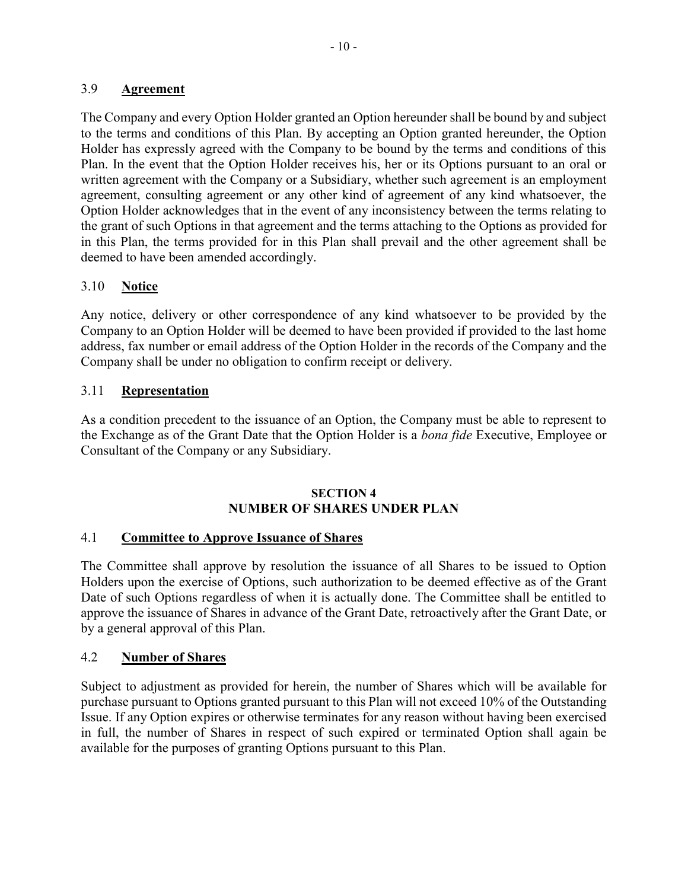## 3.9 **Agreement**

The Company and every Option Holder granted an Option hereunder shall be bound by and subject to the terms and conditions of this Plan. By accepting an Option granted hereunder, the Option Holder has expressly agreed with the Company to be bound by the terms and conditions of this Plan. In the event that the Option Holder receives his, her or its Options pursuant to an oral or written agreement with the Company or a Subsidiary, whether such agreement is an employment agreement, consulting agreement or any other kind of agreement of any kind whatsoever, the Option Holder acknowledges that in the event of any inconsistency between the terms relating to the grant of such Options in that agreement and the terms attaching to the Options as provided for in this Plan, the terms provided for in this Plan shall prevail and the other agreement shall be deemed to have been amended accordingly.

## 3.10 **Notice**

Any notice, delivery or other correspondence of any kind whatsoever to be provided by the Company to an Option Holder will be deemed to have been provided if provided to the last home address, fax number or email address of the Option Holder in the records of the Company and the Company shall be under no obligation to confirm receipt or delivery.

## 3.11 **Representation**

As a condition precedent to the issuance of an Option, the Company must be able to represent to the Exchange as of the Grant Date that the Option Holder is a *bona fide* Executive, Employee or Consultant of the Company or any Subsidiary.

#### **SECTION 4 NUMBER OF SHARES UNDER PLAN**

### 4.1 **Committee to Approve Issuance of Shares**

The Committee shall approve by resolution the issuance of all Shares to be issued to Option Holders upon the exercise of Options, such authorization to be deemed effective as of the Grant Date of such Options regardless of when it is actually done. The Committee shall be entitled to approve the issuance of Shares in advance of the Grant Date, retroactively after the Grant Date, or by a general approval of this Plan.

#### 4.2 **Number of Shares**

Subject to adjustment as provided for herein, the number of Shares which will be available for purchase pursuant to Options granted pursuant to this Plan will not exceed 10% of the Outstanding Issue. If any Option expires or otherwise terminates for any reason without having been exercised in full, the number of Shares in respect of such expired or terminated Option shall again be available for the purposes of granting Options pursuant to this Plan.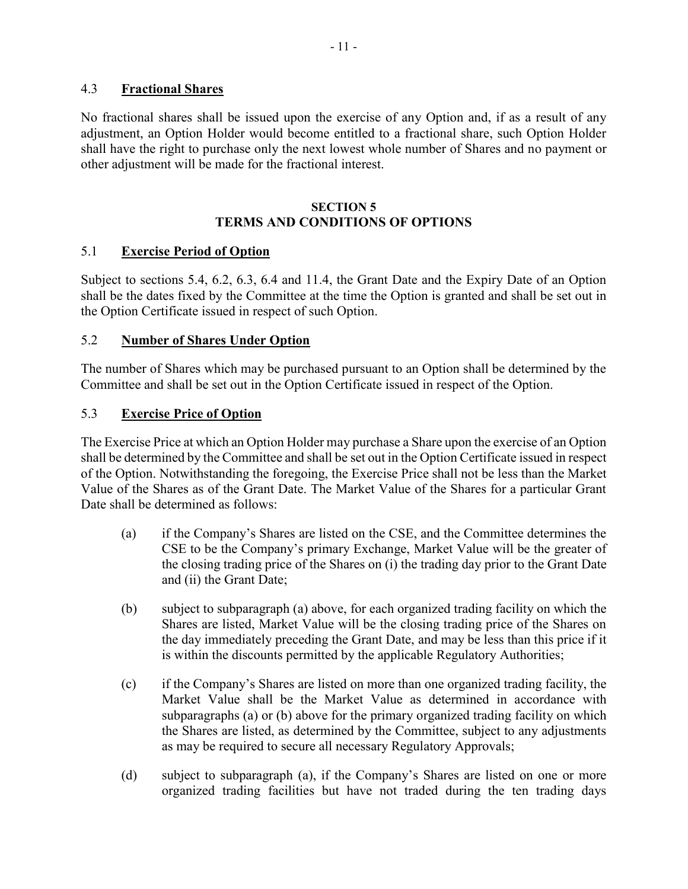## 4.3 **Fractional Shares**

No fractional shares shall be issued upon the exercise of any Option and, if as a result of any adjustment, an Option Holder would become entitled to a fractional share, such Option Holder shall have the right to purchase only the next lowest whole number of Shares and no payment or other adjustment will be made for the fractional interest.

#### **SECTION 5 TERMS AND CONDITIONS OF OPTIONS**

## 5.1 **Exercise Period of Option**

Subject to sections 5.4, 6.2, 6.3, 6.4 and 11.4, the Grant Date and the Expiry Date of an Option shall be the dates fixed by the Committee at the time the Option is granted and shall be set out in the Option Certificate issued in respect of such Option.

#### 5.2 **Number of Shares Under Option**

The number of Shares which may be purchased pursuant to an Option shall be determined by the Committee and shall be set out in the Option Certificate issued in respect of the Option.

#### 5.3 **Exercise Price of Option**

The Exercise Price at which an Option Holder may purchase a Share upon the exercise of an Option shall be determined by the Committee and shall be set out in the Option Certificate issued in respect of the Option. Notwithstanding the foregoing, the Exercise Price shall not be less than the Market Value of the Shares as of the Grant Date. The Market Value of the Shares for a particular Grant Date shall be determined as follows:

- (a) if the Company's Shares are listed on the CSE, and the Committee determines the CSE to be the Company's primary Exchange, Market Value will be the greater of the closing trading price of the Shares on (i) the trading day prior to the Grant Date and (ii) the Grant Date;
- (b) subject to subparagraph (a) above, for each organized trading facility on which the Shares are listed, Market Value will be the closing trading price of the Shares on the day immediately preceding the Grant Date, and may be less than this price if it is within the discounts permitted by the applicable Regulatory Authorities;
- (c) if the Company's Shares are listed on more than one organized trading facility, the Market Value shall be the Market Value as determined in accordance with subparagraphs (a) or (b) above for the primary organized trading facility on which the Shares are listed, as determined by the Committee, subject to any adjustments as may be required to secure all necessary Regulatory Approvals;
- (d) subject to subparagraph (a), if the Company's Shares are listed on one or more organized trading facilities but have not traded during the ten trading days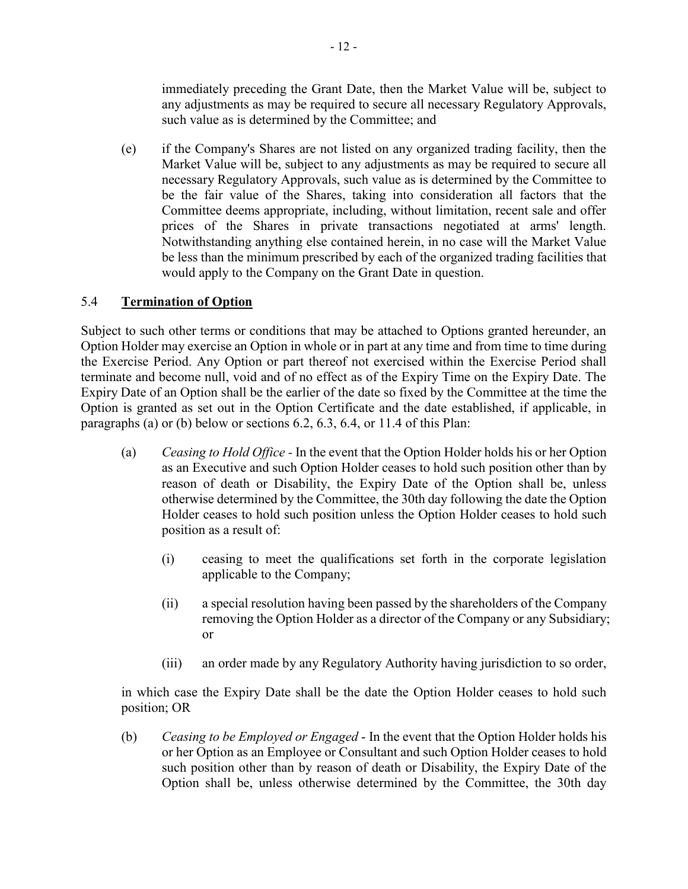immediately preceding the Grant Date, then the Market Value will be, subject to any adjustments as may be required to secure all necessary Regulatory Approvals, such value as is determined by the Committee; and

(e) if the Company's Shares are not listed on any organized trading facility, then the Market Value will be, subject to any adjustments as may be required to secure all necessary Regulatory Approvals, such value as is determined by the Committee to be the fair value of the Shares, taking into consideration all factors that the Committee deems appropriate, including, without limitation, recent sale and offer prices of the Shares in private transactions negotiated at arms' length. Notwithstanding anything else contained herein, in no case will the Market Value be less than the minimum prescribed by each of the organized trading facilities that would apply to the Company on the Grant Date in question.

# 5.4 **Termination of Option**

Subject to such other terms or conditions that may be attached to Options granted hereunder, an Option Holder may exercise an Option in whole or in part at any time and from time to time during the Exercise Period. Any Option or part thereof not exercised within the Exercise Period shall terminate and become null, void and of no effect as of the Expiry Time on the Expiry Date. The Expiry Date of an Option shall be the earlier of the date so fixed by the Committee at the time the Option is granted as set out in the Option Certificate and the date established, if applicable, in paragraphs (a) or (b) below or sections 6.2, 6.3, 6.4, or 11.4 of this Plan:

- (a) *Ceasing to Hold Office -* In the event that the Option Holder holds his or her Option as an Executive and such Option Holder ceases to hold such position other than by reason of death or Disability, the Expiry Date of the Option shall be, unless otherwise determined by the Committee, the 30th day following the date the Option Holder ceases to hold such position unless the Option Holder ceases to hold such position as a result of:
	- (i) ceasing to meet the qualifications set forth in the corporate legislation applicable to the Company;
	- (ii) a special resolution having been passed by the shareholders of the Company removing the Option Holder as a director of the Company or any Subsidiary; or
	- (iii) an order made by any Regulatory Authority having jurisdiction to so order,

in which case the Expiry Date shall be the date the Option Holder ceases to hold such position; OR

(b) *Ceasing to be Employed or Engaged* - In the event that the Option Holder holds his or her Option as an Employee or Consultant and such Option Holder ceases to hold such position other than by reason of death or Disability, the Expiry Date of the Option shall be, unless otherwise determined by the Committee, the 30th day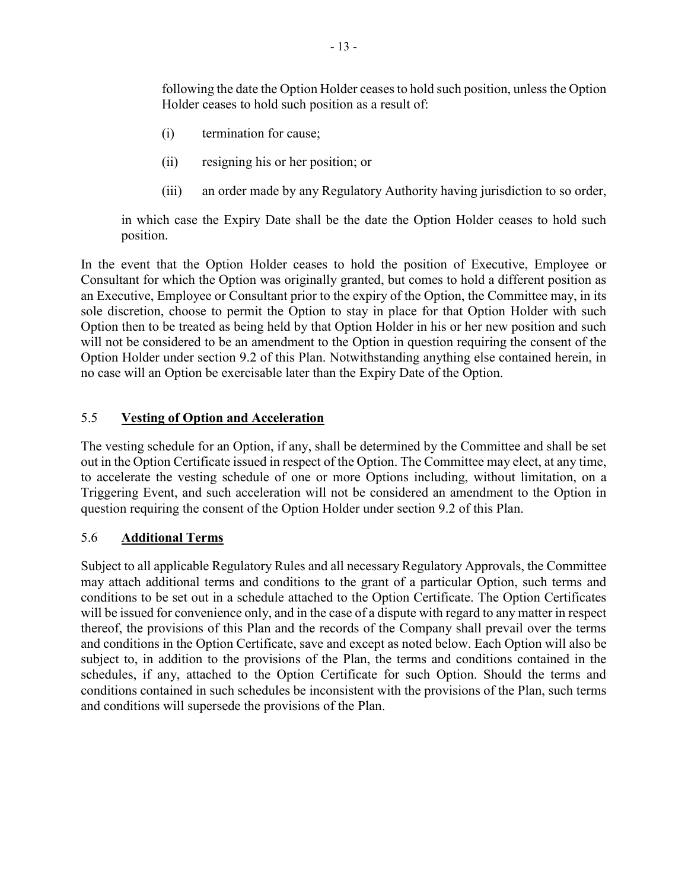following the date the Option Holder ceases to hold such position, unless the Option Holder ceases to hold such position as a result of:

- (i) termination for cause;
- (ii) resigning his or her position; or
- (iii) an order made by any Regulatory Authority having jurisdiction to so order,

in which case the Expiry Date shall be the date the Option Holder ceases to hold such position.

In the event that the Option Holder ceases to hold the position of Executive, Employee or Consultant for which the Option was originally granted, but comes to hold a different position as an Executive, Employee or Consultant prior to the expiry of the Option, the Committee may, in its sole discretion, choose to permit the Option to stay in place for that Option Holder with such Option then to be treated as being held by that Option Holder in his or her new position and such will not be considered to be an amendment to the Option in question requiring the consent of the Option Holder under section 9.2 of this Plan. Notwithstanding anything else contained herein, in no case will an Option be exercisable later than the Expiry Date of the Option.

## 5.5 **Vesting of Option and Acceleration**

The vesting schedule for an Option, if any, shall be determined by the Committee and shall be set out in the Option Certificate issued in respect of the Option. The Committee may elect, at any time, to accelerate the vesting schedule of one or more Options including, without limitation, on a Triggering Event, and such acceleration will not be considered an amendment to the Option in question requiring the consent of the Option Holder under section 9.2 of this Plan.

## 5.6 **Additional Terms**

Subject to all applicable Regulatory Rules and all necessary Regulatory Approvals, the Committee may attach additional terms and conditions to the grant of a particular Option, such terms and conditions to be set out in a schedule attached to the Option Certificate. The Option Certificates will be issued for convenience only, and in the case of a dispute with regard to any matter in respect thereof, the provisions of this Plan and the records of the Company shall prevail over the terms and conditions in the Option Certificate, save and except as noted below. Each Option will also be subject to, in addition to the provisions of the Plan, the terms and conditions contained in the schedules, if any, attached to the Option Certificate for such Option. Should the terms and conditions contained in such schedules be inconsistent with the provisions of the Plan, such terms and conditions will supersede the provisions of the Plan.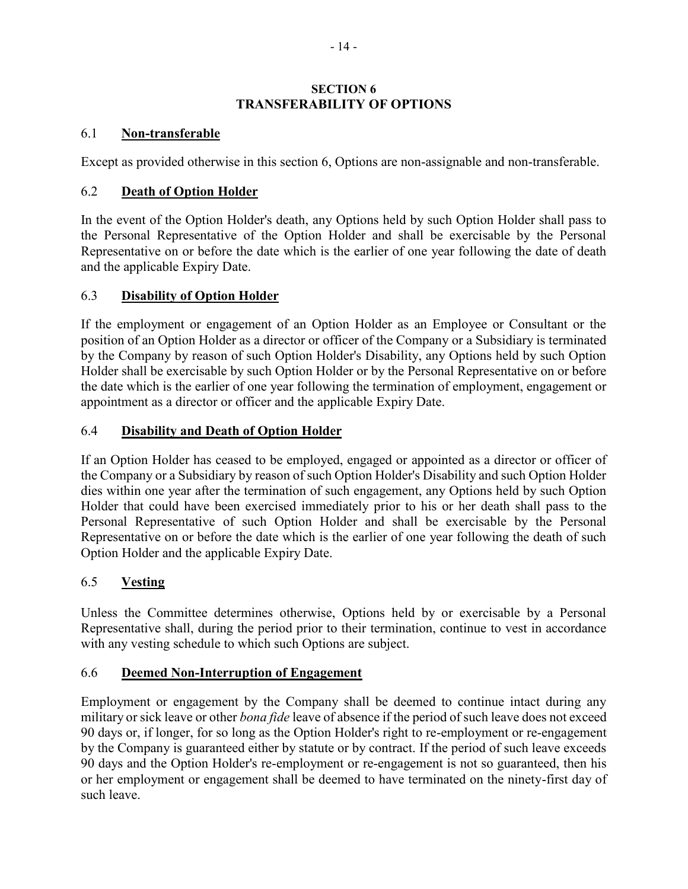## **SECTION 6 TRANSFERABILITY OF OPTIONS**

# 6.1 **Non-transferable**

Except as provided otherwise in this section 6, Options are non-assignable and non-transferable.

# 6.2 **Death of Option Holder**

In the event of the Option Holder's death, any Options held by such Option Holder shall pass to the Personal Representative of the Option Holder and shall be exercisable by the Personal Representative on or before the date which is the earlier of one year following the date of death and the applicable Expiry Date.

# 6.3 **Disability of Option Holder**

If the employment or engagement of an Option Holder as an Employee or Consultant or the position of an Option Holder as a director or officer of the Company or a Subsidiary is terminated by the Company by reason of such Option Holder's Disability, any Options held by such Option Holder shall be exercisable by such Option Holder or by the Personal Representative on or before the date which is the earlier of one year following the termination of employment, engagement or appointment as a director or officer and the applicable Expiry Date.

# 6.4 **Disability and Death of Option Holder**

If an Option Holder has ceased to be employed, engaged or appointed as a director or officer of the Company or a Subsidiary by reason of such Option Holder's Disability and such Option Holder dies within one year after the termination of such engagement, any Options held by such Option Holder that could have been exercised immediately prior to his or her death shall pass to the Personal Representative of such Option Holder and shall be exercisable by the Personal Representative on or before the date which is the earlier of one year following the death of such Option Holder and the applicable Expiry Date.

# 6.5 **Vesting**

Unless the Committee determines otherwise, Options held by or exercisable by a Personal Representative shall, during the period prior to their termination, continue to vest in accordance with any vesting schedule to which such Options are subject.

## 6.6 **Deemed Non-Interruption of Engagement**

Employment or engagement by the Company shall be deemed to continue intact during any military or sick leave or other *bona fide* leave of absence if the period of such leave does not exceed 90 days or, if longer, for so long as the Option Holder's right to re-employment or re-engagement by the Company is guaranteed either by statute or by contract. If the period of such leave exceeds 90 days and the Option Holder's re-employment or re-engagement is not so guaranteed, then his or her employment or engagement shall be deemed to have terminated on the ninety-first day of such leave.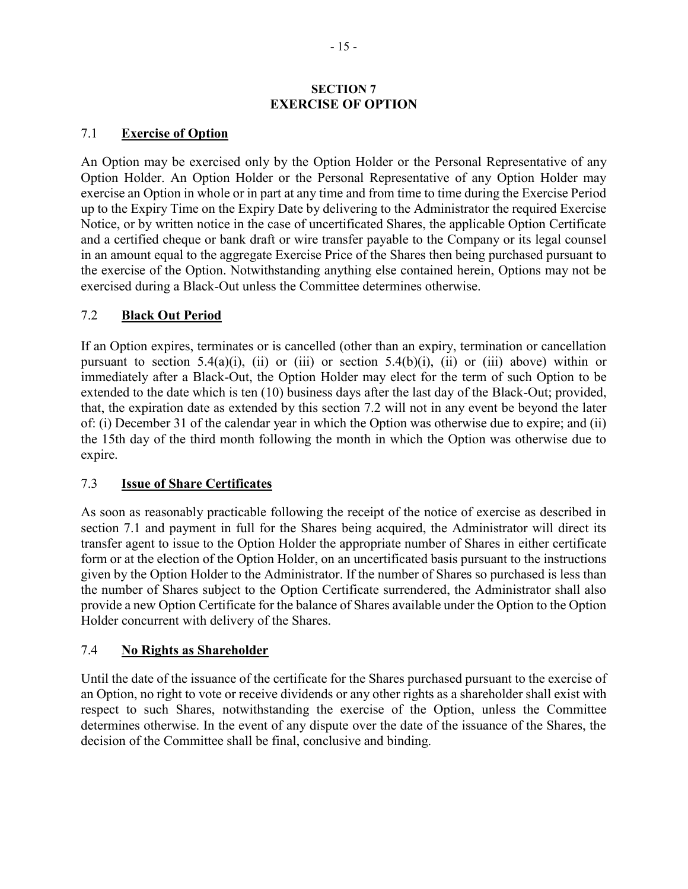#### **SECTION 7 EXERCISE OF OPTION**

## 7.1 **Exercise of Option**

An Option may be exercised only by the Option Holder or the Personal Representative of any Option Holder. An Option Holder or the Personal Representative of any Option Holder may exercise an Option in whole or in part at any time and from time to time during the Exercise Period up to the Expiry Time on the Expiry Date by delivering to the Administrator the required Exercise Notice, or by written notice in the case of uncertificated Shares, the applicable Option Certificate and a certified cheque or bank draft or wire transfer payable to the Company or its legal counsel in an amount equal to the aggregate Exercise Price of the Shares then being purchased pursuant to the exercise of the Option. Notwithstanding anything else contained herein, Options may not be exercised during a Black-Out unless the Committee determines otherwise.

## 7.2 **Black Out Period**

If an Option expires, terminates or is cancelled (other than an expiry, termination or cancellation pursuant to section 5.4(a)(i), (ii) or (iii) or section 5.4(b)(i), (ii) or (iii) above) within or immediately after a Black-Out, the Option Holder may elect for the term of such Option to be extended to the date which is ten (10) business days after the last day of the Black-Out; provided, that, the expiration date as extended by this section 7.2 will not in any event be beyond the later of: (i) December 31 of the calendar year in which the Option was otherwise due to expire; and (ii) the 15th day of the third month following the month in which the Option was otherwise due to expire.

## 7.3 **Issue of Share Certificates**

As soon as reasonably practicable following the receipt of the notice of exercise as described in section 7.1 and payment in full for the Shares being acquired, the Administrator will direct its transfer agent to issue to the Option Holder the appropriate number of Shares in either certificate form or at the election of the Option Holder, on an uncertificated basis pursuant to the instructions given by the Option Holder to the Administrator. If the number of Shares so purchased is less than the number of Shares subject to the Option Certificate surrendered, the Administrator shall also provide a new Option Certificate for the balance of Shares available under the Option to the Option Holder concurrent with delivery of the Shares.

## 7.4 **No Rights as Shareholder**

Until the date of the issuance of the certificate for the Shares purchased pursuant to the exercise of an Option, no right to vote or receive dividends or any other rights as a shareholder shall exist with respect to such Shares, notwithstanding the exercise of the Option, unless the Committee determines otherwise. In the event of any dispute over the date of the issuance of the Shares, the decision of the Committee shall be final, conclusive and binding.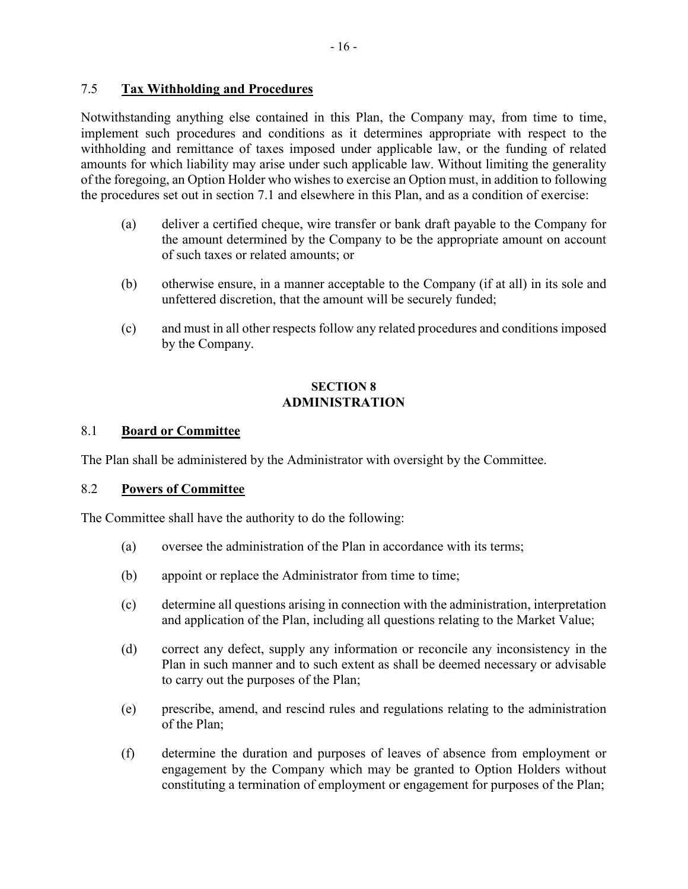## 7.5 **Tax Withholding and Procedures**

Notwithstanding anything else contained in this Plan, the Company may, from time to time, implement such procedures and conditions as it determines appropriate with respect to the withholding and remittance of taxes imposed under applicable law, or the funding of related amounts for which liability may arise under such applicable law. Without limiting the generality of the foregoing, an Option Holder who wishes to exercise an Option must, in addition to following the procedures set out in section 7.1 and elsewhere in this Plan, and as a condition of exercise:

- (a) deliver a certified cheque, wire transfer or bank draft payable to the Company for the amount determined by the Company to be the appropriate amount on account of such taxes or related amounts; or
- (b) otherwise ensure, in a manner acceptable to the Company (if at all) in its sole and unfettered discretion, that the amount will be securely funded;
- (c) and must in all other respects follow any related procedures and conditions imposed by the Company.

#### **SECTION 8 ADMINISTRATION**

## 8.1 **Board or Committee**

The Plan shall be administered by the Administrator with oversight by the Committee.

## 8.2 **Powers of Committee**

The Committee shall have the authority to do the following:

- (a) oversee the administration of the Plan in accordance with its terms;
- (b) appoint or replace the Administrator from time to time;
- (c) determine all questions arising in connection with the administration, interpretation and application of the Plan, including all questions relating to the Market Value;
- (d) correct any defect, supply any information or reconcile any inconsistency in the Plan in such manner and to such extent as shall be deemed necessary or advisable to carry out the purposes of the Plan;
- (e) prescribe, amend, and rescind rules and regulations relating to the administration of the Plan;
- (f) determine the duration and purposes of leaves of absence from employment or engagement by the Company which may be granted to Option Holders without constituting a termination of employment or engagement for purposes of the Plan;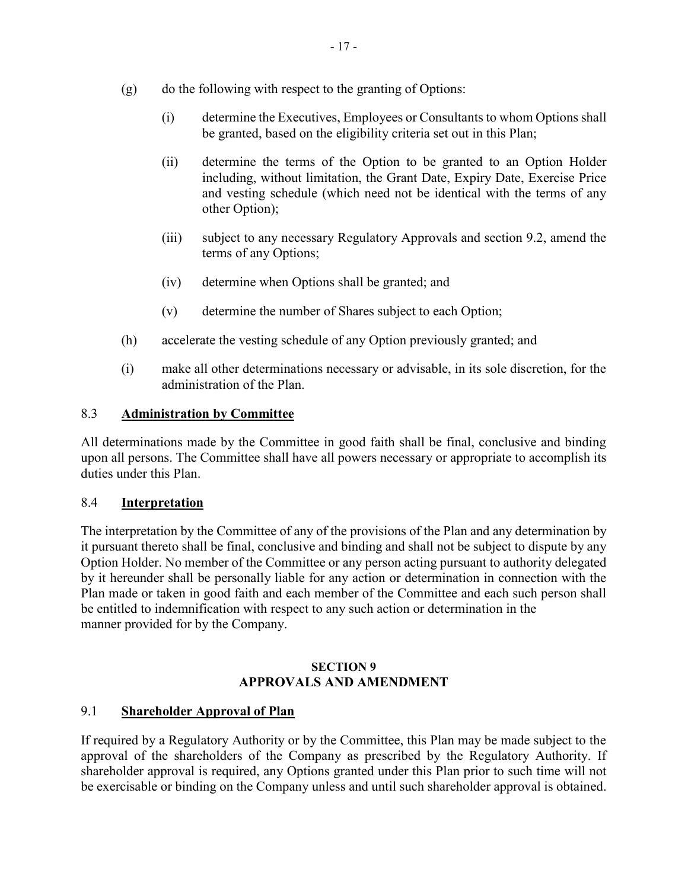- (g) do the following with respect to the granting of Options:
	- (i) determine the Executives, Employees or Consultants to whom Options shall be granted, based on the eligibility criteria set out in this Plan;
	- (ii) determine the terms of the Option to be granted to an Option Holder including, without limitation, the Grant Date, Expiry Date, Exercise Price and vesting schedule (which need not be identical with the terms of any other Option);
	- (iii) subject to any necessary Regulatory Approvals and section 9.2, amend the terms of any Options;
	- (iv) determine when Options shall be granted; and
	- (v) determine the number of Shares subject to each Option;
- (h) accelerate the vesting schedule of any Option previously granted; and
- (i) make all other determinations necessary or advisable, in its sole discretion, for the administration of the Plan.

#### 8.3 **Administration by Committee**

All determinations made by the Committee in good faith shall be final, conclusive and binding upon all persons. The Committee shall have all powers necessary or appropriate to accomplish its duties under this Plan.

### 8.4 **Interpretation**

The interpretation by the Committee of any of the provisions of the Plan and any determination by it pursuant thereto shall be final, conclusive and binding and shall not be subject to dispute by any Option Holder. No member of the Committee or any person acting pursuant to authority delegated by it hereunder shall be personally liable for any action or determination in connection with the Plan made or taken in good faith and each member of the Committee and each such person shall be entitled to indemnification with respect to any such action or determination in the manner provided for by the Company.

## **SECTION 9 APPROVALS AND AMENDMENT**

#### 9.1 **Shareholder Approval of Plan**

If required by a Regulatory Authority or by the Committee, this Plan may be made subject to the approval of the shareholders of the Company as prescribed by the Regulatory Authority. If shareholder approval is required, any Options granted under this Plan prior to such time will not be exercisable or binding on the Company unless and until such shareholder approval is obtained.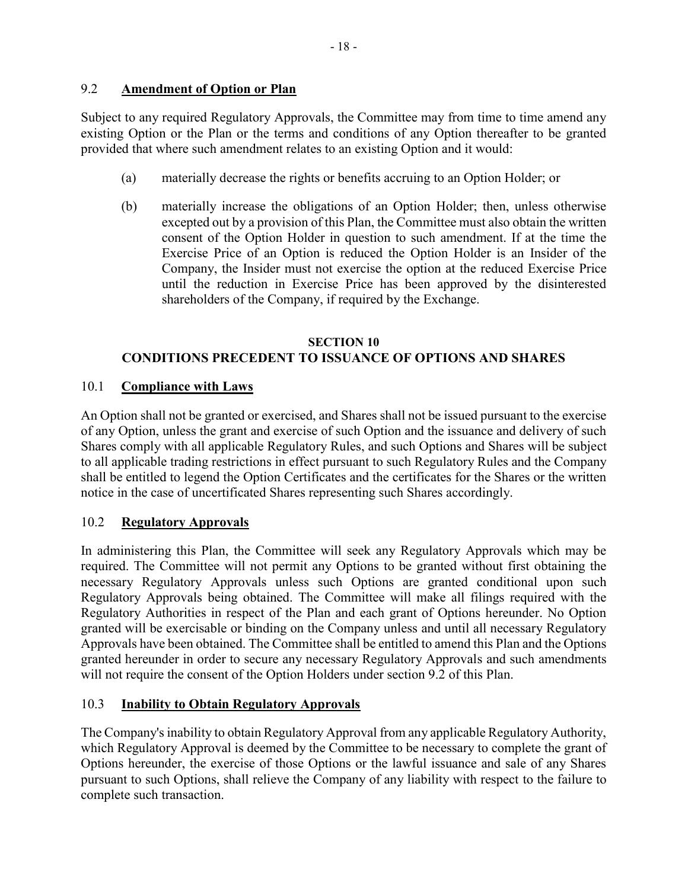Subject to any required Regulatory Approvals, the Committee may from time to time amend any existing Option or the Plan or the terms and conditions of any Option thereafter to be granted provided that where such amendment relates to an existing Option and it would:

- (a) materially decrease the rights or benefits accruing to an Option Holder; or
- (b) materially increase the obligations of an Option Holder; then, unless otherwise excepted out by a provision of this Plan, the Committee must also obtain the written consent of the Option Holder in question to such amendment. If at the time the Exercise Price of an Option is reduced the Option Holder is an Insider of the Company, the Insider must not exercise the option at the reduced Exercise Price until the reduction in Exercise Price has been approved by the disinterested shareholders of the Company, if required by the Exchange.

# **SECTION 10 CONDITIONS PRECEDENT TO ISSUANCE OF OPTIONS AND SHARES**

# 10.1 **Compliance with Laws**

An Option shall not be granted or exercised, and Shares shall not be issued pursuant to the exercise of any Option, unless the grant and exercise of such Option and the issuance and delivery of such Shares comply with all applicable Regulatory Rules, and such Options and Shares will be subject to all applicable trading restrictions in effect pursuant to such Regulatory Rules and the Company shall be entitled to legend the Option Certificates and the certificates for the Shares or the written notice in the case of uncertificated Shares representing such Shares accordingly.

# 10.2 **Regulatory Approvals**

In administering this Plan, the Committee will seek any Regulatory Approvals which may be required. The Committee will not permit any Options to be granted without first obtaining the necessary Regulatory Approvals unless such Options are granted conditional upon such Regulatory Approvals being obtained. The Committee will make all filings required with the Regulatory Authorities in respect of the Plan and each grant of Options hereunder. No Option granted will be exercisable or binding on the Company unless and until all necessary Regulatory Approvals have been obtained. The Committee shall be entitled to amend this Plan and the Options granted hereunder in order to secure any necessary Regulatory Approvals and such amendments will not require the consent of the Option Holders under section 9.2 of this Plan.

# 10.3 **Inability to Obtain Regulatory Approvals**

The Company's inability to obtain Regulatory Approval from any applicable Regulatory Authority, which Regulatory Approval is deemed by the Committee to be necessary to complete the grant of Options hereunder, the exercise of those Options or the lawful issuance and sale of any Shares pursuant to such Options, shall relieve the Company of any liability with respect to the failure to complete such transaction.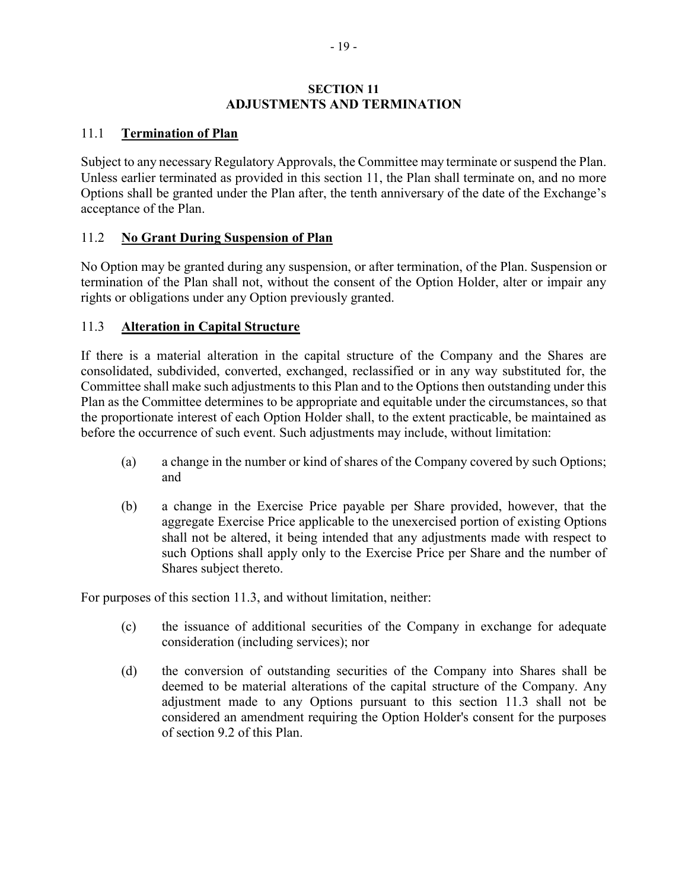#### **SECTION 11 ADJUSTMENTS AND TERMINATION**

## 11.1 **Termination of Plan**

Subject to any necessary Regulatory Approvals, the Committee may terminate or suspend the Plan. Unless earlier terminated as provided in this section 11, the Plan shall terminate on, and no more Options shall be granted under the Plan after, the tenth anniversary of the date of the Exchange's acceptance of the Plan.

## 11.2 **No Grant During Suspension of Plan**

No Option may be granted during any suspension, or after termination, of the Plan. Suspension or termination of the Plan shall not, without the consent of the Option Holder, alter or impair any rights or obligations under any Option previously granted.

## 11.3 **Alteration in Capital Structure**

If there is a material alteration in the capital structure of the Company and the Shares are consolidated, subdivided, converted, exchanged, reclassified or in any way substituted for, the Committee shall make such adjustments to this Plan and to the Options then outstanding under this Plan as the Committee determines to be appropriate and equitable under the circumstances, so that the proportionate interest of each Option Holder shall, to the extent practicable, be maintained as before the occurrence of such event. Such adjustments may include, without limitation:

- (a) a change in the number or kind of shares of the Company covered by such Options; and
- (b) a change in the Exercise Price payable per Share provided, however, that the aggregate Exercise Price applicable to the unexercised portion of existing Options shall not be altered, it being intended that any adjustments made with respect to such Options shall apply only to the Exercise Price per Share and the number of Shares subject thereto.

For purposes of this section 11.3, and without limitation, neither:

- (c) the issuance of additional securities of the Company in exchange for adequate consideration (including services); nor
- (d) the conversion of outstanding securities of the Company into Shares shall be deemed to be material alterations of the capital structure of the Company. Any adjustment made to any Options pursuant to this section 11.3 shall not be considered an amendment requiring the Option Holder's consent for the purposes of section 9.2 of this Plan.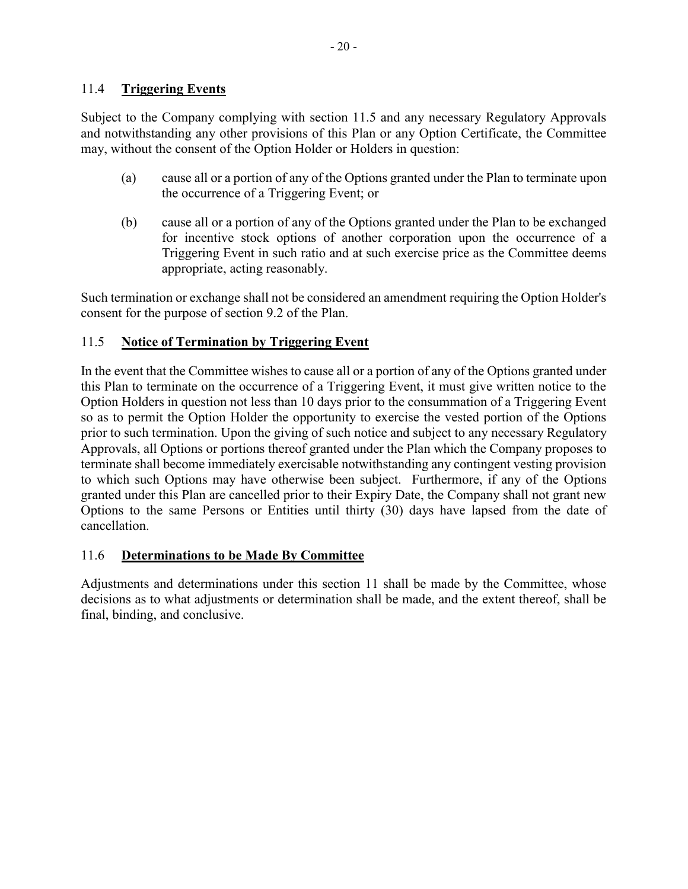## 11.4 **Triggering Events**

Subject to the Company complying with section 11.5 and any necessary Regulatory Approvals and notwithstanding any other provisions of this Plan or any Option Certificate, the Committee may, without the consent of the Option Holder or Holders in question:

- (a) cause all or a portion of any of the Options granted under the Plan to terminate upon the occurrence of a Triggering Event; or
- (b) cause all or a portion of any of the Options granted under the Plan to be exchanged for incentive stock options of another corporation upon the occurrence of a Triggering Event in such ratio and at such exercise price as the Committee deems appropriate, acting reasonably.

Such termination or exchange shall not be considered an amendment requiring the Option Holder's consent for the purpose of section 9.2 of the Plan.

# 11.5 **Notice of Termination by Triggering Event**

In the event that the Committee wishes to cause all or a portion of any of the Options granted under this Plan to terminate on the occurrence of a Triggering Event, it must give written notice to the Option Holders in question not less than 10 days prior to the consummation of a Triggering Event so as to permit the Option Holder the opportunity to exercise the vested portion of the Options prior to such termination. Upon the giving of such notice and subject to any necessary Regulatory Approvals, all Options or portions thereof granted under the Plan which the Company proposes to terminate shall become immediately exercisable notwithstanding any contingent vesting provision to which such Options may have otherwise been subject. Furthermore, if any of the Options granted under this Plan are cancelled prior to their Expiry Date, the Company shall not grant new Options to the same Persons or Entities until thirty (30) days have lapsed from the date of cancellation.

## 11.6 **Determinations to be Made By Committee**

Adjustments and determinations under this section 11 shall be made by the Committee, whose decisions as to what adjustments or determination shall be made, and the extent thereof, shall be final, binding, and conclusive.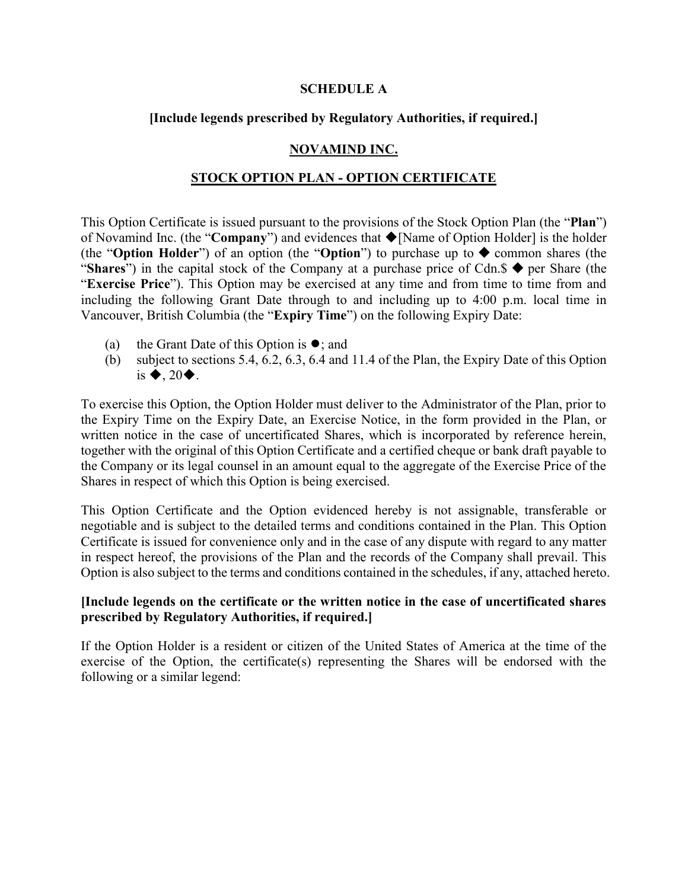#### **SCHEDULE A**

### **[Include legends prescribed by Regulatory Authorities, if required.]**

## **NOVAMIND INC.**

### **STOCK OPTION PLAN - OPTION CERTIFICATE**

This Option Certificate is issued pursuant to the provisions of the Stock Option Plan (the "**Plan**") of Novamind Inc. (the "**Company**") and evidences that ◆[Name of Option Holder] is the holder (the "**Option Holder**") of an option (the "**Option**") to purchase up to  $\blacklozenge$  common shares (the "**Shares**") in the capital stock of the Company at a purchase price of Cdn. $\oint$  per Share (the "**Exercise Price**"). This Option may be exercised at any time and from time to time from and including the following Grant Date through to and including up to 4:00 p.m. local time in Vancouver, British Columbia (the "**Expiry Time**") on the following Expiry Date:

- (a) the Grant Date of this Option is  $\bullet$ ; and
- (b) subject to sections 5.4, 6.2, 6.3, 6.4 and 11.4 of the Plan, the Expiry Date of this Option is  $\blacklozenge$ , 20 $\blacklozenge$ .

To exercise this Option, the Option Holder must deliver to the Administrator of the Plan, prior to the Expiry Time on the Expiry Date, an Exercise Notice, in the form provided in the Plan, or written notice in the case of uncertificated Shares, which is incorporated by reference herein, together with the original of this Option Certificate and a certified cheque or bank draft payable to the Company or its legal counsel in an amount equal to the aggregate of the Exercise Price of the Shares in respect of which this Option is being exercised.

This Option Certificate and the Option evidenced hereby is not assignable, transferable or negotiable and is subject to the detailed terms and conditions contained in the Plan. This Option Certificate is issued for convenience only and in the case of any dispute with regard to any matter in respect hereof, the provisions of the Plan and the records of the Company shall prevail. This Option is also subject to the terms and conditions contained in the schedules, if any, attached hereto.

## **[Include legends on the certificate or the written notice in the case of uncertificated shares prescribed by Regulatory Authorities, if required.]**

If the Option Holder is a resident or citizen of the United States of America at the time of the exercise of the Option, the certificate(s) representing the Shares will be endorsed with the following or a similar legend: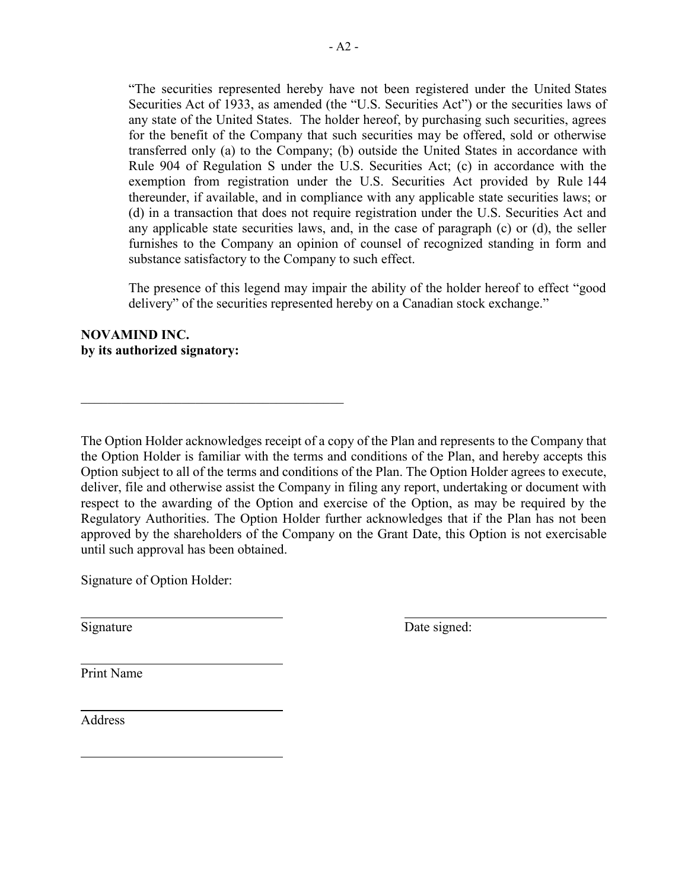"The securities represented hereby have not been registered under the United States Securities Act of 1933, as amended (the "U.S. Securities Act") or the securities laws of any state of the United States. The holder hereof, by purchasing such securities, agrees for the benefit of the Company that such securities may be offered, sold or otherwise transferred only (a) to the Company; (b) outside the United States in accordance with Rule 904 of Regulation S under the U.S. Securities Act; (c) in accordance with the exemption from registration under the U.S. Securities Act provided by Rule 144 thereunder, if available, and in compliance with any applicable state securities laws; or (d) in a transaction that does not require registration under the U.S. Securities Act and any applicable state securities laws, and, in the case of paragraph (c) or (d), the seller furnishes to the Company an opinion of counsel of recognized standing in form and substance satisfactory to the Company to such effect.

The presence of this legend may impair the ability of the holder hereof to effect "good delivery" of the securities represented hereby on a Canadian stock exchange."

## **NOVAMIND INC. by its authorized signatory:**

\_\_\_\_\_\_\_\_\_\_\_\_\_\_\_\_\_\_\_\_\_\_\_\_\_\_\_\_\_\_\_\_\_\_\_\_\_\_\_

The Option Holder acknowledges receipt of a copy of the Plan and represents to the Company that the Option Holder is familiar with the terms and conditions of the Plan, and hereby accepts this Option subject to all of the terms and conditions of the Plan. The Option Holder agrees to execute, deliver, file and otherwise assist the Company in filing any report, undertaking or document with respect to the awarding of the Option and exercise of the Option, as may be required by the Regulatory Authorities. The Option Holder further acknowledges that if the Plan has not been approved by the shareholders of the Company on the Grant Date, this Option is not exercisable until such approval has been obtained.

Signature of Option Holder:

Signature Date signed:

Print Name

Address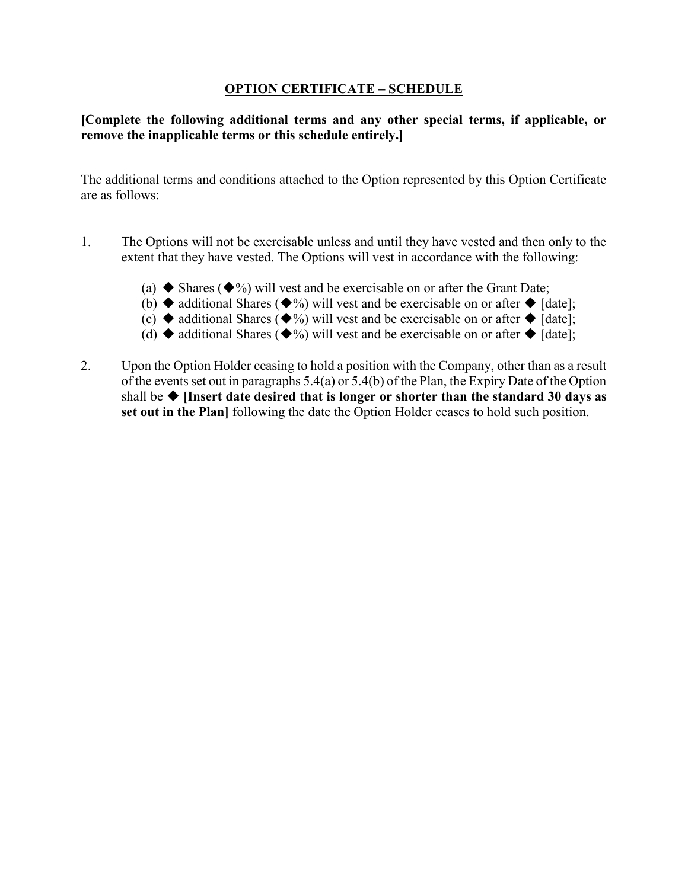## **OPTION CERTIFICATE – SCHEDULE**

**[Complete the following additional terms and any other special terms, if applicable, or remove the inapplicable terms or this schedule entirely.]**

The additional terms and conditions attached to the Option represented by this Option Certificate are as follows:

- 1. The Options will not be exercisable unless and until they have vested and then only to the extent that they have vested. The Options will vest in accordance with the following:
	- (a)  $\blacklozenge$  Shares ( $\blacklozenge$ %) will vest and be exercisable on or after the Grant Date;
	- (b)  $\blacklozenge$  additional Shares ( $\blacklozenge$ %) will vest and be exercisable on or after  $\blacklozenge$  [date];
	- (c)  $\blacklozenge$  additional Shares ( $\blacklozenge$ %) will vest and be exercisable on or after  $\blacklozenge$  [date];
	- (d)  $\blacklozenge$  additional Shares ( $\blacklozenge$ %) will vest and be exercisable on or after  $\blacklozenge$  [date];
- 2. Upon the Option Holder ceasing to hold a position with the Company, other than as a result of the events set out in paragraphs 5.4(a) or 5.4(b) of the Plan, the Expiry Date of the Option shall be **[Insert date desired that is longer or shorter than the standard 30 days as set out in the Plan]** following the date the Option Holder ceases to hold such position.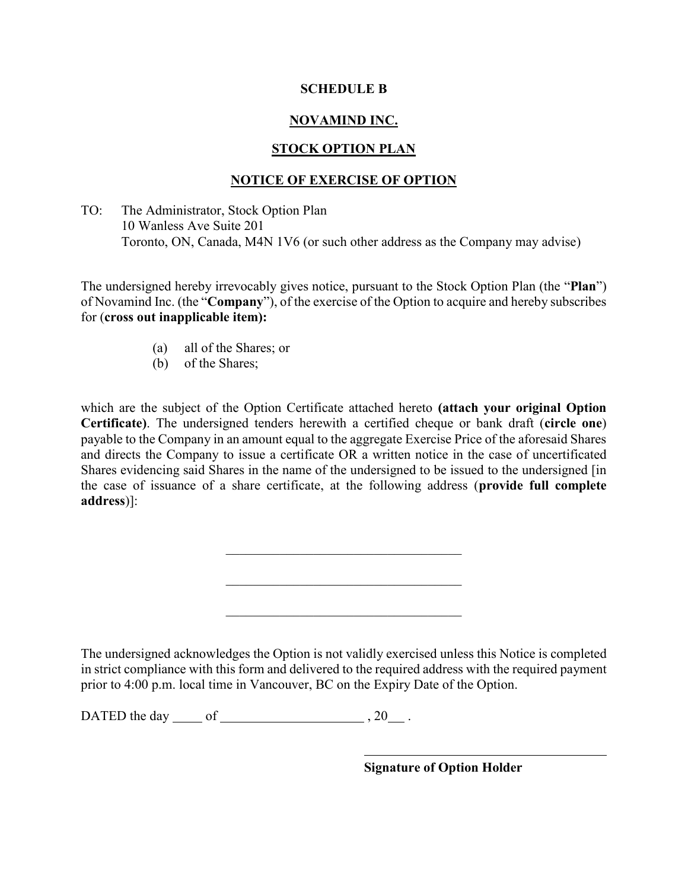### **SCHEDULE B**

## **NOVAMIND INC.**

## **STOCK OPTION PLAN**

## **NOTICE OF EXERCISE OF OPTION**

TO: The Administrator, Stock Option Plan 10 Wanless Ave Suite 201 Toronto, ON, Canada, M4N 1V6 (or such other address as the Company may advise)

The undersigned hereby irrevocably gives notice, pursuant to the Stock Option Plan (the "**Plan**") of Novamind Inc. (the "**Company**"), of the exercise of the Option to acquire and hereby subscribes for (**cross out inapplicable item):**

- (a) all of the Shares; or
- (b) of the Shares;

which are the subject of the Option Certificate attached hereto **(attach your original Option Certificate)**. The undersigned tenders herewith a certified cheque or bank draft (**circle one**) payable to the Company in an amount equal to the aggregate Exercise Price of the aforesaid Shares and directs the Company to issue a certificate OR a written notice in the case of uncertificated Shares evidencing said Shares in the name of the undersigned to be issued to the undersigned [in the case of issuance of a share certificate, at the following address (**provide full complete address**)]:

 $\mathcal{L}_\mathcal{L}$  , which is a set of the set of the set of the set of the set of the set of the set of the set of the set of the set of the set of the set of the set of the set of the set of the set of the set of the set of

 $\mathcal{L}_\mathcal{L}$  , which is a set of the set of the set of the set of the set of the set of the set of the set of the set of the set of the set of the set of the set of the set of the set of the set of the set of the set of

 $\mathcal{L}_\mathcal{L}$  , which is a set of the set of the set of the set of the set of the set of the set of the set of the set of the set of the set of the set of the set of the set of the set of the set of the set of the set of

The undersigned acknowledges the Option is not validly exercised unless this Notice is completed in strict compliance with this form and delivered to the required address with the required payment prior to 4:00 p.m. local time in Vancouver, BC on the Expiry Date of the Option.

DATED the day  $\qquad$  of  $\qquad \qquad$ , 20  $\qquad$ .

**Signature of Option Holder**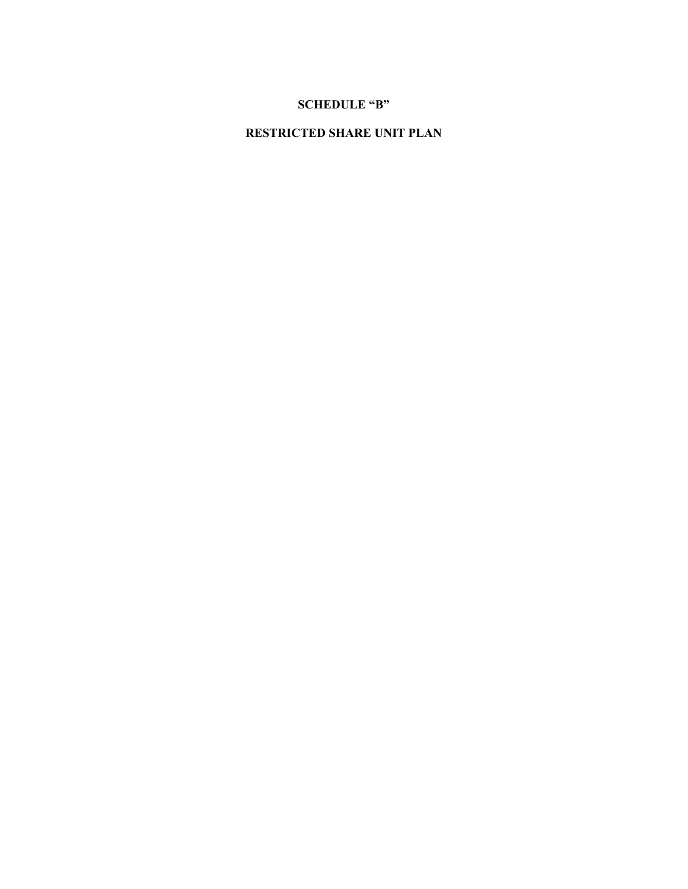## **SCHEDULE "B"**

# **RESTRICTED SHARE UNIT PLAN**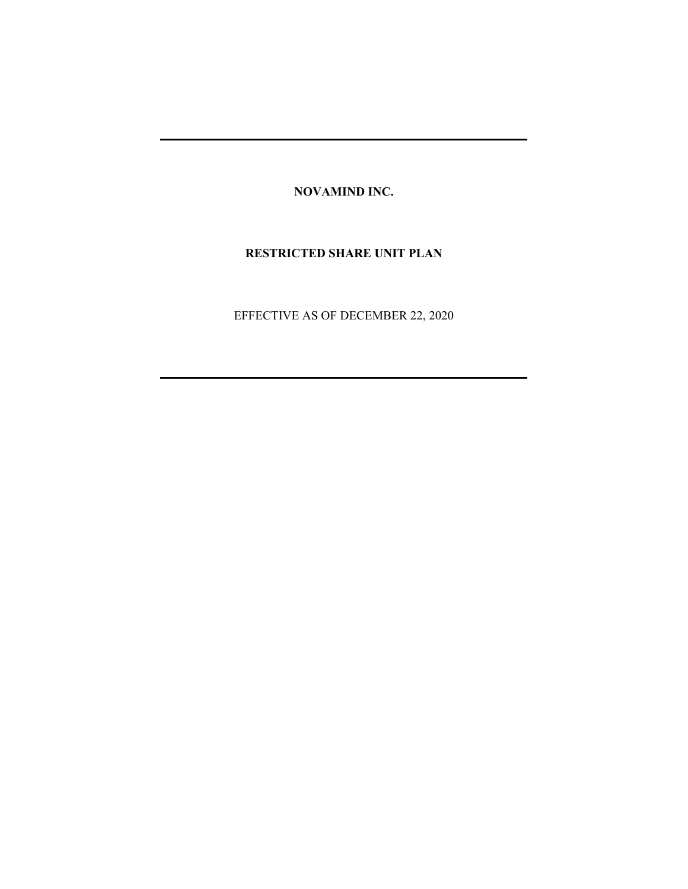**NOVAMIND INC.**

#### **RESTRICTED SHARE UNIT PLAN**

EFFECTIVE AS OF DECEMBER 22, 2020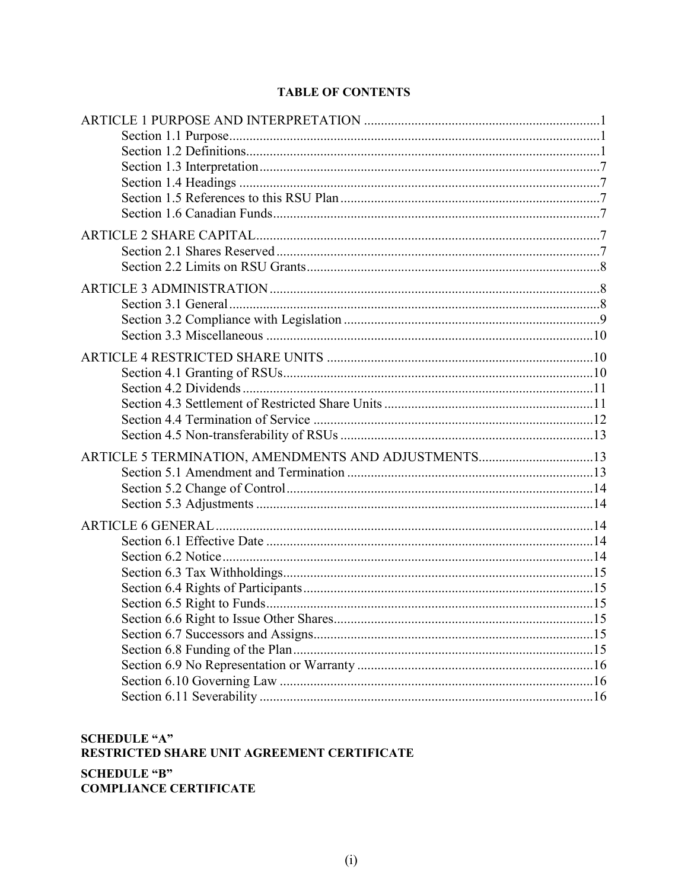## **TABLE OF CONTENTS**

| ARTICLE 5 TERMINATION, AMENDMENTS AND ADJUSTMENTS13 |  |
|-----------------------------------------------------|--|
|                                                     |  |
|                                                     |  |
|                                                     |  |
|                                                     |  |
|                                                     |  |
|                                                     |  |
|                                                     |  |
|                                                     |  |
|                                                     |  |
|                                                     |  |
|                                                     |  |
|                                                     |  |
|                                                     |  |
|                                                     |  |
|                                                     |  |
|                                                     |  |

## **SCHEDULE "A"** RESTRICTED SHARE UNIT AGREEMENT CERTIFICATE **SCHEDULE "B" COMPLIANCE CERTIFICATE**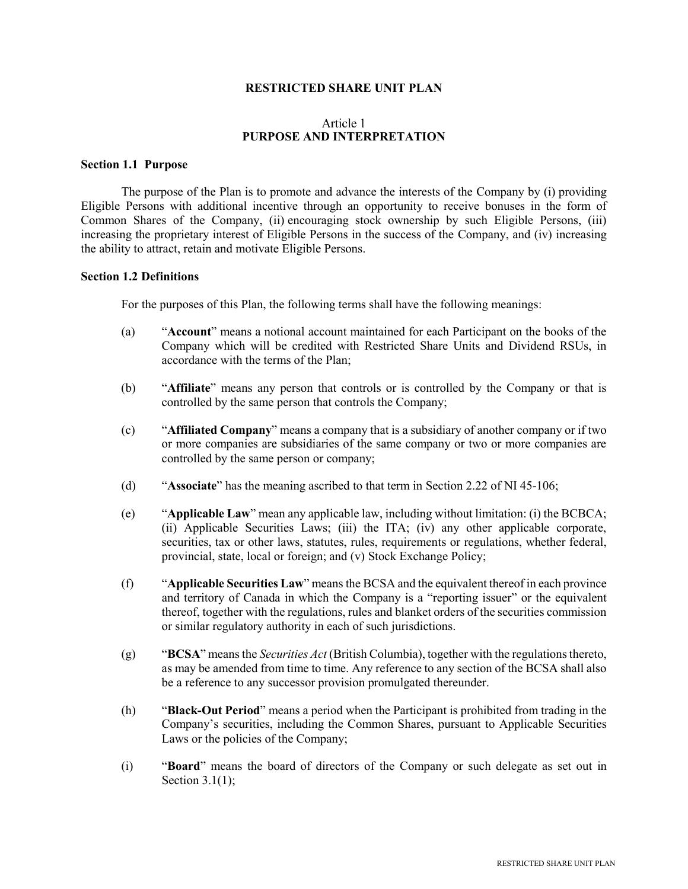#### **RESTRICTED SHARE UNIT PLAN**

#### Article 1 **PURPOSE AND INTERPRETATION**

#### **Section 1.1 Purpose**

The purpose of the Plan is to promote and advance the interests of the Company by (i) providing Eligible Persons with additional incentive through an opportunity to receive bonuses in the form of Common Shares of the Company, (ii) encouraging stock ownership by such Eligible Persons, (iii) increasing the proprietary interest of Eligible Persons in the success of the Company, and (iv) increasing the ability to attract, retain and motivate Eligible Persons.

#### **Section 1.2 Definitions**

For the purposes of this Plan, the following terms shall have the following meanings:

- (a) "**Account**" means a notional account maintained for each Participant on the books of the Company which will be credited with Restricted Share Units and Dividend RSUs, in accordance with the terms of the Plan;
- (b) "**Affiliate**" means any person that controls or is controlled by the Company or that is controlled by the same person that controls the Company;
- (c) "**Affiliated Company**" means a company that is a subsidiary of another company or if two or more companies are subsidiaries of the same company or two or more companies are controlled by the same person or company;
- (d) "**Associate**" has the meaning ascribed to that term in Section 2.22 of NI 45-106;
- (e) "**Applicable Law**" mean any applicable law, including without limitation: (i) the BCBCA; (ii) Applicable Securities Laws; (iii) the ITA; (iv) any other applicable corporate, securities, tax or other laws, statutes, rules, requirements or regulations, whether federal, provincial, state, local or foreign; and (v) Stock Exchange Policy;
- (f) "**Applicable Securities Law**" means the BCSA and the equivalent thereof in each province and territory of Canada in which the Company is a "reporting issuer" or the equivalent thereof, together with the regulations, rules and blanket orders of the securities commission or similar regulatory authority in each of such jurisdictions.
- (g) "**BCSA**" means the *Securities Act* (British Columbia), together with the regulations thereto, as may be amended from time to time. Any reference to any section of the BCSA shall also be a reference to any successor provision promulgated thereunder.
- (h) "**Black-Out Period**" means a period when the Participant is prohibited from trading in the Company's securities, including the Common Shares, pursuant to Applicable Securities Laws or the policies of the Company;
- (i) "**Board**" means the board of directors of the Company or such delegate as set out in Section  $3.1(1)$ ;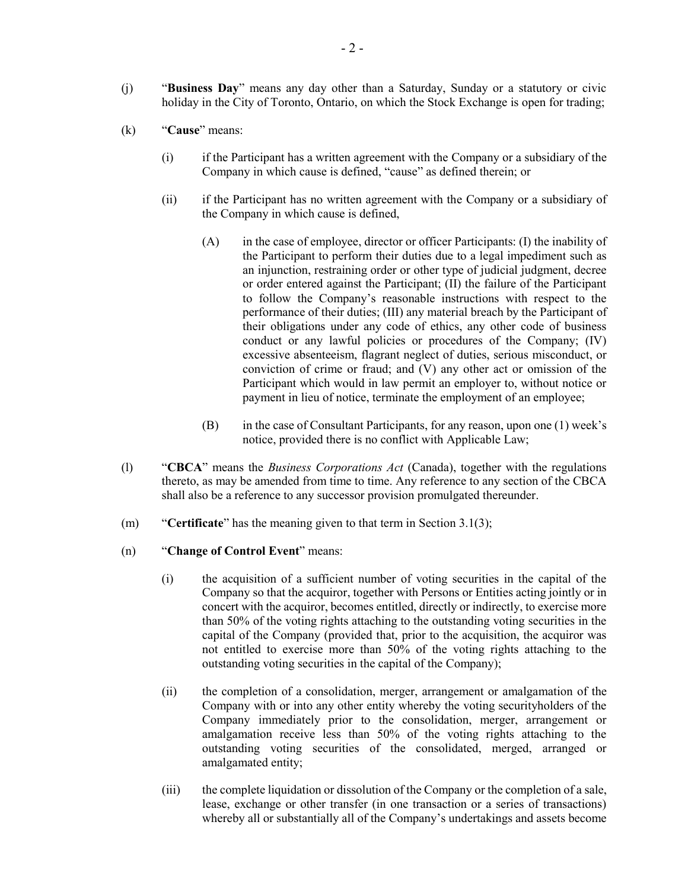- (j) "**Business Day**" means any day other than a Saturday, Sunday or a statutory or civic holiday in the City of Toronto, Ontario, on which the Stock Exchange is open for trading;
- (k) "**Cause**" means:
	- (i) if the Participant has a written agreement with the Company or a subsidiary of the Company in which cause is defined, "cause" as defined therein; or
	- (ii) if the Participant has no written agreement with the Company or a subsidiary of the Company in which cause is defined,
		- (A) in the case of employee, director or officer Participants: (I) the inability of the Participant to perform their duties due to a legal impediment such as an injunction, restraining order or other type of judicial judgment, decree or order entered against the Participant; (II) the failure of the Participant to follow the Company's reasonable instructions with respect to the performance of their duties; (III) any material breach by the Participant of their obligations under any code of ethics, any other code of business conduct or any lawful policies or procedures of the Company; (IV) excessive absenteeism, flagrant neglect of duties, serious misconduct, or conviction of crime or fraud; and (V) any other act or omission of the Participant which would in law permit an employer to, without notice or payment in lieu of notice, terminate the employment of an employee;
		- (B) in the case of Consultant Participants, for any reason, upon one (1) week's notice, provided there is no conflict with Applicable Law;
- (l) "**CBCA**" means the *Business Corporations Act* (Canada), together with the regulations thereto, as may be amended from time to time. Any reference to any section of the CBCA shall also be a reference to any successor provision promulgated thereunder.
- (m) "**Certificate**" has the meaning given to that term in Section 3.1(3);
- (n) "**Change of Control Event**" means:
	- (i) the acquisition of a sufficient number of voting securities in the capital of the Company so that the acquiror, together with Persons or Entities acting jointly or in concert with the acquiror, becomes entitled, directly or indirectly, to exercise more than 50% of the voting rights attaching to the outstanding voting securities in the capital of the Company (provided that, prior to the acquisition, the acquiror was not entitled to exercise more than 50% of the voting rights attaching to the outstanding voting securities in the capital of the Company);
	- (ii) the completion of a consolidation, merger, arrangement or amalgamation of the Company with or into any other entity whereby the voting securityholders of the Company immediately prior to the consolidation, merger, arrangement or amalgamation receive less than 50% of the voting rights attaching to the outstanding voting securities of the consolidated, merged, arranged or amalgamated entity;
	- (iii) the complete liquidation or dissolution of the Company or the completion of a sale, lease, exchange or other transfer (in one transaction or a series of transactions) whereby all or substantially all of the Company's undertakings and assets become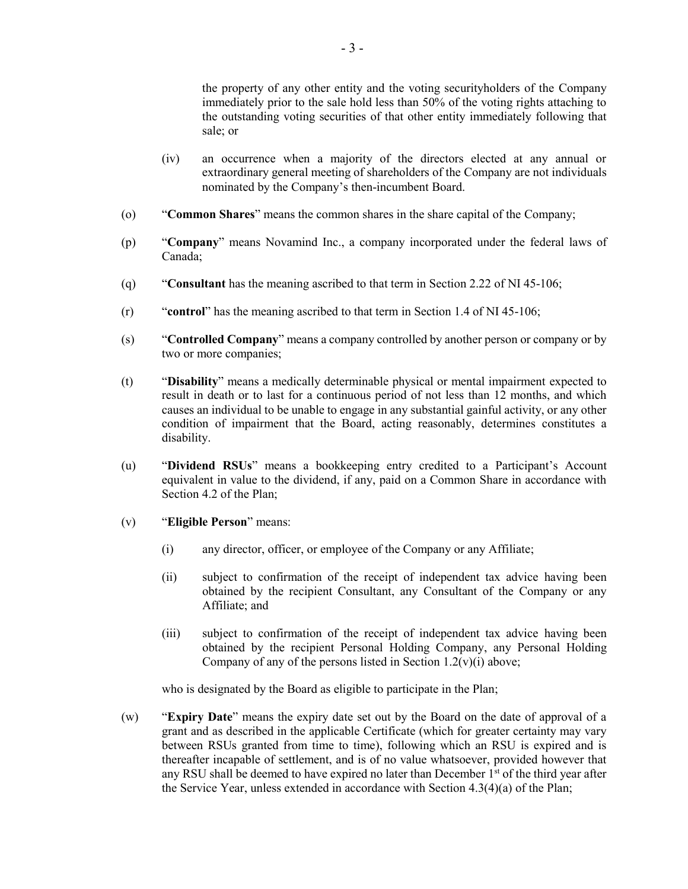the property of any other entity and the voting securityholders of the Company immediately prior to the sale hold less than 50% of the voting rights attaching to the outstanding voting securities of that other entity immediately following that sale; or

- (iv) an occurrence when a majority of the directors elected at any annual or extraordinary general meeting of shareholders of the Company are not individuals nominated by the Company's then-incumbent Board.
- (o) "**Common Shares**" means the common shares in the share capital of the Company;
- (p) "**Company**" means Novamind Inc., a company incorporated under the federal laws of Canada;
- (q) "**Consultant** has the meaning ascribed to that term in Section 2.22 of NI 45-106;
- (r) "**control**" has the meaning ascribed to that term in Section 1.4 of NI 45-106;
- (s) "**Controlled Company**" means a company controlled by another person or company or by two or more companies;
- (t) "**Disability**" means a medically determinable physical or mental impairment expected to result in death or to last for a continuous period of not less than 12 months, and which causes an individual to be unable to engage in any substantial gainful activity, or any other condition of impairment that the Board, acting reasonably, determines constitutes a disability.
- (u) "**Dividend RSUs**" means a bookkeeping entry credited to a Participant's Account equivalent in value to the dividend, if any, paid on a Common Share in accordance with Section 4.2 of the Plan;
- (v) "**Eligible Person**" means:
	- (i) any director, officer, or employee of the Company or any Affiliate;
	- (ii) subject to confirmation of the receipt of independent tax advice having been obtained by the recipient Consultant, any Consultant of the Company or any Affiliate; and
	- (iii) subject to confirmation of the receipt of independent tax advice having been obtained by the recipient Personal Holding Company, any Personal Holding Company of any of the persons listed in Section  $1.2(v)(i)$  above;

who is designated by the Board as eligible to participate in the Plan;

(w) "**Expiry Date**" means the expiry date set out by the Board on the date of approval of a grant and as described in the applicable Certificate (which for greater certainty may vary between RSUs granted from time to time), following which an RSU is expired and is thereafter incapable of settlement, and is of no value whatsoever, provided however that any RSU shall be deemed to have expired no later than December  $1<sup>st</sup>$  of the third year after the Service Year, unless extended in accordance with Section 4.3(4)(a) of the Plan;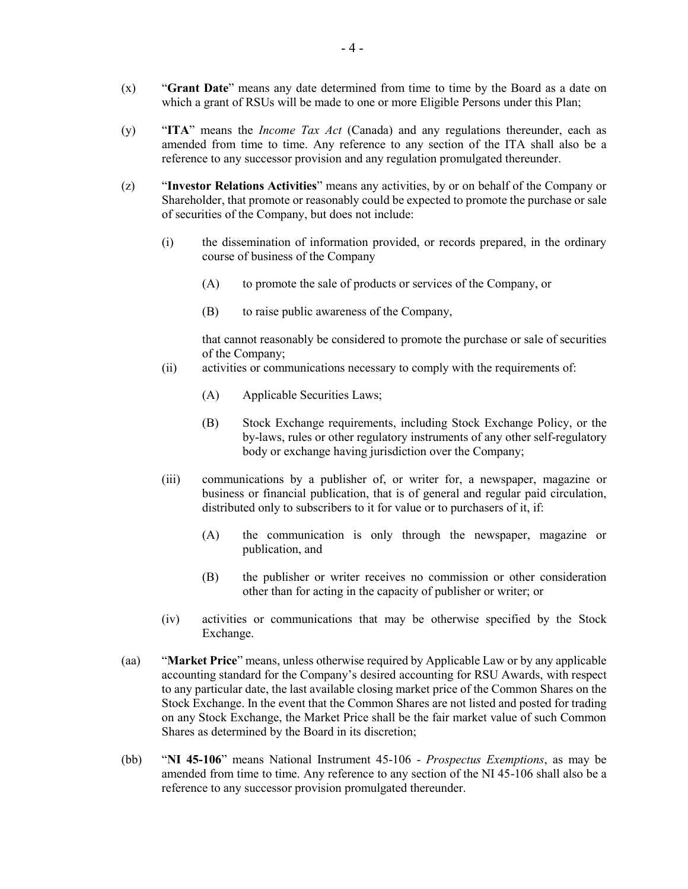- (x) "**Grant Date**" means any date determined from time to time by the Board as a date on which a grant of RSUs will be made to one or more Eligible Persons under this Plan;
- (y) "**ITA**" means the *Income Tax Act* (Canada) and any regulations thereunder, each as amended from time to time. Any reference to any section of the ITA shall also be a reference to any successor provision and any regulation promulgated thereunder.
- (z) "**Investor Relations Activities**" means any activities, by or on behalf of the Company or Shareholder, that promote or reasonably could be expected to promote the purchase or sale of securities of the Company, but does not include:
	- (i) the dissemination of information provided, or records prepared, in the ordinary course of business of the Company
		- (A) to promote the sale of products or services of the Company, or
		- (B) to raise public awareness of the Company,

that cannot reasonably be considered to promote the purchase or sale of securities of the Company;

- (ii) activities or communications necessary to comply with the requirements of:
	- (A) Applicable Securities Laws;
	- (B) Stock Exchange requirements, including Stock Exchange Policy, or the by-laws, rules or other regulatory instruments of any other self-regulatory body or exchange having jurisdiction over the Company;
- (iii) communications by a publisher of, or writer for, a newspaper, magazine or business or financial publication, that is of general and regular paid circulation, distributed only to subscribers to it for value or to purchasers of it, if:
	- (A) the communication is only through the newspaper, magazine or publication, and
	- (B) the publisher or writer receives no commission or other consideration other than for acting in the capacity of publisher or writer; or
- (iv) activities or communications that may be otherwise specified by the Stock Exchange.
- (aa) "**Market Price**" means, unless otherwise required by Applicable Law or by any applicable accounting standard for the Company's desired accounting for RSU Awards, with respect to any particular date, the last available closing market price of the Common Shares on the Stock Exchange. In the event that the Common Shares are not listed and posted for trading on any Stock Exchange, the Market Price shall be the fair market value of such Common Shares as determined by the Board in its discretion;
- (bb) "**NI 45-106**" means National Instrument 45-106 *Prospectus Exemptions*, as may be amended from time to time. Any reference to any section of the NI 45-106 shall also be a reference to any successor provision promulgated thereunder.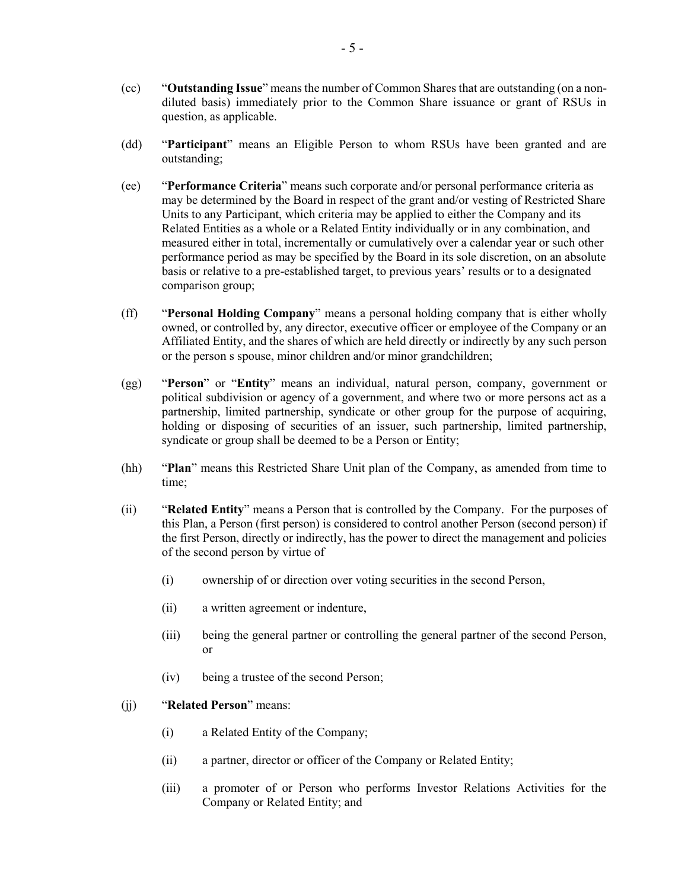- (cc) "**Outstanding Issue**" means the number of Common Shares that are outstanding (on a nondiluted basis) immediately prior to the Common Share issuance or grant of RSUs in question, as applicable.
- (dd) "**Participant**" means an Eligible Person to whom RSUs have been granted and are outstanding;
- (ee) "**Performance Criteria**" means such corporate and/or personal performance criteria as may be determined by the Board in respect of the grant and/or vesting of Restricted Share Units to any Participant, which criteria may be applied to either the Company and its Related Entities as a whole or a Related Entity individually or in any combination, and measured either in total, incrementally or cumulatively over a calendar year or such other performance period as may be specified by the Board in its sole discretion, on an absolute basis or relative to a pre-established target, to previous years' results or to a designated comparison group;
- (ff) "**Personal Holding Company**" means a personal holding company that is either wholly owned, or controlled by, any director, executive officer or employee of the Company or an Affiliated Entity, and the shares of which are held directly or indirectly by any such person or the person s spouse, minor children and/or minor grandchildren;
- (gg) "**Person**" or "**Entity**" means an individual, natural person, company, government or political subdivision or agency of a government, and where two or more persons act as a partnership, limited partnership, syndicate or other group for the purpose of acquiring, holding or disposing of securities of an issuer, such partnership, limited partnership, syndicate or group shall be deemed to be a Person or Entity;
- (hh) "**Plan**" means this Restricted Share Unit plan of the Company, as amended from time to time;
- (ii) "**Related Entity**" means a Person that is controlled by the Company. For the purposes of this Plan, a Person (first person) is considered to control another Person (second person) if the first Person, directly or indirectly, has the power to direct the management and policies of the second person by virtue of
	- (i) ownership of or direction over voting securities in the second Person,
	- (ii) a written agreement or indenture,
	- (iii) being the general partner or controlling the general partner of the second Person, or
	- (iv) being a trustee of the second Person;
- (jj) "**Related Person**" means:
	- (i) a Related Entity of the Company;
	- (ii) a partner, director or officer of the Company or Related Entity;
	- (iii) a promoter of or Person who performs Investor Relations Activities for the Company or Related Entity; and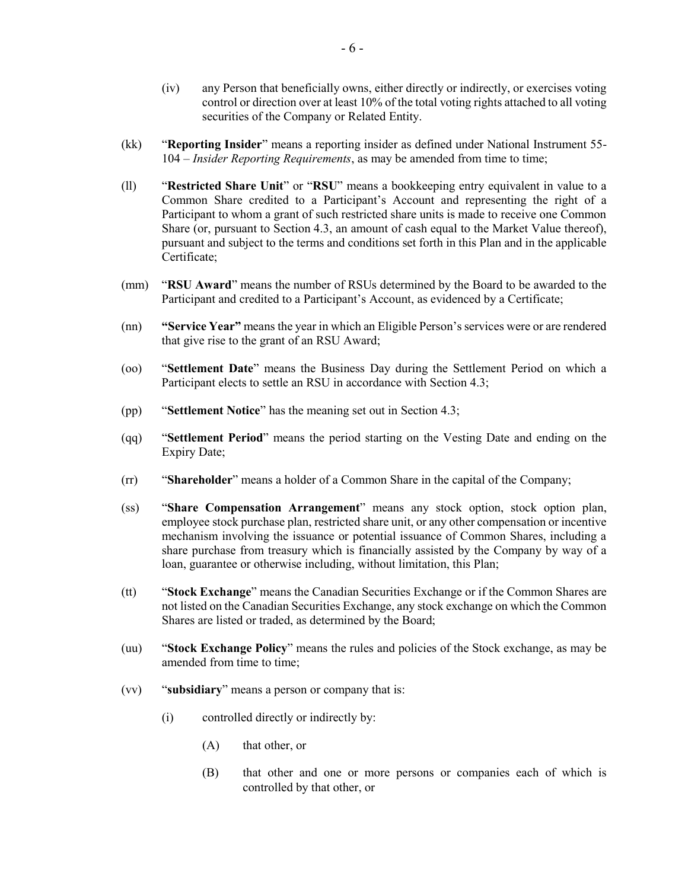- (iv) any Person that beneficially owns, either directly or indirectly, or exercises voting control or direction over at least 10% of the total voting rights attached to all voting securities of the Company or Related Entity.
- (kk) "**Reporting Insider**" means a reporting insider as defined under National Instrument 55- 104 – *Insider Reporting Requirements*, as may be amended from time to time;
- (ll) "**Restricted Share Unit**" or "**RSU**" means a bookkeeping entry equivalent in value to a Common Share credited to a Participant's Account and representing the right of a Participant to whom a grant of such restricted share units is made to receive one Common Share (or, pursuant to Section 4.3, an amount of cash equal to the Market Value thereof), pursuant and subject to the terms and conditions set forth in this Plan and in the applicable Certificate;
- (mm) "**RSU Award**" means the number of RSUs determined by the Board to be awarded to the Participant and credited to a Participant's Account, as evidenced by a Certificate;
- (nn) **"Service Year"** means the year in which an Eligible Person's services were or are rendered that give rise to the grant of an RSU Award;
- (oo) "**Settlement Date**" means the Business Day during the Settlement Period on which a Participant elects to settle an RSU in accordance with Section 4.3;
- (pp) "**Settlement Notice**" has the meaning set out in Section 4.3;
- (qq) "**Settlement Period**" means the period starting on the Vesting Date and ending on the Expiry Date;
- (rr) "**Shareholder**" means a holder of a Common Share in the capital of the Company;
- (ss) "**Share Compensation Arrangement**" means any stock option, stock option plan, employee stock purchase plan, restricted share unit, or any other compensation or incentive mechanism involving the issuance or potential issuance of Common Shares, including a share purchase from treasury which is financially assisted by the Company by way of a loan, guarantee or otherwise including, without limitation, this Plan;
- (tt) "**Stock Exchange**" means the Canadian Securities Exchange or if the Common Shares are not listed on the Canadian Securities Exchange, any stock exchange on which the Common Shares are listed or traded, as determined by the Board;
- (uu) "**Stock Exchange Policy**" means the rules and policies of the Stock exchange, as may be amended from time to time;
- (vv) "**subsidiary**" means a person or company that is:
	- (i) controlled directly or indirectly by:
		- (A) that other, or
		- (B) that other and one or more persons or companies each of which is controlled by that other, or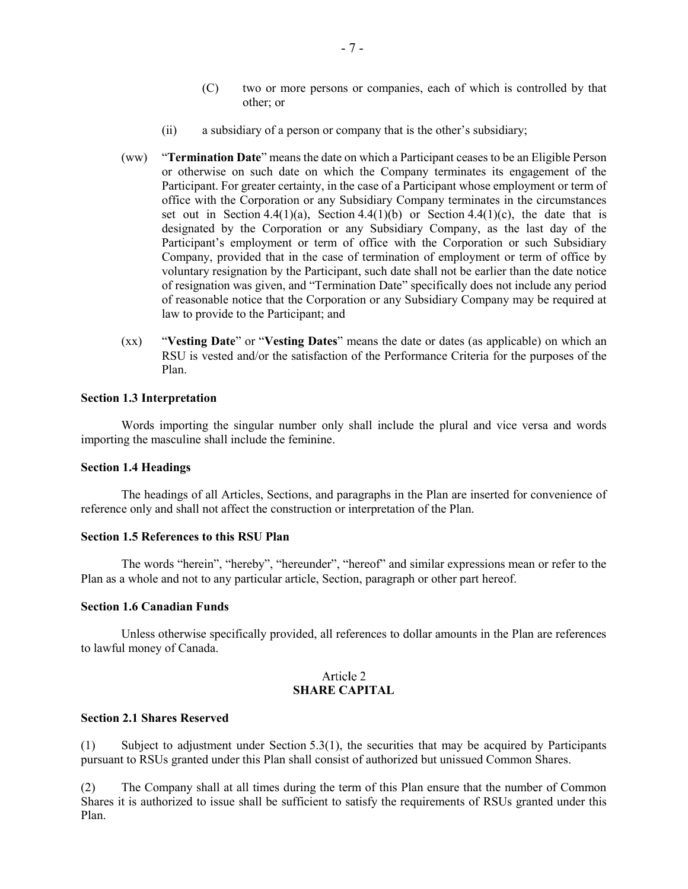- (C) two or more persons or companies, each of which is controlled by that other; or
- (ii) a subsidiary of a person or company that is the other's subsidiary;
- (ww) "**Termination Date**" means the date on which a Participant ceases to be an Eligible Person or otherwise on such date on which the Company terminates its engagement of the Participant. For greater certainty, in the case of a Participant whose employment or term of office with the Corporation or any Subsidiary Company terminates in the circumstances set out in Section 4.4(1)(a), Section 4.4(1)(b) or Section 4.4(1)(c), the date that is designated by the Corporation or any Subsidiary Company, as the last day of the Participant's employment or term of office with the Corporation or such Subsidiary Company, provided that in the case of termination of employment or term of office by voluntary resignation by the Participant, such date shall not be earlier than the date notice of resignation was given, and "Termination Date" specifically does not include any period of reasonable notice that the Corporation or any Subsidiary Company may be required at law to provide to the Participant; and
- (xx) "**Vesting Date**" or "**Vesting Dates**" means the date or dates (as applicable) on which an RSU is vested and/or the satisfaction of the Performance Criteria for the purposes of the Plan.

#### **Section 1.3 Interpretation**

Words importing the singular number only shall include the plural and vice versa and words importing the masculine shall include the feminine.

#### **Section 1.4 Headings**

The headings of all Articles, Sections, and paragraphs in the Plan are inserted for convenience of reference only and shall not affect the construction or interpretation of the Plan.

#### **Section 1.5 References to this RSU Plan**

The words "herein", "hereby", "hereunder", "hereof" and similar expressions mean or refer to the Plan as a whole and not to any particular article, Section, paragraph or other part hereof.

#### **Section 1.6 Canadian Funds**

Unless otherwise specifically provided, all references to dollar amounts in the Plan are references to lawful money of Canada.

#### Article 2 **SHARE CAPITAL**

#### **Section 2.1 Shares Reserved**

(1) Subject to adjustment under Section 5.3(1), the securities that may be acquired by Participants pursuant to RSUs granted under this Plan shall consist of authorized but unissued Common Shares.

(2) The Company shall at all times during the term of this Plan ensure that the number of Common Shares it is authorized to issue shall be sufficient to satisfy the requirements of RSUs granted under this Plan.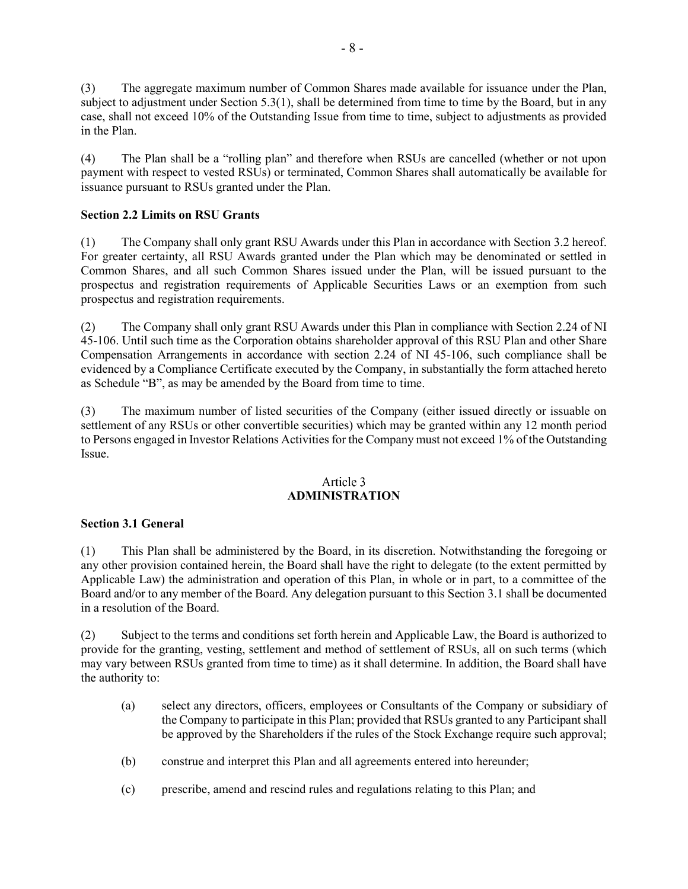(3) The aggregate maximum number of Common Shares made available for issuance under the Plan, subject to adjustment under Section 5.3(1), shall be determined from time to time by the Board, but in any case, shall not exceed 10% of the Outstanding Issue from time to time, subject to adjustments as provided in the Plan.

(4) The Plan shall be a "rolling plan" and therefore when RSUs are cancelled (whether or not upon payment with respect to vested RSUs) or terminated, Common Shares shall automatically be available for issuance pursuant to RSUs granted under the Plan.

### **Section 2.2 Limits on RSU Grants**

(1) The Company shall only grant RSU Awards under this Plan in accordance with Section 3.2 hereof. For greater certainty, all RSU Awards granted under the Plan which may be denominated or settled in Common Shares, and all such Common Shares issued under the Plan, will be issued pursuant to the prospectus and registration requirements of Applicable Securities Laws or an exemption from such prospectus and registration requirements.

(2) The Company shall only grant RSU Awards under this Plan in compliance with Section 2.24 of NI 45-106. Until such time as the Corporation obtains shareholder approval of this RSU Plan and other Share Compensation Arrangements in accordance with section 2.24 of NI 45-106, such compliance shall be evidenced by a Compliance Certificate executed by the Company, in substantially the form attached hereto as Schedule "B", as may be amended by the Board from time to time.

(3) The maximum number of listed securities of the Company (either issued directly or issuable on settlement of any RSUs or other convertible securities) which may be granted within any 12 month period to Persons engaged in Investor Relations Activities for the Company must not exceed 1% of the Outstanding Issue.

#### Article 3 **ADMINISTRATION**

#### **Section 3.1 General**

(1) This Plan shall be administered by the Board, in its discretion. Notwithstanding the foregoing or any other provision contained herein, the Board shall have the right to delegate (to the extent permitted by Applicable Law) the administration and operation of this Plan, in whole or in part, to a committee of the Board and/or to any member of the Board. Any delegation pursuant to this Section 3.1 shall be documented in a resolution of the Board.

(2) Subject to the terms and conditions set forth herein and Applicable Law, the Board is authorized to provide for the granting, vesting, settlement and method of settlement of RSUs, all on such terms (which may vary between RSUs granted from time to time) as it shall determine. In addition, the Board shall have the authority to:

- (a) select any directors, officers, employees or Consultants of the Company or subsidiary of the Company to participate in this Plan; provided that RSUs granted to any Participant shall be approved by the Shareholders if the rules of the Stock Exchange require such approval;
- (b) construe and interpret this Plan and all agreements entered into hereunder;
- (c) prescribe, amend and rescind rules and regulations relating to this Plan; and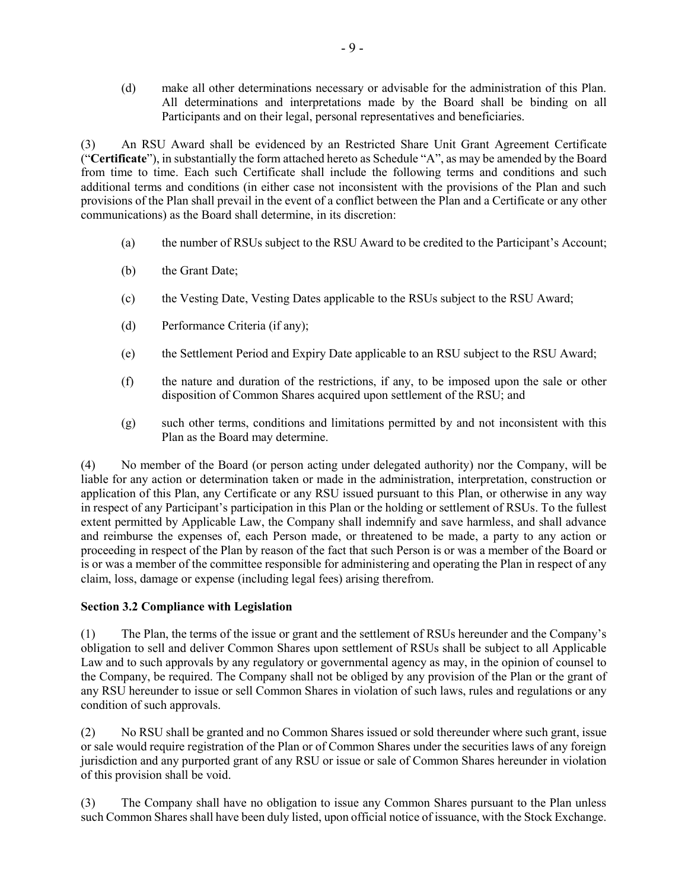(d) make all other determinations necessary or advisable for the administration of this Plan. All determinations and interpretations made by the Board shall be binding on all Participants and on their legal, personal representatives and beneficiaries.

(3) An RSU Award shall be evidenced by an Restricted Share Unit Grant Agreement Certificate ("**Certificate**"), in substantially the form attached hereto as Schedule "A", as may be amended by the Board from time to time. Each such Certificate shall include the following terms and conditions and such additional terms and conditions (in either case not inconsistent with the provisions of the Plan and such provisions of the Plan shall prevail in the event of a conflict between the Plan and a Certificate or any other communications) as the Board shall determine, in its discretion:

- (a) the number of RSUs subject to the RSU Award to be credited to the Participant's Account;
- (b) the Grant Date;
- (c) the Vesting Date, Vesting Dates applicable to the RSUs subject to the RSU Award;
- (d) Performance Criteria (if any);
- (e) the Settlement Period and Expiry Date applicable to an RSU subject to the RSU Award;
- (f) the nature and duration of the restrictions, if any, to be imposed upon the sale or other disposition of Common Shares acquired upon settlement of the RSU; and
- (g) such other terms, conditions and limitations permitted by and not inconsistent with this Plan as the Board may determine.

(4) No member of the Board (or person acting under delegated authority) nor the Company, will be liable for any action or determination taken or made in the administration, interpretation, construction or application of this Plan, any Certificate or any RSU issued pursuant to this Plan, or otherwise in any way in respect of any Participant's participation in this Plan or the holding or settlement of RSUs. To the fullest extent permitted by Applicable Law, the Company shall indemnify and save harmless, and shall advance and reimburse the expenses of, each Person made, or threatened to be made, a party to any action or proceeding in respect of the Plan by reason of the fact that such Person is or was a member of the Board or is or was a member of the committee responsible for administering and operating the Plan in respect of any claim, loss, damage or expense (including legal fees) arising therefrom.

#### **Section 3.2 Compliance with Legislation**

(1) The Plan, the terms of the issue or grant and the settlement of RSUs hereunder and the Company's obligation to sell and deliver Common Shares upon settlement of RSUs shall be subject to all Applicable Law and to such approvals by any regulatory or governmental agency as may, in the opinion of counsel to the Company, be required. The Company shall not be obliged by any provision of the Plan or the grant of any RSU hereunder to issue or sell Common Shares in violation of such laws, rules and regulations or any condition of such approvals.

(2) No RSU shall be granted and no Common Shares issued or sold thereunder where such grant, issue or sale would require registration of the Plan or of Common Shares under the securities laws of any foreign jurisdiction and any purported grant of any RSU or issue or sale of Common Shares hereunder in violation of this provision shall be void.

(3) The Company shall have no obligation to issue any Common Shares pursuant to the Plan unless such Common Shares shall have been duly listed, upon official notice of issuance, with the Stock Exchange.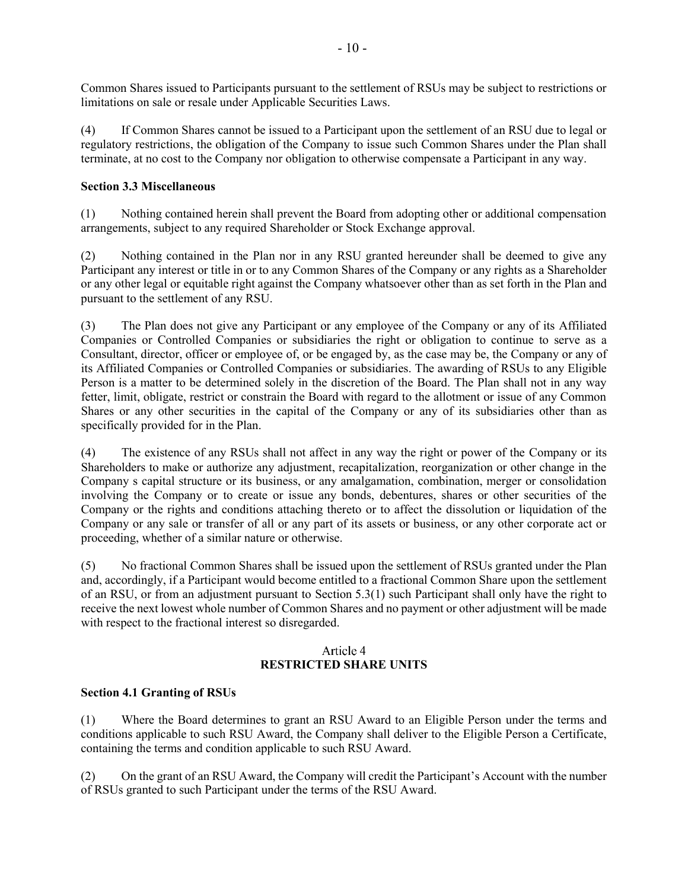Common Shares issued to Participants pursuant to the settlement of RSUs may be subject to restrictions or limitations on sale or resale under Applicable Securities Laws.

(4) If Common Shares cannot be issued to a Participant upon the settlement of an RSU due to legal or regulatory restrictions, the obligation of the Company to issue such Common Shares under the Plan shall terminate, at no cost to the Company nor obligation to otherwise compensate a Participant in any way.

#### **Section 3.3 Miscellaneous**

(1) Nothing contained herein shall prevent the Board from adopting other or additional compensation arrangements, subject to any required Shareholder or Stock Exchange approval.

(2) Nothing contained in the Plan nor in any RSU granted hereunder shall be deemed to give any Participant any interest or title in or to any Common Shares of the Company or any rights as a Shareholder or any other legal or equitable right against the Company whatsoever other than as set forth in the Plan and pursuant to the settlement of any RSU.

(3) The Plan does not give any Participant or any employee of the Company or any of its Affiliated Companies or Controlled Companies or subsidiaries the right or obligation to continue to serve as a Consultant, director, officer or employee of, or be engaged by, as the case may be, the Company or any of its Affiliated Companies or Controlled Companies or subsidiaries. The awarding of RSUs to any Eligible Person is a matter to be determined solely in the discretion of the Board. The Plan shall not in any way fetter, limit, obligate, restrict or constrain the Board with regard to the allotment or issue of any Common Shares or any other securities in the capital of the Company or any of its subsidiaries other than as specifically provided for in the Plan.

(4) The existence of any RSUs shall not affect in any way the right or power of the Company or its Shareholders to make or authorize any adjustment, recapitalization, reorganization or other change in the Company s capital structure or its business, or any amalgamation, combination, merger or consolidation involving the Company or to create or issue any bonds, debentures, shares or other securities of the Company or the rights and conditions attaching thereto or to affect the dissolution or liquidation of the Company or any sale or transfer of all or any part of its assets or business, or any other corporate act or proceeding, whether of a similar nature or otherwise.

(5) No fractional Common Shares shall be issued upon the settlement of RSUs granted under the Plan and, accordingly, if a Participant would become entitled to a fractional Common Share upon the settlement of an RSU, or from an adjustment pursuant to Section 5.3(1) such Participant shall only have the right to receive the next lowest whole number of Common Shares and no payment or other adjustment will be made with respect to the fractional interest so disregarded.

#### Article 4 **RESTRICTED SHARE UNITS**

#### **Section 4.1 Granting of RSUs**

(1) Where the Board determines to grant an RSU Award to an Eligible Person under the terms and conditions applicable to such RSU Award, the Company shall deliver to the Eligible Person a Certificate, containing the terms and condition applicable to such RSU Award.

(2) On the grant of an RSU Award, the Company will credit the Participant's Account with the number of RSUs granted to such Participant under the terms of the RSU Award.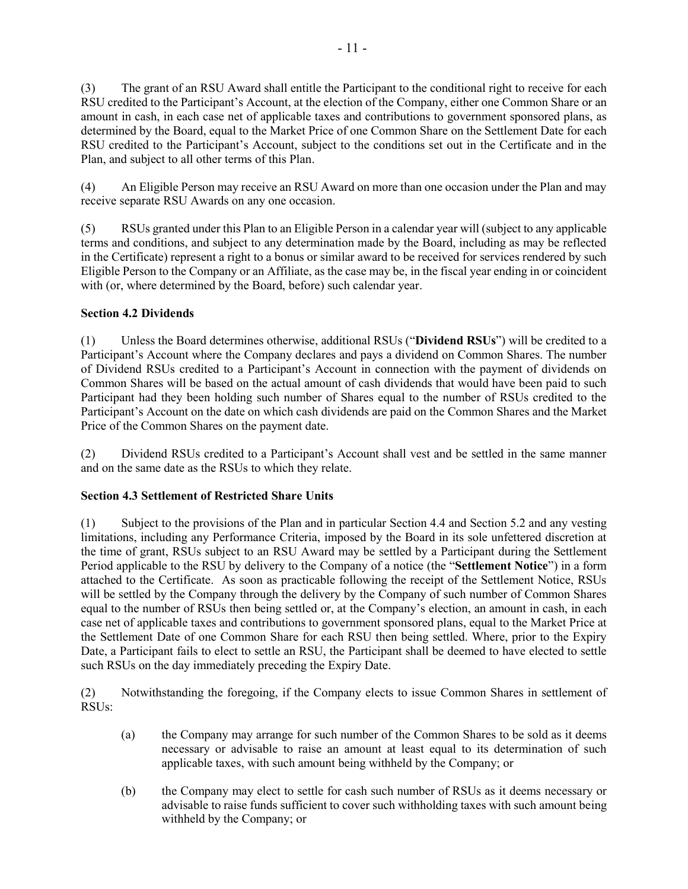(3) The grant of an RSU Award shall entitle the Participant to the conditional right to receive for each RSU credited to the Participant's Account, at the election of the Company, either one Common Share or an amount in cash, in each case net of applicable taxes and contributions to government sponsored plans, as determined by the Board, equal to the Market Price of one Common Share on the Settlement Date for each RSU credited to the Participant's Account, subject to the conditions set out in the Certificate and in the Plan, and subject to all other terms of this Plan.

(4) An Eligible Person may receive an RSU Award on more than one occasion under the Plan and may receive separate RSU Awards on any one occasion.

(5) RSUs granted under this Plan to an Eligible Person in a calendar year will (subject to any applicable terms and conditions, and subject to any determination made by the Board, including as may be reflected in the Certificate) represent a right to a bonus or similar award to be received for services rendered by such Eligible Person to the Company or an Affiliate, as the case may be, in the fiscal year ending in or coincident with (or, where determined by the Board, before) such calendar year.

## **Section 4.2 Dividends**

(1) Unless the Board determines otherwise, additional RSUs ("**Dividend RSUs**") will be credited to a Participant's Account where the Company declares and pays a dividend on Common Shares. The number of Dividend RSUs credited to a Participant's Account in connection with the payment of dividends on Common Shares will be based on the actual amount of cash dividends that would have been paid to such Participant had they been holding such number of Shares equal to the number of RSUs credited to the Participant's Account on the date on which cash dividends are paid on the Common Shares and the Market Price of the Common Shares on the payment date.

(2) Dividend RSUs credited to a Participant's Account shall vest and be settled in the same manner and on the same date as the RSUs to which they relate.

## **Section 4.3 Settlement of Restricted Share Units**

(1) Subject to the provisions of the Plan and in particular Section 4.4 and Section 5.2 and any vesting limitations, including any Performance Criteria, imposed by the Board in its sole unfettered discretion at the time of grant, RSUs subject to an RSU Award may be settled by a Participant during the Settlement Period applicable to the RSU by delivery to the Company of a notice (the "**Settlement Notice**") in a form attached to the Certificate. As soon as practicable following the receipt of the Settlement Notice, RSUs will be settled by the Company through the delivery by the Company of such number of Common Shares equal to the number of RSUs then being settled or, at the Company's election, an amount in cash, in each case net of applicable taxes and contributions to government sponsored plans, equal to the Market Price at the Settlement Date of one Common Share for each RSU then being settled. Where, prior to the Expiry Date, a Participant fails to elect to settle an RSU, the Participant shall be deemed to have elected to settle such RSUs on the day immediately preceding the Expiry Date.

(2) Notwithstanding the foregoing, if the Company elects to issue Common Shares in settlement of RSUs:

- (a) the Company may arrange for such number of the Common Shares to be sold as it deems necessary or advisable to raise an amount at least equal to its determination of such applicable taxes, with such amount being withheld by the Company; or
- (b) the Company may elect to settle for cash such number of RSUs as it deems necessary or advisable to raise funds sufficient to cover such withholding taxes with such amount being withheld by the Company; or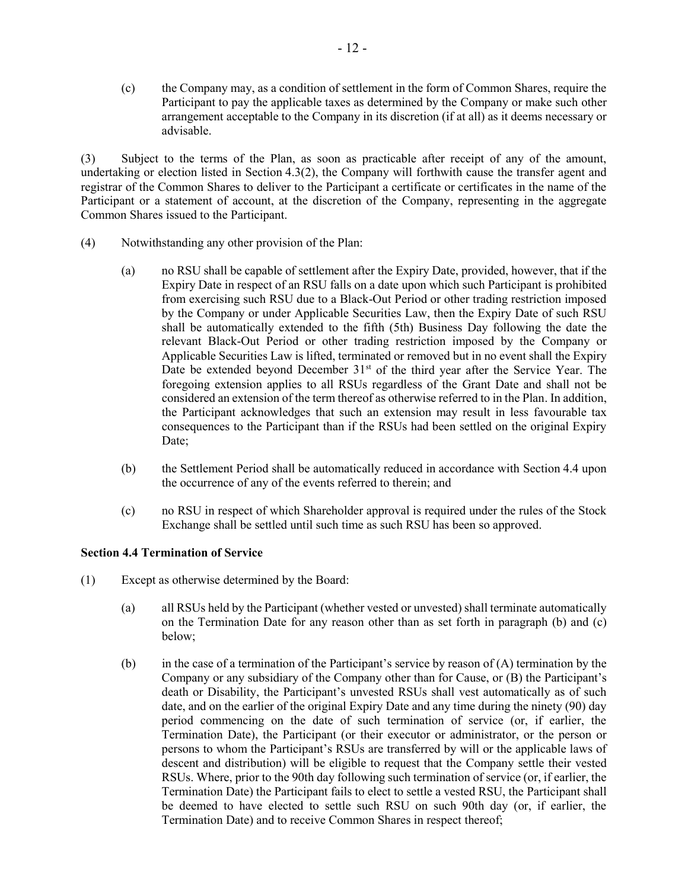(c) the Company may, as a condition of settlement in the form of Common Shares, require the Participant to pay the applicable taxes as determined by the Company or make such other arrangement acceptable to the Company in its discretion (if at all) as it deems necessary or advisable.

(3) Subject to the terms of the Plan, as soon as practicable after receipt of any of the amount, undertaking or election listed in Section 4.3(2), the Company will forthwith cause the transfer agent and registrar of the Common Shares to deliver to the Participant a certificate or certificates in the name of the Participant or a statement of account, at the discretion of the Company, representing in the aggregate Common Shares issued to the Participant.

- (4) Notwithstanding any other provision of the Plan:
	- (a) no RSU shall be capable of settlement after the Expiry Date, provided, however, that if the Expiry Date in respect of an RSU falls on a date upon which such Participant is prohibited from exercising such RSU due to a Black-Out Period or other trading restriction imposed by the Company or under Applicable Securities Law, then the Expiry Date of such RSU shall be automatically extended to the fifth (5th) Business Day following the date the relevant Black-Out Period or other trading restriction imposed by the Company or Applicable Securities Law is lifted, terminated or removed but in no event shall the Expiry Date be extended beyond December 31<sup>st</sup> of the third year after the Service Year. The foregoing extension applies to all RSUs regardless of the Grant Date and shall not be considered an extension of the term thereof as otherwise referred to in the Plan. In addition, the Participant acknowledges that such an extension may result in less favourable tax consequences to the Participant than if the RSUs had been settled on the original Expiry Date:
	- (b) the Settlement Period shall be automatically reduced in accordance with Section 4.4 upon the occurrence of any of the events referred to therein; and
	- (c) no RSU in respect of which Shareholder approval is required under the rules of the Stock Exchange shall be settled until such time as such RSU has been so approved.

#### **Section 4.4 Termination of Service**

- (1) Except as otherwise determined by the Board:
	- (a) all RSUs held by the Participant (whether vested or unvested) shall terminate automatically on the Termination Date for any reason other than as set forth in paragraph (b) and (c) below;
	- (b) in the case of a termination of the Participant's service by reason of  $(A)$  termination by the Company or any subsidiary of the Company other than for Cause, or (B) the Participant's death or Disability, the Participant's unvested RSUs shall vest automatically as of such date, and on the earlier of the original Expiry Date and any time during the ninety (90) day period commencing on the date of such termination of service (or, if earlier, the Termination Date), the Participant (or their executor or administrator, or the person or persons to whom the Participant's RSUs are transferred by will or the applicable laws of descent and distribution) will be eligible to request that the Company settle their vested RSUs. Where, prior to the 90th day following such termination of service (or, if earlier, the Termination Date) the Participant fails to elect to settle a vested RSU, the Participant shall be deemed to have elected to settle such RSU on such 90th day (or, if earlier, the Termination Date) and to receive Common Shares in respect thereof;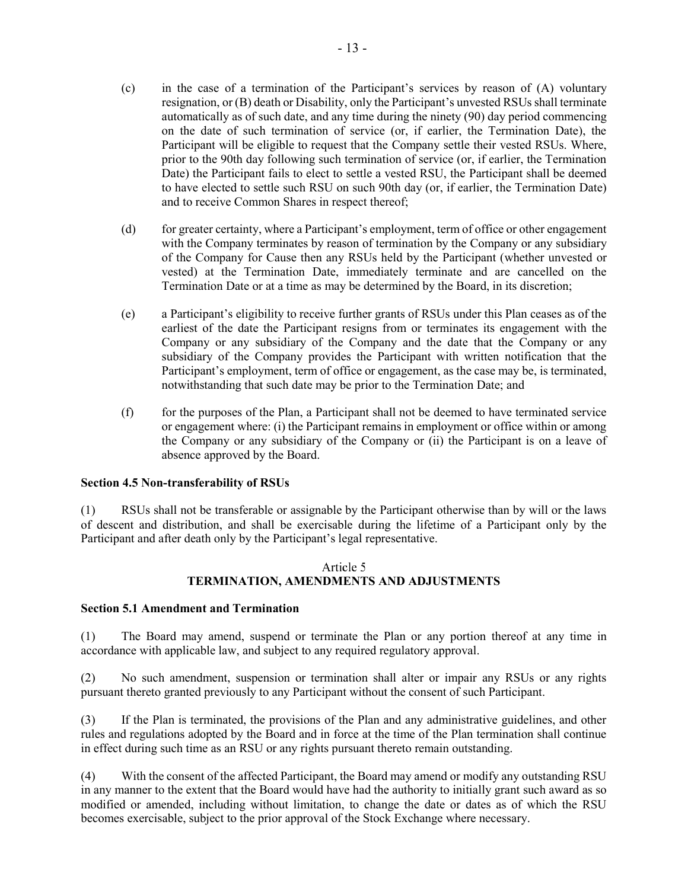- (c) in the case of a termination of the Participant's services by reason of (A) voluntary resignation, or (B) death or Disability, only the Participant's unvested RSUs shall terminate automatically as of such date, and any time during the ninety (90) day period commencing on the date of such termination of service (or, if earlier, the Termination Date), the Participant will be eligible to request that the Company settle their vested RSUs. Where, prior to the 90th day following such termination of service (or, if earlier, the Termination Date) the Participant fails to elect to settle a vested RSU, the Participant shall be deemed to have elected to settle such RSU on such 90th day (or, if earlier, the Termination Date) and to receive Common Shares in respect thereof;
- (d) for greater certainty, where a Participant's employment, term of office or other engagement with the Company terminates by reason of termination by the Company or any subsidiary of the Company for Cause then any RSUs held by the Participant (whether unvested or vested) at the Termination Date, immediately terminate and are cancelled on the Termination Date or at a time as may be determined by the Board, in its discretion;
- (e) a Participant's eligibility to receive further grants of RSUs under this Plan ceases as of the earliest of the date the Participant resigns from or terminates its engagement with the Company or any subsidiary of the Company and the date that the Company or any subsidiary of the Company provides the Participant with written notification that the Participant's employment, term of office or engagement, as the case may be, is terminated, notwithstanding that such date may be prior to the Termination Date; and
- (f) for the purposes of the Plan, a Participant shall not be deemed to have terminated service or engagement where: (i) the Participant remains in employment or office within or among the Company or any subsidiary of the Company or (ii) the Participant is on a leave of absence approved by the Board.

#### **Section 4.5 Non-transferability of RSUs**

(1) RSUs shall not be transferable or assignable by the Participant otherwise than by will or the laws of descent and distribution, and shall be exercisable during the lifetime of a Participant only by the Participant and after death only by the Participant's legal representative.

#### Article 5 **TERMINATION, AMENDMENTS AND ADJUSTMENTS**

#### **Section 5.1 Amendment and Termination**

(1) The Board may amend, suspend or terminate the Plan or any portion thereof at any time in accordance with applicable law, and subject to any required regulatory approval.

(2) No such amendment, suspension or termination shall alter or impair any RSUs or any rights pursuant thereto granted previously to any Participant without the consent of such Participant.

(3) If the Plan is terminated, the provisions of the Plan and any administrative guidelines, and other rules and regulations adopted by the Board and in force at the time of the Plan termination shall continue in effect during such time as an RSU or any rights pursuant thereto remain outstanding.

(4) With the consent of the affected Participant, the Board may amend or modify any outstanding RSU in any manner to the extent that the Board would have had the authority to initially grant such award as so modified or amended, including without limitation, to change the date or dates as of which the RSU becomes exercisable, subject to the prior approval of the Stock Exchange where necessary.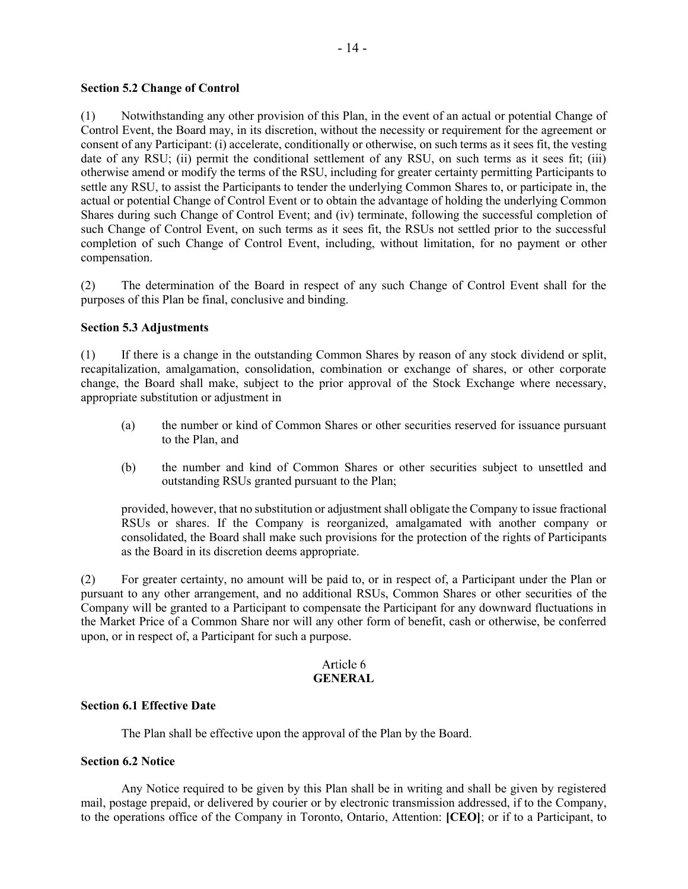#### **Section 5.2 Change of Control**

(1) Notwithstanding any other provision of this Plan, in the event of an actual or potential Change of Control Event, the Board may, in its discretion, without the necessity or requirement for the agreement or consent of any Participant: (i) accelerate, conditionally or otherwise, on such terms as it sees fit, the vesting date of any RSU; (ii) permit the conditional settlement of any RSU, on such terms as it sees fit; (iii) otherwise amend or modify the terms of the RSU, including for greater certainty permitting Participants to settle any RSU, to assist the Participants to tender the underlying Common Shares to, or participate in, the actual or potential Change of Control Event or to obtain the advantage of holding the underlying Common Shares during such Change of Control Event; and (iv) terminate, following the successful completion of such Change of Control Event, on such terms as it sees fit, the RSUs not settled prior to the successful completion of such Change of Control Event, including, without limitation, for no payment or other compensation.

(2) The determination of the Board in respect of any such Change of Control Event shall for the purposes of this Plan be final, conclusive and binding.

#### **Section 5.3 Adjustments**

(1) If there is a change in the outstanding Common Shares by reason of any stock dividend or split, recapitalization, amalgamation, consolidation, combination or exchange of shares, or other corporate change, the Board shall make, subject to the prior approval of the Stock Exchange where necessary, appropriate substitution or adjustment in

- (a) the number or kind of Common Shares or other securities reserved for issuance pursuant to the Plan, and
- (b) the number and kind of Common Shares or other securities subject to unsettled and outstanding RSUs granted pursuant to the Plan;

provided, however, that no substitution or adjustment shall obligate the Company to issue fractional RSUs or shares. If the Company is reorganized, amalgamated with another company or consolidated, the Board shall make such provisions for the protection of the rights of Participants as the Board in its discretion deems appropriate.

(2) For greater certainty, no amount will be paid to, or in respect of, a Participant under the Plan or pursuant to any other arrangement, and no additional RSUs, Common Shares or other securities of the Company will be granted to a Participant to compensate the Participant for any downward fluctuations in the Market Price of a Common Share nor will any other form of benefit, cash or otherwise, be conferred upon, or in respect of, a Participant for such a purpose.

#### Article 6 **GENERAL**

#### **Section 6.1 Effective Date**

The Plan shall be effective upon the approval of the Plan by the Board.

#### **Section 6.2 Notice**

Any Notice required to be given by this Plan shall be in writing and shall be given by registered mail, postage prepaid, or delivered by courier or by electronic transmission addressed, if to the Company, to the operations office of the Company in Toronto, Ontario, Attention: **[CEO]**; or if to a Participant, to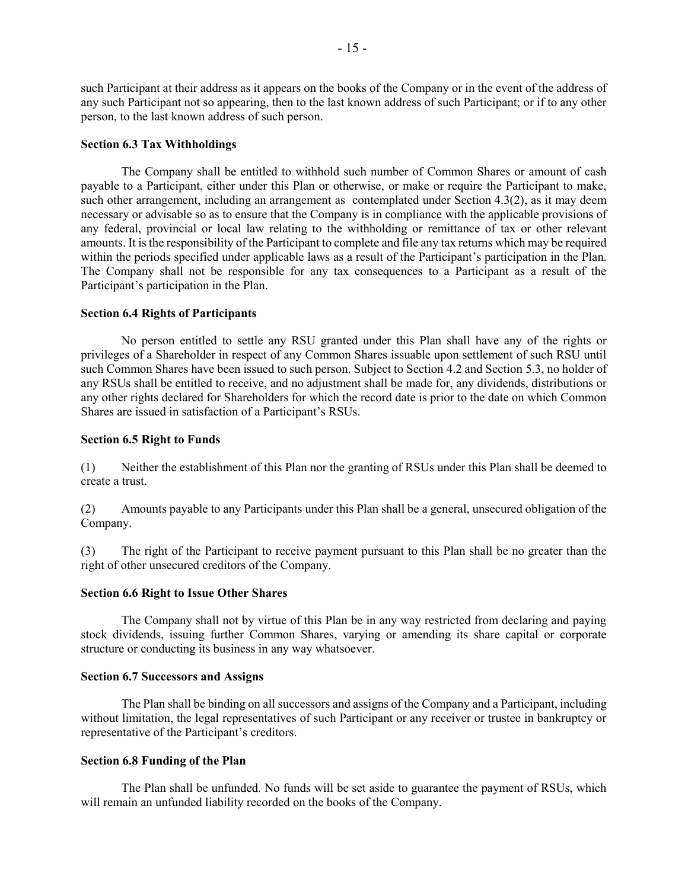such Participant at their address as it appears on the books of the Company or in the event of the address of any such Participant not so appearing, then to the last known address of such Participant; or if to any other person, to the last known address of such person.

#### **Section 6.3 Tax Withholdings**

The Company shall be entitled to withhold such number of Common Shares or amount of cash payable to a Participant, either under this Plan or otherwise, or make or require the Participant to make, such other arrangement, including an arrangement as contemplated under Section 4.3(2), as it may deem necessary or advisable so as to ensure that the Company is in compliance with the applicable provisions of any federal, provincial or local law relating to the withholding or remittance of tax or other relevant amounts. It is the responsibility of the Participant to complete and file any tax returns which may be required within the periods specified under applicable laws as a result of the Participant's participation in the Plan. The Company shall not be responsible for any tax consequences to a Participant as a result of the Participant's participation in the Plan.

#### **Section 6.4 Rights of Participants**

No person entitled to settle any RSU granted under this Plan shall have any of the rights or privileges of a Shareholder in respect of any Common Shares issuable upon settlement of such RSU until such Common Shares have been issued to such person. Subject to Section 4.2 and Section 5.3, no holder of any RSUs shall be entitled to receive, and no adjustment shall be made for, any dividends, distributions or any other rights declared for Shareholders for which the record date is prior to the date on which Common Shares are issued in satisfaction of a Participant's RSUs.

#### **Section 6.5 Right to Funds**

(1) Neither the establishment of this Plan nor the granting of RSUs under this Plan shall be deemed to create a trust.

(2) Amounts payable to any Participants under this Plan shall be a general, unsecured obligation of the Company.

(3) The right of the Participant to receive payment pursuant to this Plan shall be no greater than the right of other unsecured creditors of the Company.

#### **Section 6.6 Right to Issue Other Shares**

The Company shall not by virtue of this Plan be in any way restricted from declaring and paying stock dividends, issuing further Common Shares, varying or amending its share capital or corporate structure or conducting its business in any way whatsoever.

#### **Section 6.7 Successors and Assigns**

The Plan shall be binding on all successors and assigns of the Company and a Participant, including without limitation, the legal representatives of such Participant or any receiver or trustee in bankruptcy or representative of the Participant's creditors.

#### **Section 6.8 Funding of the Plan**

The Plan shall be unfunded. No funds will be set aside to guarantee the payment of RSUs, which will remain an unfunded liability recorded on the books of the Company.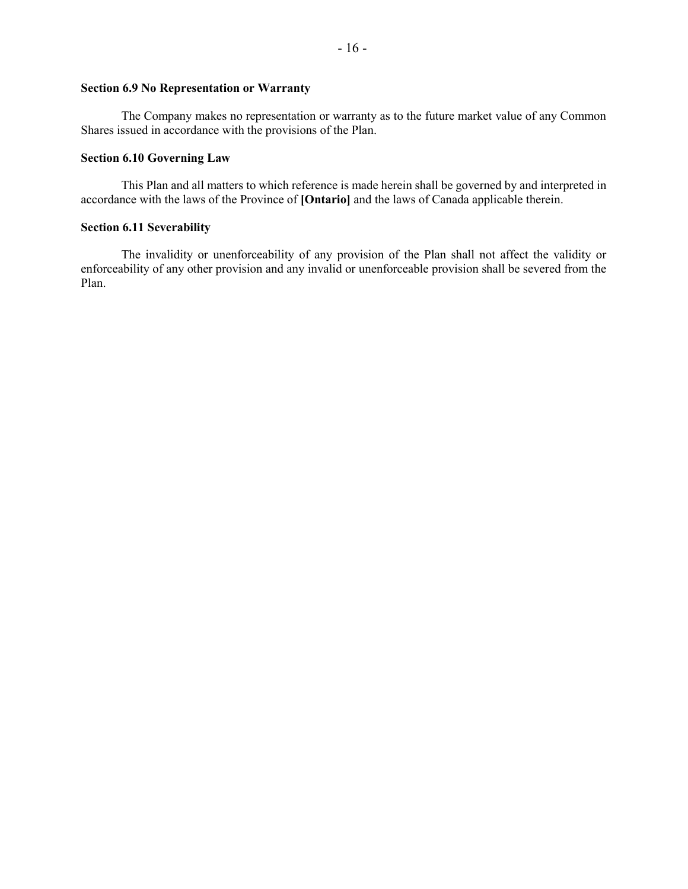#### **Section 6.9 No Representation or Warranty**

The Company makes no representation or warranty as to the future market value of any Common Shares issued in accordance with the provisions of the Plan.

#### **Section 6.10 Governing Law**

This Plan and all matters to which reference is made herein shall be governed by and interpreted in accordance with the laws of the Province of **[Ontario]** and the laws of Canada applicable therein.

#### **Section 6.11 Severability**

The invalidity or unenforceability of any provision of the Plan shall not affect the validity or enforceability of any other provision and any invalid or unenforceable provision shall be severed from the Plan.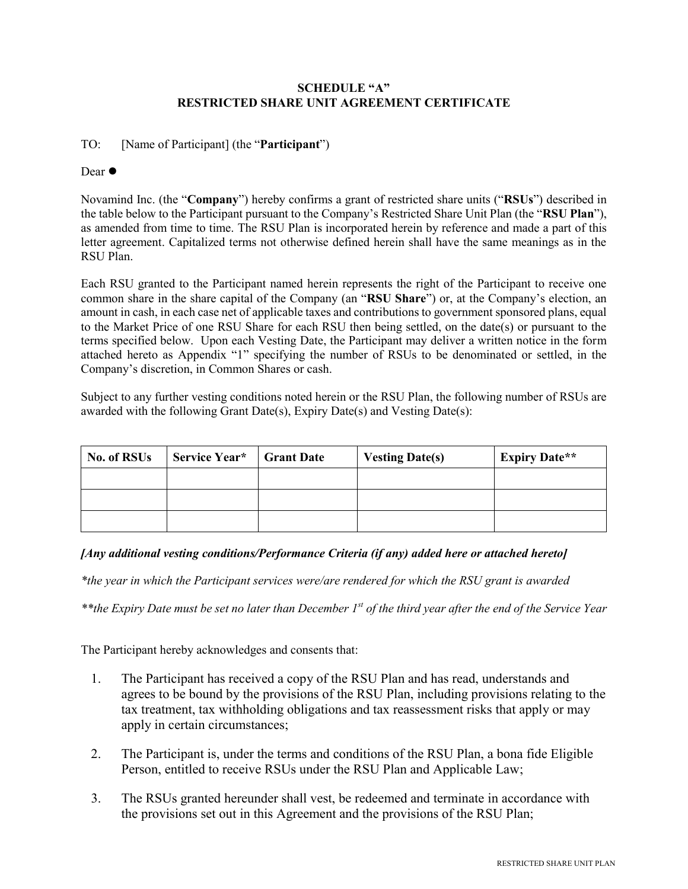## **SCHEDULE "A" RESTRICTED SHARE UNIT AGREEMENT CERTIFICATE**

# TO: [Name of Participant] (the "**Participant**")

## Dear  $\bullet$

Novamind Inc. (the "**Company**") hereby confirms a grant of restricted share units ("**RSUs**") described in the table below to the Participant pursuant to the Company's Restricted Share Unit Plan (the "**RSU Plan**"), as amended from time to time. The RSU Plan is incorporated herein by reference and made a part of this letter agreement. Capitalized terms not otherwise defined herein shall have the same meanings as in the RSU Plan.

Each RSU granted to the Participant named herein represents the right of the Participant to receive one common share in the share capital of the Company (an "**RSU Share**") or, at the Company's election, an amount in cash, in each case net of applicable taxes and contributions to government sponsored plans, equal to the Market Price of one RSU Share for each RSU then being settled, on the date(s) or pursuant to the terms specified below. Upon each Vesting Date, the Participant may deliver a written notice in the form attached hereto as Appendix "1" specifying the number of RSUs to be denominated or settled, in the Company's discretion, in Common Shares or cash.

Subject to any further vesting conditions noted herein or the RSU Plan, the following number of RSUs are awarded with the following Grant Date(s), Expiry Date(s) and Vesting Date(s):

| No. of RSUs | Service Year* | <b>Grant Date</b> | <b>Vesting Date(s)</b> | <b>Expiry Date**</b> |
|-------------|---------------|-------------------|------------------------|----------------------|
|             |               |                   |                        |                      |
|             |               |                   |                        |                      |
|             |               |                   |                        |                      |

## *[Any additional vesting conditions/Performance Criteria (if any) added here or attached hereto]*

*\*the year in which the Participant services were/are rendered for which the RSU grant is awarded*

*\*\*the Expiry Date must be set no later than December 1st of the third year after the end of the Service Year*

The Participant hereby acknowledges and consents that:

- 1. The Participant has received a copy of the RSU Plan and has read, understands and agrees to be bound by the provisions of the RSU Plan, including provisions relating to the tax treatment, tax withholding obligations and tax reassessment risks that apply or may apply in certain circumstances;
- 2. The Participant is, under the terms and conditions of the RSU Plan, a bona fide Eligible Person, entitled to receive RSUs under the RSU Plan and Applicable Law;
- 3. The RSUs granted hereunder shall vest, be redeemed and terminate in accordance with the provisions set out in this Agreement and the provisions of the RSU Plan;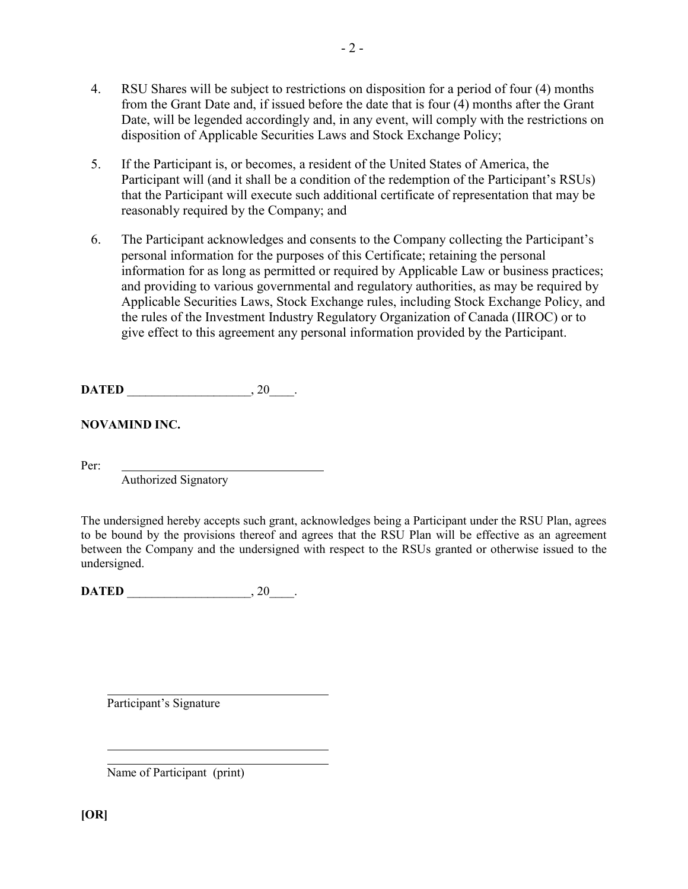- 4. RSU Shares will be subject to restrictions on disposition for a period of four (4) months from the Grant Date and, if issued before the date that is four (4) months after the Grant Date, will be legended accordingly and, in any event, will comply with the restrictions on disposition of Applicable Securities Laws and Stock Exchange Policy;
- 5. If the Participant is, or becomes, a resident of the United States of America, the Participant will (and it shall be a condition of the redemption of the Participant's RSUs) that the Participant will execute such additional certificate of representation that may be reasonably required by the Company; and
- 6. The Participant acknowledges and consents to the Company collecting the Participant's personal information for the purposes of this Certificate; retaining the personal information for as long as permitted or required by Applicable Law or business practices; and providing to various governmental and regulatory authorities, as may be required by Applicable Securities Laws, Stock Exchange rules, including Stock Exchange Policy, and the rules of the Investment Industry Regulatory Organization of Canada (IIROC) or to give effect to this agreement any personal information provided by the Participant.

**DATED** , 20 .

**NOVAMIND INC.**

Per:

Authorized Signatory

The undersigned hereby accepts such grant, acknowledges being a Participant under the RSU Plan, agrees to be bound by the provisions thereof and agrees that the RSU Plan will be effective as an agreement between the Company and the undersigned with respect to the RSUs granted or otherwise issued to the undersigned.

**DATED** \_\_\_\_\_\_\_\_\_\_\_\_\_\_\_\_\_\_\_\_\_\_, 20\_\_\_\_.

Participant's Signature

Name of Participant (print)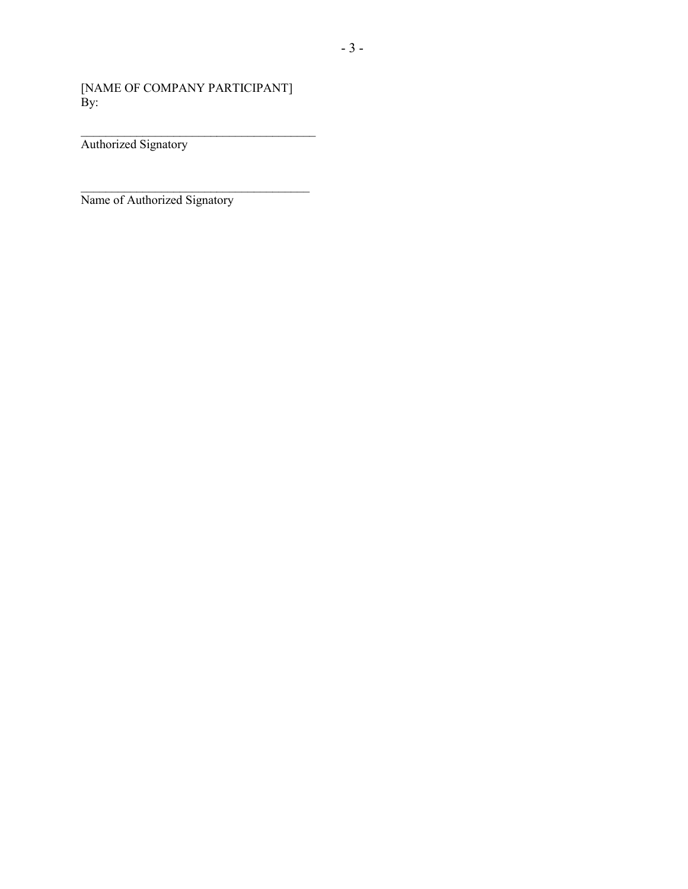[NAME OF COMPANY PARTICIPANT]  $\mathbf{By:}$ 

 $\mathcal{L}_\text{max}$  , where  $\mathcal{L}_\text{max}$  is the set of  $\mathcal{L}_\text{max}$ 

\_\_\_\_\_\_\_\_\_\_\_\_\_\_\_\_\_\_\_\_\_\_\_\_\_\_\_\_\_\_\_\_\_\_\_\_\_\_ Authorized Signatory

Name of Authorized Signatory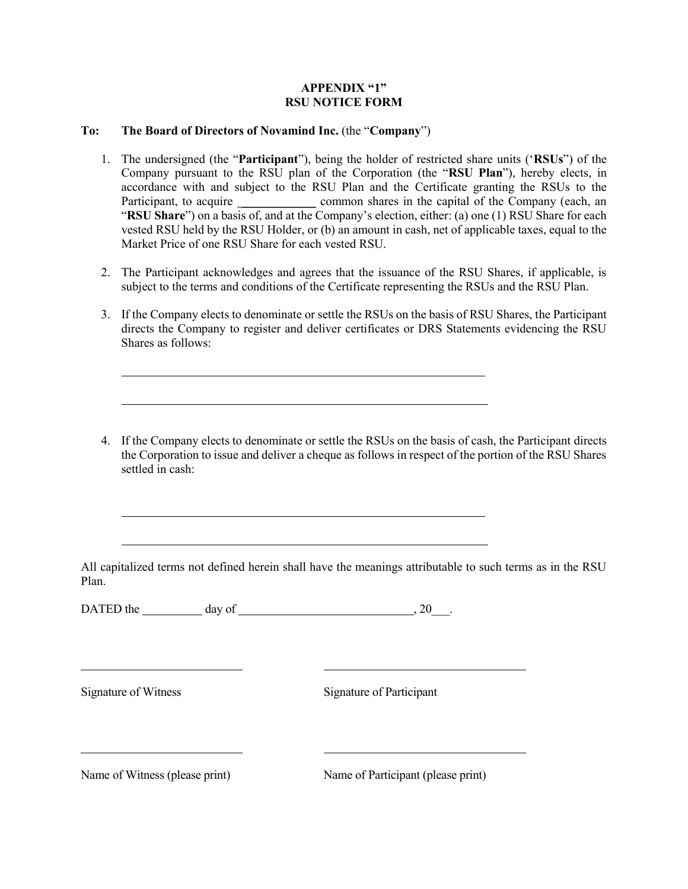#### **APPENDIX "1" RSU NOTICE FORM**

## **To: The Board of Directors of Novamind Inc.** (the "**Company**")

- 1. The undersigned (the "**Participant**"), being the holder of restricted share units ('**RSUs**") of the Company pursuant to the RSU plan of the Corporation (the "**RSU Plan**"), hereby elects, in accordance with and subject to the RSU Plan and the Certificate granting the RSUs to the Participant, to acquire \_\_\_\_\_\_\_\_\_\_\_\_\_\_\_\_ common shares in the capital of the Company (each, an "**RSU Share**") on a basis of, and at the Company's election, either: (a) one (1) RSU Share for each vested RSU held by the RSU Holder, or (b) an amount in cash, net of applicable taxes, equal to the Market Price of one RSU Share for each vested RSU.
- 2. The Participant acknowledges and agrees that the issuance of the RSU Shares, if applicable, is subject to the terms and conditions of the Certificate representing the RSUs and the RSU Plan.
- 3. If the Company elects to denominate or settle the RSUs on the basis of RSU Shares, the Participant directs the Company to register and deliver certificates or DRS Statements evidencing the RSU Shares as follows:
- 4. If the Company elects to denominate or settle the RSUs on the basis of cash, the Participant directs the Corporation to issue and deliver a cheque as follows in respect of the portion of the RSU Shares settled in cash:

All capitalized terms not defined herein shall have the meanings attributable to such terms as in the RSU Plan.

DATED the  $\_\_\_\_\$  day of  $\_\_\_\_\_\_\_\_\_\_\_\_\_\_$ , 20 $\_\_\_\_\_\_\_\_\_\_\_$ 

Signature of Witness Signature of Participant

Name of Witness (please print) Name of Participant (please print)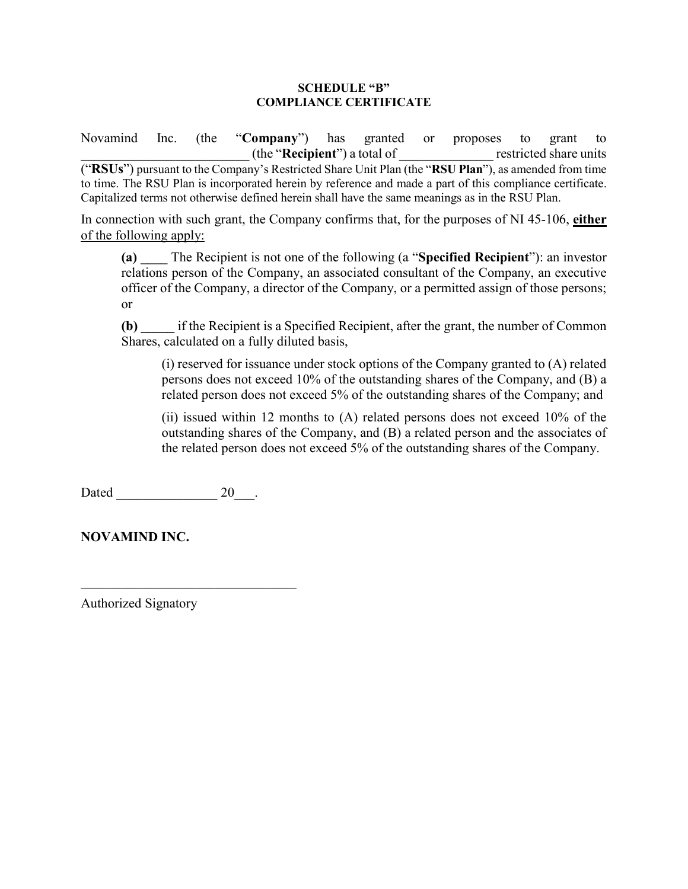## **SCHEDULE "B" COMPLIANCE CERTIFICATE**

Novamind Inc. (the "**Company**") has granted or proposes to grant to \_\_\_\_\_\_\_\_\_\_\_\_\_\_\_\_\_\_\_\_\_\_\_\_\_ (the "**Recipient**") a total of \_\_\_\_\_\_\_\_\_\_\_\_\_\_ restricted share units ("**RSUs**") pursuant to the Company's Restricted Share Unit Plan (the "**RSU Plan**"), as amended from time to time. The RSU Plan is incorporated herein by reference and made a part of this compliance certificate. Capitalized terms not otherwise defined herein shall have the same meanings as in the RSU Plan.

In connection with such grant, the Company confirms that, for the purposes of NI 45-106, **either** of the following apply:

**(a) \_\_\_\_** The Recipient is not one of the following (a "**Specified Recipient**"): an investor relations person of the Company, an associated consultant of the Company, an executive officer of the Company, a director of the Company, or a permitted assign of those persons; or

**(b) \_\_\_\_\_** if the Recipient is a Specified Recipient, after the grant, the number of Common Shares, calculated on a fully diluted basis,

(i) reserved for issuance under stock options of the Company granted to (A) related persons does not exceed 10% of the outstanding shares of the Company, and (B) a related person does not exceed 5% of the outstanding shares of the Company; and

(ii) issued within 12 months to (A) related persons does not exceed 10% of the outstanding shares of the Company, and (B) a related person and the associates of the related person does not exceed 5% of the outstanding shares of the Company.

Dated 20 and 20 and 20 and 20 and 20 and 20 and 20 and 20 and 20 and 20 and 20 and 20 and 20 and 20 and 20 and 20 and 20 and 20 and 20 and 20 and 20 and 20 and 20 and 20 and 20 and 20 and 20 and 20 and 20 and 20 and 20 and

\_\_\_\_\_\_\_\_\_\_\_\_\_\_\_\_\_\_\_\_\_\_\_\_\_\_\_\_\_\_\_\_

**NOVAMIND INC.**

Authorized Signatory